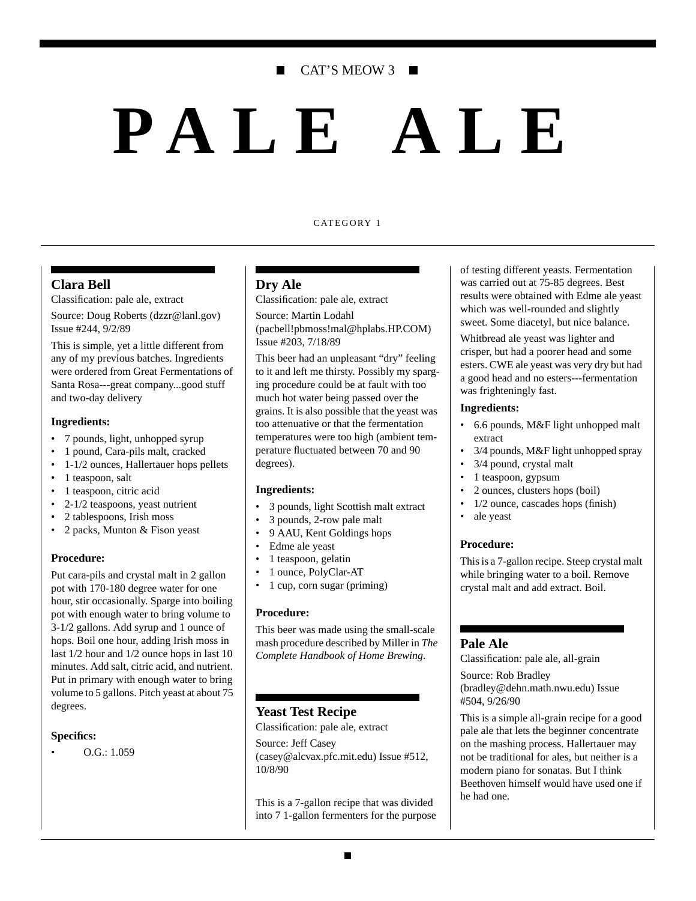# CAT'S MEOW 3

# **PALE ALE**

#### CATEGORY 1

### **Clara Bell**

Classification: pale ale, extract

Source: Doug Roberts (dzzr@lanl.gov) Issue #244, 9/2/89

This is simple, yet a little different from any of my previous batches. Ingredients were ordered from Great Fermentations of Santa Rosa---great company...good stuff and two-day delivery

#### **Ingredients:**

- 7 pounds, light, unhopped syrup
- 1 pound, Cara-pils malt, cracked
- 1-1/2 ounces, Hallertauer hops pellets
- 1 teaspoon, salt
- 1 teaspoon, citric acid
- 2-1/2 teaspoons, yeast nutrient
- 2 tablespoons, Irish moss
- 2 packs, Munton & Fison yeast

#### **Procedure:**

Put cara-pils and crystal malt in 2 gallon pot with 170-180 degree water for one hour, stir occasionally. Sparge into boiling pot with enough water to bring volume to 3-1/2 gallons. Add syrup and 1 ounce of hops. Boil one hour, adding Irish moss in last 1/2 hour and 1/2 ounce hops in last 10 minutes. Add salt, citric acid, and nutrient. Put in primary with enough water to bring volume to 5 gallons. Pitch yeast at about 75 degrees.

#### **Specifics:**

• O.G.: 1.059

#### **Dry Ale**

Classification: pale ale, extract

Source: Martin Lodahl (pacbell!pbmoss!mal@hplabs.HP.COM) Issue #203, 7/18/89

This beer had an unpleasant "dry" feeling to it and left me thirsty. Possibly my sparging procedure could be at fault with too much hot water being passed over the grains. It is also possible that the yeast was too attenuative or that the fermentation temperatures were too high (ambient temperature fluctuated between 70 and 90 degrees).

#### **Ingredients:**

- 3 pounds, light Scottish malt extract
- 3 pounds, 2-row pale malt
- 9 AAU, Kent Goldings hops
- Edme ale yeast
- 1 teaspoon, gelatin
- 1 ounce, PolyClar-AT
- 1 cup, corn sugar (priming)

#### **Procedure:**

This beer was made using the small-scale mash procedure described by Miller in *The Complete Handbook of Home Brewing*.

# **Yeast Test Recipe**

Classification: pale ale, extract

Source: Jeff Casey (casey@alcvax.pfc.mit.edu) Issue #512, 10/8/90

This is a 7-gallon recipe that was divided into 7 1-gallon fermenters for the purpose

of testing different yeasts. Fermentation was carried out at 75-85 degrees. Best results were obtained with Edme ale yeast which was well-rounded and slightly sweet. Some diacetyl, but nice balance.

Whitbread ale yeast was lighter and crisper, but had a poorer head and some esters. CWE ale yeast was very dry but had a good head and no esters---fermentation was frighteningly fast.

#### **Ingredients:**

- 6.6 pounds, M&F light unhopped malt extract
- 3/4 pounds, M&F light unhopped spray
- 3/4 pound, crystal malt
- 1 teaspoon, gypsum
- 2 ounces, clusters hops (boil)
- $1/2$  ounce, cascades hops (finish)
- ale yeast

#### **Procedure:**

This is a 7-gallon recipe. Steep crystal malt while bringing water to a boil. Remove crystal malt and add extract. Boil.

#### **Pale Ale**

Classification: pale ale, all-grain

Source: Rob Bradley (bradley@dehn.math.nwu.edu) Issue #504, 9/26/90

This is a simple all-grain recipe for a good pale ale that lets the beginner concentrate on the mashing process. Hallertauer may not be traditional for ales, but neither is a modern piano for sonatas. But I think Beethoven himself would have used one if he had one.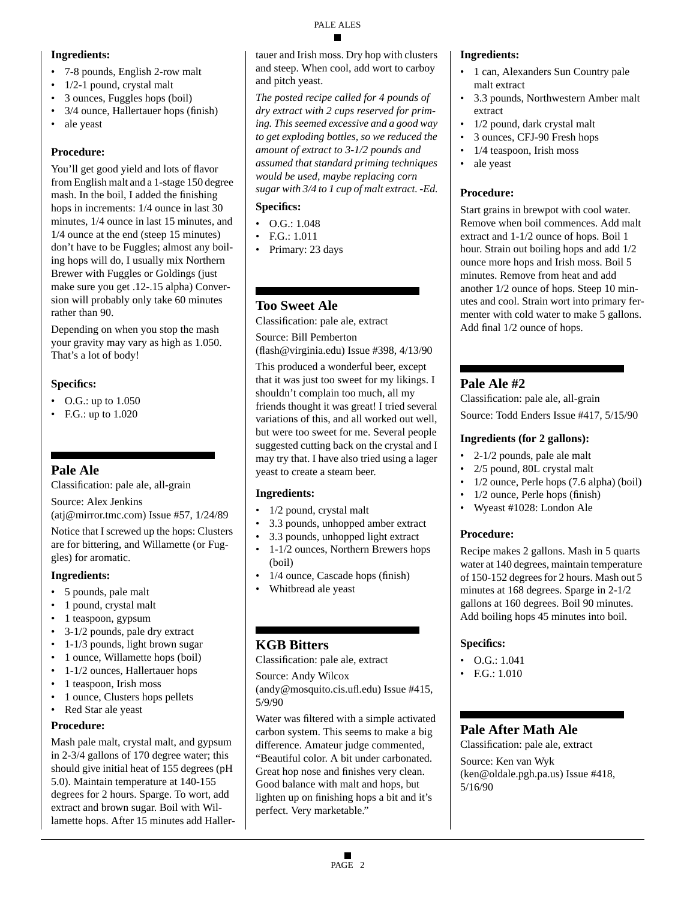# **Ingredients:**

- 7-8 pounds, English 2-row malt
- 1/2-1 pound, crystal malt
- 3 ounces, Fuggles hops (boil)
- 3/4 ounce, Hallertauer hops (finish)
- ale yeast

# **Procedure:**

You'll get good yield and lots of flavor from English malt and a 1-stage 150 degree mash. In the boil, I added the finishing hops in increments: 1/4 ounce in last 30 minutes, 1/4 ounce in last 15 minutes, and 1/4 ounce at the end (steep 15 minutes) don't have to be Fuggles; almost any boiling hops will do, I usually mix Northern Brewer with Fuggles or Goldings (just make sure you get .12-.15 alpha) Conversion will probably only take 60 minutes rather than 90.

Depending on when you stop the mash your gravity may vary as high as 1.050. That's a lot of body!

# **Specifics:**

- O.G.: up to 1.050
- F.G.: up to 1.020

# **Pale Ale**

Classification: pale ale, all-grain

Source: Alex Jenkins

(atj@mirror.tmc.com) Issue #57, 1/24/89

Notice that I screwed up the hops: Clusters are for bittering, and Willamette (or Fuggles) for aromatic.

# **Ingredients:**

- 5 pounds, pale malt
- 1 pound, crystal malt
- 1 teaspoon, gypsum
- 3-1/2 pounds, pale dry extract
- 1-1/3 pounds, light brown sugar
- 1 ounce, Willamette hops (boil)
- 1-1/2 ounces, Hallertauer hops
- 1 teaspoon, Irish moss
- 1 ounce, Clusters hops pellets
- Red Star ale yeast

# **Procedure:**

Mash pale malt, crystal malt, and gypsum in 2-3/4 gallons of 170 degree water; this should give initial heat of 155 degrees (pH 5.0). Maintain temperature at 140-155 degrees for 2 hours. Sparge. To wort, add extract and brown sugar. Boil with Willamette hops. After 15 minutes add Hallertauer and Irish moss. Dry hop with clusters and steep. When cool, add wort to carboy and pitch yeast.

*The posted recipe called for 4 pounds of dry extract with 2 cups reserved for priming. This seemed excessive and a good way to get exploding bottles, so we reduced the amount of extract to 3-1/2 pounds and assumed that standard priming techniques would be used, maybe replacing corn sugar with 3/4 to 1 cup of malt extract. -Ed.*

# **Specifics:**

- $\bullet$  O.G.: 1.048
- F.G.: 1.011
- Primary: 23 days

# **Too Sweet Ale**

Classification: pale ale, extract

Source: Bill Pemberton (flash@virginia.edu) Issue #398, 4/13/90

This produced a wonderful beer, except that it was just too sweet for my likings. I shouldn't complain too much, all my friends thought it was great! I tried several variations of this, and all worked out well, but were too sweet for me. Several people suggested cutting back on the crystal and I may try that. I have also tried using a lager yeast to create a steam beer.

# **Ingredients:**

- 1/2 pound, crystal malt
- 3.3 pounds, unhopped amber extract
- 3.3 pounds, unhopped light extract
- 1-1/2 ounces, Northern Brewers hops (boil)
- 1/4 ounce, Cascade hops (finish)
- Whitbread ale yeast

# **KGB Bitters**

Classification: pale ale, extract

Source: Andy Wilcox

(andy@mosquito.cis.ufl.edu) Issue #415, 5/9/90

Water was filtered with a simple activated carbon system. This seems to make a big difference. Amateur judge commented, "Beautiful color. A bit under carbonated. Great hop nose and finishes very clean. Good balance with malt and hops, but lighten up on finishing hops a bit and it's perfect. Very marketable."

# **Ingredients:**

- 1 can, Alexanders Sun Country pale malt extract
- 3.3 pounds, Northwestern Amber malt extract
- 1/2 pound, dark crystal malt
- 3 ounces, CFJ-90 Fresh hops
- 1/4 teaspoon, Irish moss
- ale yeast

# **Procedure:**

Start grains in brewpot with cool water. Remove when boil commences. Add malt extract and 1-1/2 ounce of hops. Boil 1 hour. Strain out boiling hops and add 1/2 ounce more hops and Irish moss. Boil 5 minutes. Remove from heat and add another 1/2 ounce of hops. Steep 10 minutes and cool. Strain wort into primary fermenter with cold water to make 5 gallons. Add final 1/2 ounce of hops.

# **Pale Ale #2**

Classification: pale ale, all-grain Source: Todd Enders Issue #417, 5/15/90

# **Ingredients (for 2 gallons):**

- 2-1/2 pounds, pale ale malt
- 2/5 pound, 80L crystal malt
- 1/2 ounce, Perle hops (7.6 alpha) (boil)
- 1/2 ounce, Perle hops (finish)
- Wyeast #1028: London Ale

# **Procedure:**

Recipe makes 2 gallons. Mash in 5 quarts water at 140 degrees, maintain temperature of 150-152 degrees for 2 hours. Mash out 5 minutes at 168 degrees. Sparge in 2-1/2 gallons at 160 degrees. Boil 90 minutes. Add boiling hops 45 minutes into boil.

# **Specifics:**

- O.G.: 1.041
- $FG: 1.010$

# **Pale After Math Ale**

Classification: pale ale, extract Source: Ken van Wyk (ken@oldale.pgh.pa.us) Issue #418, 5/16/90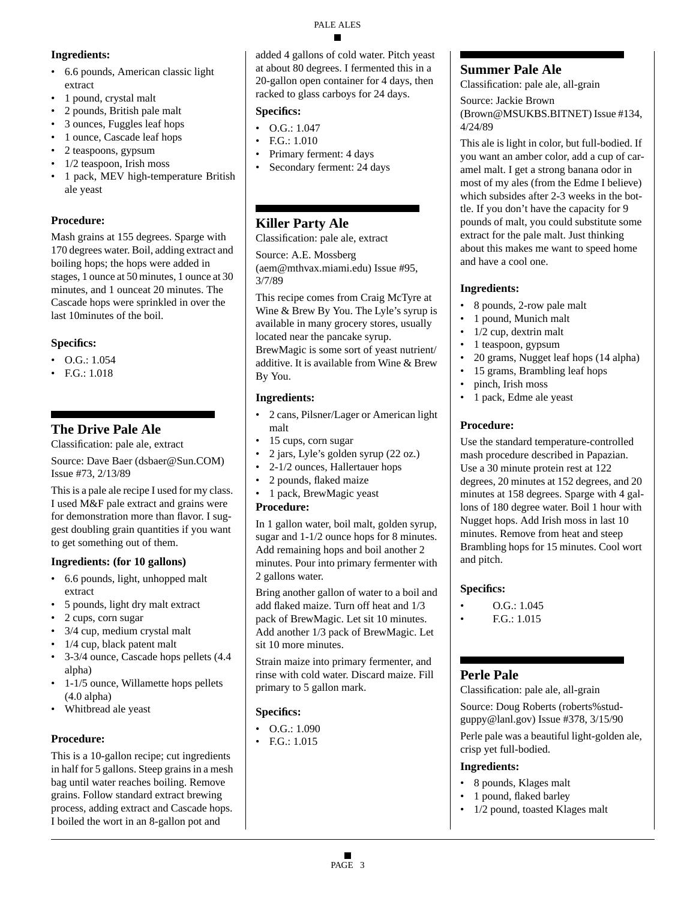# **Ingredients:**

- 6.6 pounds, American classic light extract
- 1 pound, crystal malt
- 2 pounds, British pale malt
- 3 ounces, Fuggles leaf hops
- 1 ounce, Cascade leaf hops
- 2 teaspoons, gypsum
- 1/2 teaspoon, Irish moss
- 1 pack, MEV high-temperature British ale yeast

### **Procedure:**

Mash grains at 155 degrees. Sparge with 170 degrees water. Boil, adding extract and boiling hops; the hops were added in stages, 1 ounce at 50 minutes, 1 ounce at 30 minutes, and 1 ounceat 20 minutes. The Cascade hops were sprinkled in over the last 10minutes of the boil.

# **Specifics:**

- $\bullet$  O.G.: 1.054
- F.G.: 1.018

# **The Drive Pale Ale**

Classification: pale ale, extract

Source: Dave Baer (dsbaer@Sun.COM) Issue #73, 2/13/89

This is a pale ale recipe I used for my class. I used M&F pale extract and grains were for demonstration more than flavor. I suggest doubling grain quantities if you want to get something out of them.

### **Ingredients: (for 10 gallons)**

- 6.6 pounds, light, unhopped malt extract
- 5 pounds, light dry malt extract
- 2 cups, corn sugar
- 3/4 cup, medium crystal malt
- 1/4 cup, black patent malt
- 3-3/4 ounce, Cascade hops pellets (4.4 alpha)
- 1-1/5 ounce, Willamette hops pellets (4.0 alpha)
- Whitbread ale yeast

# **Procedure:**

This is a 10-gallon recipe; cut ingredients in half for 5 gallons. Steep grains in a mesh bag until water reaches boiling. Remove grains. Follow standard extract brewing process, adding extract and Cascade hops. I boiled the wort in an 8-gallon pot and

added 4 gallons of cold water. Pitch yeast at about 80 degrees. I fermented this in a 20-gallon open container for 4 days, then racked to glass carboys for 24 days.

# **Specifics:**

- $O.G.: 1.047$
- F.G.: 1.010
- Primary ferment: 4 days
- Secondary ferment: 24 days

# **Killer Party Ale**

Classification: pale ale, extract

Source: A.E. Mossberg (aem@mthvax.miami.edu) Issue #95, 3/7/89

This recipe comes from Craig McTyre at Wine & Brew By You. The Lyle's syrup is available in many grocery stores, usually located near the pancake syrup. BrewMagic is some sort of yeast nutrient/ additive. It is available from Wine & Brew By You.

# **Ingredients:**

- 2 cans, Pilsner/Lager or American light malt
- 15 cups, corn sugar
- 2 jars, Lyle's golden syrup (22 oz.)
	- 2-1/2 ounces, Hallertauer hops
- 2 pounds, flaked maize
- 1 pack, BrewMagic yeast

# **Procedure:**

In 1 gallon water, boil malt, golden syrup, sugar and 1-1/2 ounce hops for 8 minutes. Add remaining hops and boil another 2 minutes. Pour into primary fermenter with 2 gallons water.

Bring another gallon of water to a boil and add flaked maize. Turn off heat and 1/3 pack of BrewMagic. Let sit 10 minutes. Add another 1/3 pack of BrewMagic. Let sit 10 more minutes.

Strain maize into primary fermenter, and rinse with cold water. Discard maize. Fill primary to 5 gallon mark.

# **Specifics:**

- $\bullet$  O.G.: 1.090
- F.G.: 1.015

# **Summer Pale Ale**

Classification: pale ale, all-grain

Source: Jackie Brown (Brown@MSUKBS.BITNET) Issue #134, 4/24/89

This ale is light in color, but full-bodied. If you want an amber color, add a cup of caramel malt. I get a strong banana odor in most of my ales (from the Edme I believe) which subsides after 2-3 weeks in the bottle. If you don't have the capacity for 9 pounds of malt, you could substitute some extract for the pale malt. Just thinking about this makes me want to speed home and have a cool one.

# **Ingredients:**

- 8 pounds, 2-row pale malt
- 1 pound, Munich malt
- 1/2 cup, dextrin malt
- 1 teaspoon, gypsum
- 20 grams, Nugget leaf hops (14 alpha)
- 15 grams, Brambling leaf hops
- pinch, Irish moss
- 1 pack, Edme ale yeast

# **Procedure:**

Use the standard temperature-controlled mash procedure described in Papazian. Use a 30 minute protein rest at 122 degrees, 20 minutes at 152 degrees, and 20 minutes at 158 degrees. Sparge with 4 gallons of 180 degree water. Boil 1 hour with Nugget hops. Add Irish moss in last 10 minutes. Remove from heat and steep Brambling hops for 15 minutes. Cool wort and pitch.

# **Specifics:**

- O.G.: 1.045
- F.G.: 1.015

# **Perle Pale**

Classification: pale ale, all-grain Source: Doug Roberts (roberts%studguppy@lanl.gov) Issue #378, 3/15/90

Perle pale was a beautiful light-golden ale, crisp yet full-bodied.

# **Ingredients:**

- 8 pounds, Klages malt
- 1 pound, flaked barley
- 1/2 pound, toasted Klages malt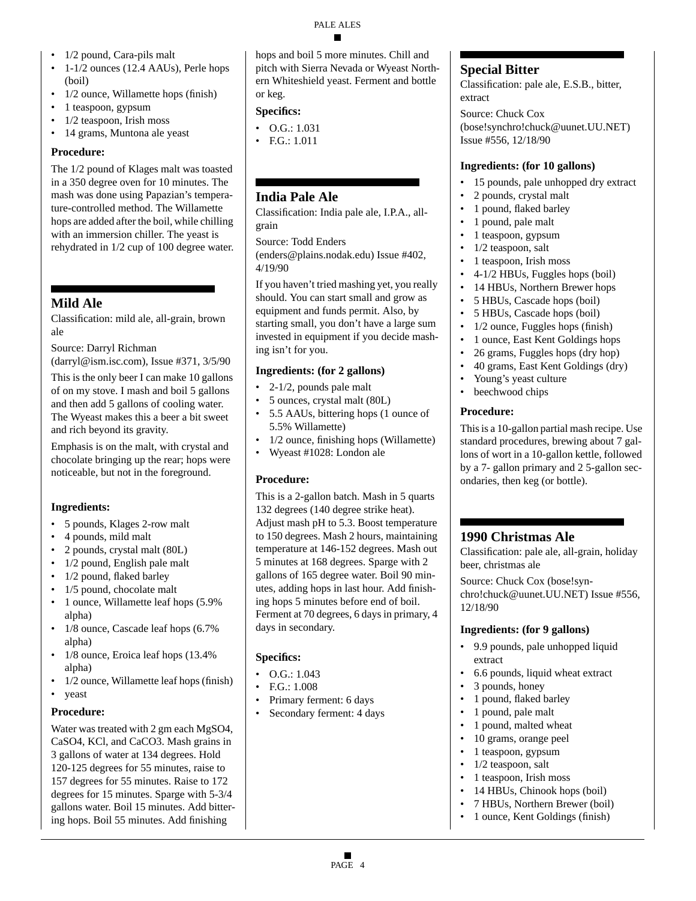- 1/2 pound, Cara-pils malt
- 1-1/2 ounces (12.4 AAUs), Perle hops (boil)
- 1/2 ounce, Willamette hops (finish)
- 1 teaspoon, gypsum
- 1/2 teaspoon, Irish moss
- 14 grams, Muntona ale yeast

# **Procedure:**

The 1/2 pound of Klages malt was toasted in a 350 degree oven for 10 minutes. The mash was done using Papazian's temperature-controlled method. The Willamette hops are added after the boil, while chilling with an immersion chiller. The yeast is rehydrated in 1/2 cup of 100 degree water.

# **Mild Ale**

Classification: mild ale, all-grain, brown ale

Source: Darryl Richman

(darryl@ism.isc.com), Issue #371, 3/5/90

This is the only beer I can make 10 gallons of on my stove. I mash and boil 5 gallons and then add 5 gallons of cooling water. The Wyeast makes this a beer a bit sweet and rich beyond its gravity.

Emphasis is on the malt, with crystal and chocolate bringing up the rear; hops were noticeable, but not in the foreground.

# **Ingredients:**

- 5 pounds, Klages 2-row malt
- 4 pounds, mild malt
- 2 pounds, crystal malt (80L)
- 1/2 pound, English pale malt
- 1/2 pound, flaked barley
- 1/5 pound, chocolate malt
- 1 ounce, Willamette leaf hops (5.9%) alpha)
- 1/8 ounce, Cascade leaf hops (6.7%) alpha)
- 1/8 ounce, Eroica leaf hops (13.4%) alpha)
- 1/2 ounce, Willamette leaf hops (finish)
- yeast

# **Procedure:**

Water was treated with 2 gm each MgSO4, CaSO4, KCl, and CaCO3. Mash grains in 3 gallons of water at 134 degrees. Hold 120-125 degrees for 55 minutes, raise to 157 degrees for 55 minutes. Raise to 172 degrees for 15 minutes. Sparge with 5-3/4 gallons water. Boil 15 minutes. Add bittering hops. Boil 55 minutes. Add finishing

hops and boil 5 more minutes. Chill and pitch with Sierra Nevada or Wyeast Northern Whiteshield yeast. Ferment and bottle or keg.

# **Specifics:**

- O.G.: 1.031
- F.G.: 1.011

# **India Pale Ale**

Classification: India pale ale, I.P.A., allgrain

Source: Todd Enders (enders@plains.nodak.edu) Issue #402, 4/19/90

If you haven't tried mashing yet, you really should. You can start small and grow as equipment and funds permit. Also, by starting small, you don't have a large sum invested in equipment if you decide mashing isn't for you.

# **Ingredients: (for 2 gallons)**

- $\bullet$  2-1/2, pounds pale malt
- 5 ounces, crystal malt (80L)
- 5.5 AAUs, bittering hops (1 ounce of 5.5% Willamette)
- 1/2 ounce, finishing hops (Willamette)
- Wyeast #1028: London ale

# **Procedure:**

This is a 2-gallon batch. Mash in 5 quarts 132 degrees (140 degree strike heat). Adjust mash pH to 5.3. Boost temperature to 150 degrees. Mash 2 hours, maintaining temperature at 146-152 degrees. Mash out 5 minutes at 168 degrees. Sparge with 2 gallons of 165 degree water. Boil 90 minutes, adding hops in last hour. Add finishing hops 5 minutes before end of boil. Ferment at 70 degrees, 6 days in primary, 4 days in secondary.

# **Specifics:**

- O.G.: 1.043
- F.G.: 1.008
- Primary ferment: 6 days
- Secondary ferment: 4 days

# **Special Bitter**

Classification: pale ale, E.S.B., bitter, extract

Source: Chuck Cox (bose!synchro!chuck@uunet.UU.NET) Issue #556, 12/18/90

# **Ingredients: (for 10 gallons)**

- 15 pounds, pale unhopped dry extract
- 2 pounds, crystal malt
- 1 pound, flaked barley
- 1 pound, pale malt
- 1 teaspoon, gypsum
- 1/2 teaspoon, salt
- 1 teaspoon, Irish moss
- 4-1/2 HBUs, Fuggles hops (boil)
- 14 HBUs, Northern Brewer hops
- 5 HBUs, Cascade hops (boil)
- 5 HBUs, Cascade hops (boil)
- $1/2$  ounce, Fuggles hops (finish)
- 1 ounce, East Kent Goldings hops
- 26 grams, Fuggles hops (dry hop)
- 40 grams, East Kent Goldings (dry)
- Young's yeast culture • beechwood chips

# **Procedure:**

This is a 10-gallon partial mash recipe. Use standard procedures, brewing about 7 gallons of wort in a 10-gallon kettle, followed by a 7- gallon primary and 2 5-gallon secondaries, then keg (or bottle).

# **1990 Christmas Ale**

Classification: pale ale, all-grain, holiday beer, christmas ale

Source: Chuck Cox (bose!synchro!chuck@uunet.UU.NET) Issue #556, 12/18/90

# **Ingredients: (for 9 gallons)**

- 9.9 pounds, pale unhopped liquid extract
- 6.6 pounds, liquid wheat extract
- 3 pounds, honey
- 1 pound, flaked barley
- 1 pound, pale malt
- 1 pound, malted wheat
- 10 grams, orange peel
- 1 teaspoon, gypsum
- 1/2 teaspoon, salt
- 1 teaspoon, Irish moss
- 14 HBUs, Chinook hops (boil)
- 7 HBUs, Northern Brewer (boil) • 1 ounce, Kent Goldings (finish)

PALE ALES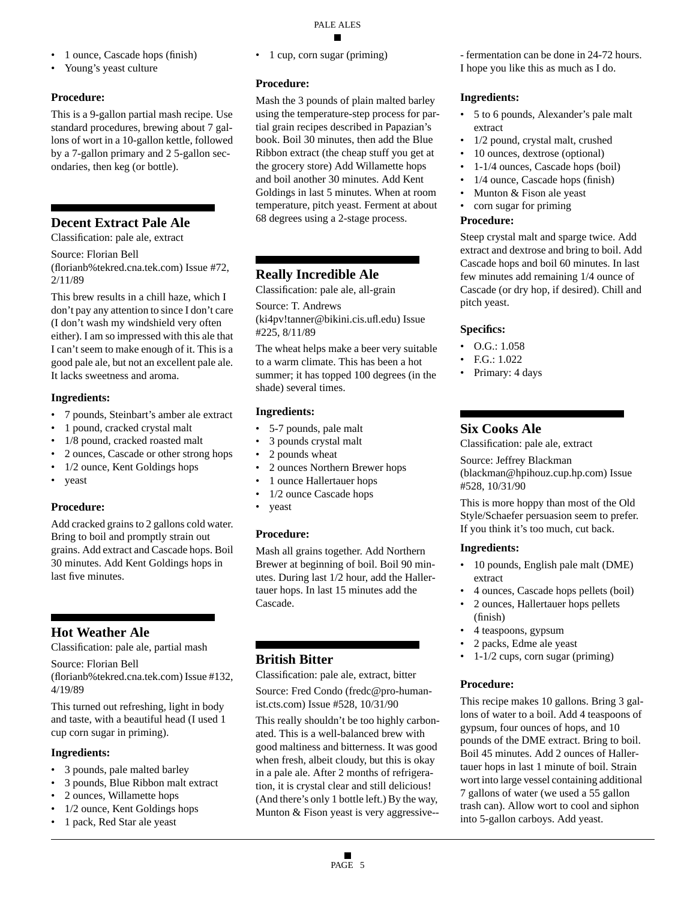- 1 ounce, Cascade hops (finish)
- Young's yeast culture

### **Procedure:**

This is a 9-gallon partial mash recipe. Use standard procedures, brewing about 7 gallons of wort in a 10-gallon kettle, followed by a 7-gallon primary and 2 5-gallon secondaries, then keg (or bottle).

# **Decent Extract Pale Ale**

Classification: pale ale, extract

Source: Florian Bell

(florianb%tekred.cna.tek.com) Issue #72, 2/11/89

This brew results in a chill haze, which I don't pay any attention to since I don't care (I don't wash my windshield very often either). I am so impressed with this ale that I can't seem to make enough of it. This is a good pale ale, but not an excellent pale ale. It lacks sweetness and aroma.

### **Ingredients:**

- 7 pounds, Steinbart's amber ale extract
- 1 pound, cracked crystal malt
- 1/8 pound, cracked roasted malt
- 2 ounces, Cascade or other strong hops
- 1/2 ounce, Kent Goldings hops
- yeast

# **Procedure:**

Add cracked grains to 2 gallons cold water. Bring to boil and promptly strain out grains. Add extract and Cascade hops. Boil 30 minutes. Add Kent Goldings hops in last five minutes.

# **Hot Weather Ale**

Classification: pale ale, partial mash

Source: Florian Bell

(florianb%tekred.cna.tek.com) Issue #132, 4/19/89

This turned out refreshing, light in body and taste, with a beautiful head (I used 1 cup corn sugar in priming).

### **Ingredients:**

- 3 pounds, pale malted barley
- 3 pounds, Blue Ribbon malt extract
- 2 ounces, Willamette hops
- 1/2 ounce, Kent Goldings hops
- 1 pack, Red Star ale yeast

• 1 cup, corn sugar (priming)

### **Procedure:**

Mash the 3 pounds of plain malted barley using the temperature-step process for partial grain recipes described in Papazian's book. Boil 30 minutes, then add the Blue Ribbon extract (the cheap stuff you get at the grocery store) Add Willamette hops and boil another 30 minutes. Add Kent Goldings in last 5 minutes. When at room temperature, pitch yeast. Ferment at about 68 degrees using a 2-stage process.

# **Really Incredible Ale**

Classification: pale ale, all-grain

Source: T. Andrews (ki4pv!tanner@bikini.cis.ufl.edu) Issue #225, 8/11/89

The wheat helps make a beer very suitable to a warm climate. This has been a hot summer; it has topped 100 degrees (in the shade) several times.

### **Ingredients:**

- 5-7 pounds, pale malt
- 3 pounds crystal malt
- 2 pounds wheat
- 2 ounces Northern Brewer hops
- 1 ounce Hallertauer hops
- 1/2 ounce Cascade hops
- yeast

# **Procedure:**

Mash all grains together. Add Northern Brewer at beginning of boil. Boil 90 minutes. During last 1/2 hour, add the Hallertauer hops. In last 15 minutes add the Cascade.

# **British Bitter**

Classification: pale ale, extract, bitter

Source: Fred Condo (fredc@pro-humanist.cts.com) Issue #528, 10/31/90

This really shouldn't be too highly carbonated. This is a well-balanced brew with good maltiness and bitterness. It was good when fresh, albeit cloudy, but this is okay in a pale ale. After 2 months of refrigeration, it is crystal clear and still delicious! (And there's only 1 bottle left.) By the way, Munton & Fison yeast is very aggressive--

- fermentation can be done in 24-72 hours. I hope you like this as much as I do.

### **Ingredients:**

- 5 to 6 pounds, Alexander's pale malt extract
- 1/2 pound, crystal malt, crushed
- 10 ounces, dextrose (optional)
- 1-1/4 ounces, Cascade hops (boil)
- 1/4 ounce, Cascade hops (finish)
- Munton & Fison ale yeast
- corn sugar for priming

#### **Procedure:**

Steep crystal malt and sparge twice. Add extract and dextrose and bring to boil. Add Cascade hops and boil 60 minutes. In last few minutes add remaining 1/4 ounce of Cascade (or dry hop, if desired). Chill and pitch yeast.

### **Specifics:**

- O.G.: 1.058
- F.G.: 1.022
- Primary: 4 days

# **Six Cooks Ale**

Classification: pale ale, extract

Source: Jeffrey Blackman (blackman@hpihouz.cup.hp.com) Issue #528, 10/31/90

This is more hoppy than most of the Old Style/Schaefer persuasion seem to prefer. If you think it's too much, cut back.

### **Ingredients:**

- 10 pounds, English pale malt (DME) extract
- 4 ounces, Cascade hops pellets (boil)
- 2 ounces, Hallertauer hops pellets (finish)
- 4 teaspoons, gypsum
- 2 packs, Edme ale yeast
- 1-1/2 cups, corn sugar (priming)

# **Procedure:**

This recipe makes 10 gallons. Bring 3 gallons of water to a boil. Add 4 teaspoons of gypsum, four ounces of hops, and 10 pounds of the DME extract. Bring to boil. Boil 45 minutes. Add 2 ounces of Hallertauer hops in last 1 minute of boil. Strain wort into large vessel containing additional 7 gallons of water (we used a 55 gallon trash can). Allow wort to cool and siphon into 5-gallon carboys. Add yeast.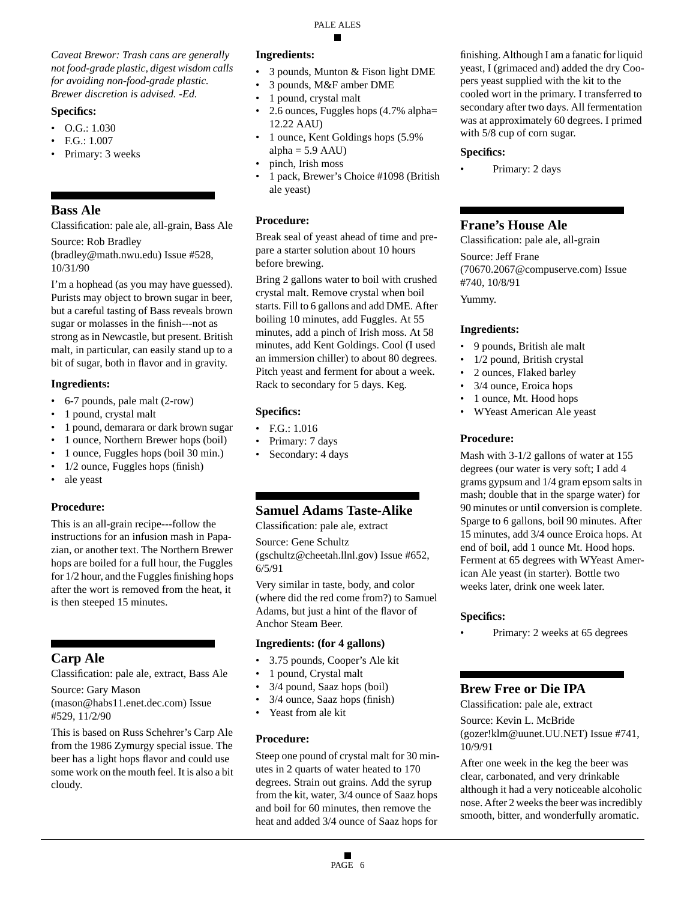*Caveat Brewor: Trash cans are generally not food-grade plastic, digest wisdom calls for avoiding non-food-grade plastic. Brewer discretion is advised. -Ed.*

#### **Specifics:**

- O.G.: 1.030
- F.G.: 1.007
- Primary: 3 weeks

### **Bass Ale**

Classification: pale ale, all-grain, Bass Ale

Source: Rob Bradley (bradley@math.nwu.edu) Issue #528, 10/31/90

I'm a hophead (as you may have guessed). Purists may object to brown sugar in beer, but a careful tasting of Bass reveals brown sugar or molasses in the finish---not as strong as in Newcastle, but present. British malt, in particular, can easily stand up to a bit of sugar, both in flavor and in gravity.

### **Ingredients:**

- 6-7 pounds, pale malt (2-row)
- 1 pound, crystal malt
- 1 pound, demarara or dark brown sugar
- 1 ounce, Northern Brewer hops (boil)
- 1 ounce, Fuggles hops (boil 30 min.)
- 1/2 ounce, Fuggles hops (finish)
- ale yeast

### **Procedure:**

This is an all-grain recipe---follow the instructions for an infusion mash in Papazian, or another text. The Northern Brewer hops are boiled for a full hour, the Fuggles for 1/2 hour, and the Fuggles finishing hops after the wort is removed from the heat, it is then steeped 15 minutes.

# **Carp Ale**

Classification: pale ale, extract, Bass Ale

Source: Gary Mason (mason@habs11.enet.dec.com) Issue #529, 11/2/90

This is based on Russ Schehrer's Carp Ale from the 1986 Zymurgy special issue. The beer has a light hops flavor and could use some work on the mouth feel. It is also a bit cloudy.

### **Ingredients:**

- 3 pounds, Munton & Fison light DME
- 3 pounds, M&F amber DME
- 1 pound, crystal malt
- 2.6 ounces, Fuggles hops (4.7% alpha= 12.22 AAU)
- 1 ounce, Kent Goldings hops (5.9% alpha  $= 5.9$  AAU)
- pinch, Irish moss
- 1 pack, Brewer's Choice #1098 (British ale yeast)

### **Procedure:**

Break seal of yeast ahead of time and prepare a starter solution about 10 hours before brewing.

Bring 2 gallons water to boil with crushed crystal malt. Remove crystal when boil starts. Fill to 6 gallons and add DME. After boiling 10 minutes, add Fuggles. At 55 minutes, add a pinch of Irish moss. At 58 minutes, add Kent Goldings. Cool (I used an immersion chiller) to about 80 degrees. Pitch yeast and ferment for about a week. Rack to secondary for 5 days. Keg.

### **Specifics:**

- F.G.: 1.016
- Primary: 7 days
- Secondary: 4 days

# **Samuel Adams Taste-Alike**

Classification: pale ale, extract

Source: Gene Schultz (gschultz@cheetah.llnl.gov) Issue #652, 6/5/91

Very similar in taste, body, and color (where did the red come from?) to Samuel Adams, but just a hint of the flavor of Anchor Steam Beer.

### **Ingredients: (for 4 gallons)**

- 3.75 pounds, Cooper's Ale kit
- 1 pound, Crystal malt
- 3/4 pound, Saaz hops (boil)
- 3/4 ounce, Saaz hops (finish)
- Yeast from ale kit

### **Procedure:**

Steep one pound of crystal malt for 30 minutes in 2 quarts of water heated to 170 degrees. Strain out grains. Add the syrup from the kit, water, 3/4 ounce of Saaz hops and boil for 60 minutes, then remove the heat and added 3/4 ounce of Saaz hops for

finishing. Although I am a fanatic for liquid yeast, I (grimaced and) added the dry Coopers yeast supplied with the kit to the cooled wort in the primary. I transferred to secondary after two days. All fermentation was at approximately 60 degrees. I primed with 5/8 cup of corn sugar.

#### **Specifics:**

Primary: 2 days

# **Frane's House Ale**

Classification: pale ale, all-grain Source: Jeff Frane (70670.2067@compuserve.com) Issue #740, 10/8/91 Yummy.

### **Ingredients:**

- 9 pounds, British ale malt
- 1/2 pound, British crystal
- 2 ounces, Flaked barley
- 3/4 ounce, Eroica hops
- 1 ounce, Mt. Hood hops
- WYeast American Ale yeast

### **Procedure:**

Mash with 3-1/2 gallons of water at 155 degrees (our water is very soft; I add 4 grams gypsum and 1/4 gram epsom salts in mash; double that in the sparge water) for 90 minutes or until conversion is complete. Sparge to 6 gallons, boil 90 minutes. After 15 minutes, add 3/4 ounce Eroica hops. At end of boil, add 1 ounce Mt. Hood hops. Ferment at 65 degrees with WYeast American Ale yeast (in starter). Bottle two weeks later, drink one week later.

### **Specifics:**

Primary: 2 weeks at 65 degrees

# **Brew Free or Die IPA**

Classification: pale ale, extract

Source: Kevin L. McBride (gozer!klm@uunet.UU.NET) Issue #741, 10/9/91

After one week in the keg the beer was clear, carbonated, and very drinkable although it had a very noticeable alcoholic nose. After 2 weeks the beer was incredibly smooth, bitter, and wonderfully aromatic.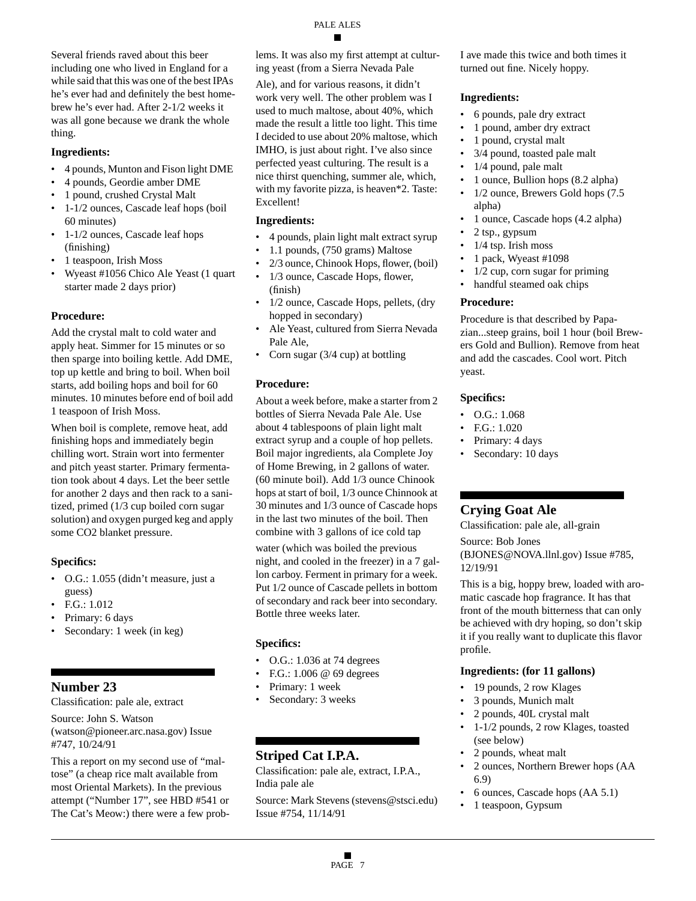Several friends raved about this beer including one who lived in England for a while said that this was one of the best IPAs he's ever had and definitely the best homebrew he's ever had. After 2-1/2 weeks it was all gone because we drank the whole thing.

#### **Ingredients:**

- 4 pounds, Munton and Fison light DME
- 4 pounds, Geordie amber DME
- 1 pound, crushed Crystal Malt
- 1-1/2 ounces, Cascade leaf hops (boil 60 minutes)
- 1-1/2 ounces, Cascade leaf hops (finishing)
- 1 teaspoon, Irish Moss
- Wyeast #1056 Chico Ale Yeast (1 quart starter made 2 days prior)

### **Procedure:**

Add the crystal malt to cold water and apply heat. Simmer for 15 minutes or so then sparge into boiling kettle. Add DME, top up kettle and bring to boil. When boil starts, add boiling hops and boil for 60 minutes. 10 minutes before end of boil add 1 teaspoon of Irish Moss.

When boil is complete, remove heat, add finishing hops and immediately begin chilling wort. Strain wort into fermenter and pitch yeast starter. Primary fermentation took about 4 days. Let the beer settle for another 2 days and then rack to a sanitized, primed (1/3 cup boiled corn sugar solution) and oxygen purged keg and apply some CO2 blanket pressure.

### **Specifics:**

- O.G.: 1.055 (didn't measure, just a guess)
- F.G.: 1.012
- Primary: 6 days
- Secondary: 1 week (in keg)

# **Number 23**

Classification: pale ale, extract

Source: John S. Watson

(watson@pioneer.arc.nasa.gov) Issue #747, 10/24/91

This a report on my second use of "maltose" (a cheap rice malt available from most Oriental Markets). In the previous attempt ("Number 17", see HBD #541 or The Cat's Meow:) there were a few problems. It was also my first attempt at culturing yeast (from a Sierra Nevada Pale

Ale), and for various reasons, it didn't work very well. The other problem was I used to much maltose, about 40%, which made the result a little too light. This time I decided to use about 20% maltose, which IMHO, is just about right. I've also since perfected yeast culturing. The result is a nice thirst quenching, summer ale, which, with my favorite pizza, is heaven\*2. Taste: Excellent!

### **Ingredients:**

- 4 pounds, plain light malt extract syrup
- 1.1 pounds, (750 grams) Maltose
- 2/3 ounce, Chinook Hops, flower, (boil)
- 1/3 ounce, Cascade Hops, flower, (finish)
- 1/2 ounce, Cascade Hops, pellets, (dry hopped in secondary)
- Ale Yeast, cultured from Sierra Nevada Pale Ale,
- Corn sugar (3/4 cup) at bottling

### **Procedure:**

About a week before, make a starter from 2 bottles of Sierra Nevada Pale Ale. Use about 4 tablespoons of plain light malt extract syrup and a couple of hop pellets. Boil major ingredients, ala Complete Joy of Home Brewing, in 2 gallons of water. (60 minute boil). Add 1/3 ounce Chinook hops at start of boil, 1/3 ounce Chinnook at 30 minutes and 1/3 ounce of Cascade hops in the last two minutes of the boil. Then combine with 3 gallons of ice cold tap

water (which was boiled the previous night, and cooled in the freezer) in a 7 gallon carboy. Ferment in primary for a week. Put 1/2 ounce of Cascade pellets in bottom of secondary and rack beer into secondary. Bottle three weeks later.

### **Specifics:**

- O.G.: 1.036 at 74 degrees
- F.G.: 1.006 @ 69 degrees
- Primary: 1 week
- Secondary: 3 weeks

# **Striped Cat I.P.A.**

Classification: pale ale, extract, I.P.A., India pale ale

Source: Mark Stevens (stevens@stsci.edu) Issue #754, 11/14/91

I ave made this twice and both times it turned out fine. Nicely hoppy.

### **Ingredients:**

- 6 pounds, pale dry extract
- 1 pound, amber dry extract
- 1 pound, crystal malt
- 3/4 pound, toasted pale malt
- 1/4 pound, pale malt
- 1 ounce, Bullion hops (8.2 alpha)
- 1/2 ounce, Brewers Gold hops (7.5 alpha)
- 1 ounce, Cascade hops (4.2 alpha)
- 2 tsp., gypsum
- $1/4$  tsp. Irish moss
- 1 pack, Wyeast #1098
- $1/2$  cup, corn sugar for priming
- handful steamed oak chips

### **Procedure:**

Procedure is that described by Papazian...steep grains, boil 1 hour (boil Brewers Gold and Bullion). Remove from heat and add the cascades. Cool wort. Pitch yeast.

#### **Specifics:**

- O.G.: 1.068
- F.G.: 1.020
- Primary: 4 days
- Secondary: 10 days

# **Crying Goat Ale**

Classification: pale ale, all-grain

Source: Bob Jones

(BJONES@NOVA.llnl.gov) Issue #785, 12/19/91

This is a big, hoppy brew, loaded with aromatic cascade hop fragrance. It has that front of the mouth bitterness that can only be achieved with dry hoping, so don't skip it if you really want to duplicate this flavor profile.

### **Ingredients: (for 11 gallons)**

- 19 pounds, 2 row Klages
- 3 pounds, Munich malt
- 2 pounds, 40L crystal malt
- 1-1/2 pounds, 2 row Klages, toasted (see below)
- 2 pounds, wheat malt
- 2 ounces, Northern Brewer hops (AA 6.9)
- 6 ounces, Cascade hops (AA 5.1)
- 1 teaspoon, Gypsum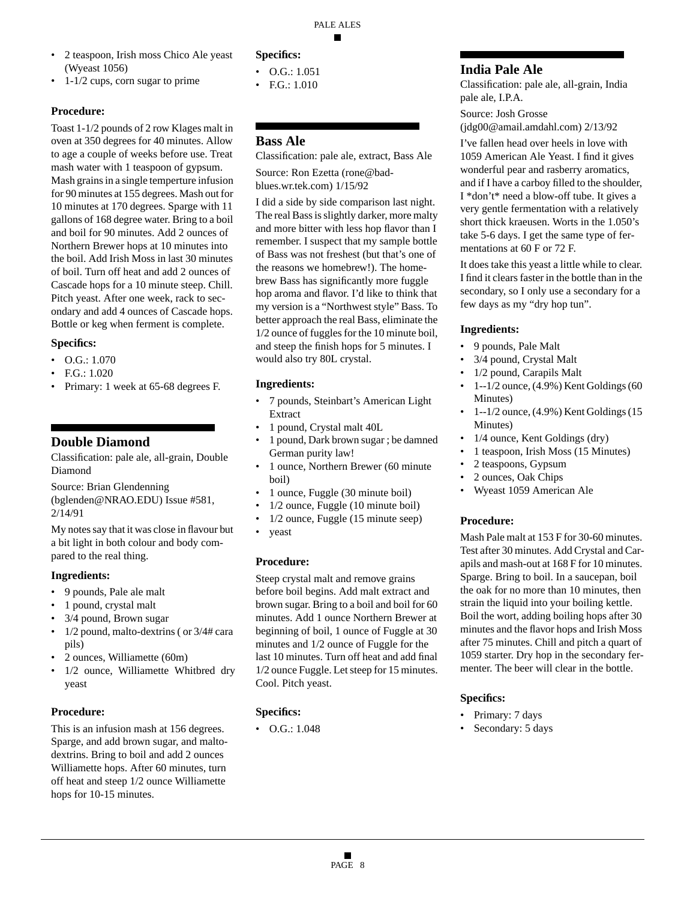#### • 2 teaspoon, Irish moss Chico Ale yeast (Wyeast 1056)

• 1-1/2 cups, corn sugar to prime

### **Procedure:**

Toast 1-1/2 pounds of 2 row Klages malt in oven at 350 degrees for 40 minutes. Allow to age a couple of weeks before use. Treat mash water with 1 teaspoon of gypsum. Mash grains in a single temperture infusion for 90 minutes at 155 degrees. Mash out for 10 minutes at 170 degrees. Sparge with 11 gallons of 168 degree water. Bring to a boil and boil for 90 minutes. Add 2 ounces of Northern Brewer hops at 10 minutes into the boil. Add Irish Moss in last 30 minutes of boil. Turn off heat and add 2 ounces of Cascade hops for a 10 minute steep. Chill. Pitch yeast. After one week, rack to secondary and add 4 ounces of Cascade hops. Bottle or keg when ferment is complete.

### **Specifics:**

- $\bullet$  O.G.: 1.070
- F.G.: 1.020
- Primary: 1 week at 65-68 degrees F.

# **Double Diamond**

Classification: pale ale, all-grain, Double Diamond

Source: Brian Glendenning

(bglenden@NRAO.EDU) Issue #581, 2/14/91

My notes say that it was close in flavour but a bit light in both colour and body compared to the real thing.

### **Ingredients:**

- 9 pounds, Pale ale malt
- 1 pound, crystal malt
- 3/4 pound, Brown sugar
- 1/2 pound, malto-dextrins (or  $3/4$ # cara pils)
- 2 ounces, Williamette (60m)
- 1/2 ounce, Williamette Whitbred dry yeast

# **Procedure:**

This is an infusion mash at 156 degrees. Sparge, and add brown sugar, and maltodextrins. Bring to boil and add 2 ounces Williamette hops. After 60 minutes, turn off heat and steep 1/2 ounce Williamette hops for 10-15 minutes.

# **Specifics:**

- O.G.: 1.051
- F.G.: 1.010

# **Bass Ale**

Classification: pale ale, extract, Bass Ale Source: Ron Ezetta (rone@badblues.wr.tek.com) 1/15/92

I did a side by side comparison last night. The real Bass is slightly darker, more malty and more bitter with less hop flavor than I remember. I suspect that my sample bottle of Bass was not freshest (but that's one of the reasons we homebrew!). The homebrew Bass has significantly more fuggle hop aroma and flavor. I'd like to think that my version is a "Northwest style" Bass. To better approach the real Bass, eliminate the 1/2 ounce of fuggles for the 10 minute boil, and steep the finish hops for 5 minutes. I would also try 80L crystal.

# **Ingredients:**

- 7 pounds, Steinbart's American Light Extract
- 1 pound, Crystal malt 40L
- 1 pound, Dark brown sugar ; be damned German purity law!
- 1 ounce, Northern Brewer (60 minute boil)
- 1 ounce, Fuggle (30 minute boil)
- 1/2 ounce, Fuggle (10 minute boil)
- 1/2 ounce, Fuggle (15 minute seep)
- yeast

# **Procedure:**

Steep crystal malt and remove grains before boil begins. Add malt extract and brown sugar. Bring to a boil and boil for 60 minutes. Add 1 ounce Northern Brewer at beginning of boil, 1 ounce of Fuggle at 30 minutes and 1/2 ounce of Fuggle for the last 10 minutes. Turn off heat and add final 1/2 ounce Fuggle. Let steep for 15 minutes. Cool. Pitch yeast.

# **Specifics:**

• O.G.: 1.048

# **India Pale Ale**

Classification: pale ale, all-grain, India pale ale, I.P.A.

Source: Josh Grosse (jdg00@amail.amdahl.com) 2/13/92

I've fallen head over heels in love with 1059 American Ale Yeast. I find it gives wonderful pear and rasberry aromatics, and if I have a carboy filled to the shoulder, I \*don't\* need a blow-off tube. It gives a very gentle fermentation with a relatively short thick kraeusen. Worts in the 1.050's take 5-6 days. I get the same type of fermentations at 60 F or 72 F.

It does take this yeast a little while to clear. I find it clears faster in the bottle than in the secondary, so I only use a secondary for a few days as my "dry hop tun".

### **Ingredients:**

- 9 pounds, Pale Malt
- 3/4 pound, Crystal Malt
- 1/2 pound, Carapils Malt
- $\cdot$  1--1/2 ounce, (4.9%) Kent Goldings (60 Minutes)
- 1--1/2 ounce, (4.9%) Kent Goldings (15 Minutes)
- 1/4 ounce, Kent Goldings (dry)
- 1 teaspoon, Irish Moss (15 Minutes)
- 2 teaspoons, Gypsum
- 2 ounces, Oak Chips
- Wyeast 1059 American Ale

# **Procedure:**

Mash Pale malt at 153 F for 30-60 minutes. Test after 30 minutes. Add Crystal and Carapils and mash-out at 168 F for 10 minutes. Sparge. Bring to boil. In a saucepan, boil the oak for no more than 10 minutes, then strain the liquid into your boiling kettle. Boil the wort, adding boiling hops after 30 minutes and the flavor hops and Irish Moss after 75 minutes. Chill and pitch a quart of 1059 starter. Dry hop in the secondary fermenter. The beer will clear in the bottle.

# **Specifics:**

- Primary: 7 days
- Secondary: 5 days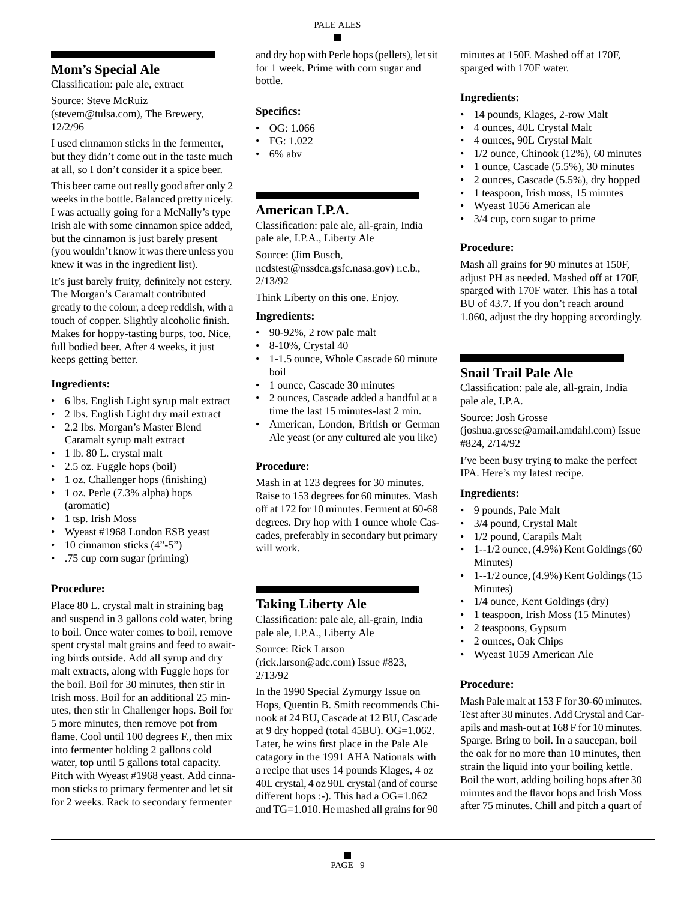# **Mom's Special Ale**

Classification: pale ale, extract

Source: Steve McRuiz (stevem@tulsa.com), The Brewery, 12/2/96

I used cinnamon sticks in the fermenter, but they didn't come out in the taste much at all, so I don't consider it a spice beer.

This beer came out really good after only 2 weeks in the bottle. Balanced pretty nicely. I was actually going for a McNally's type Irish ale with some cinnamon spice added, but the cinnamon is just barely present (you wouldn't know it was there unless you knew it was in the ingredient list).

It's just barely fruity, definitely not estery. The Morgan's Caramalt contributed greatly to the colour, a deep reddish, with a touch of copper. Slightly alcoholic finish. Makes for hoppy-tasting burps, too. Nice, full bodied beer. After 4 weeks, it just keeps getting better.

# **Ingredients:**

- 6 lbs. English Light syrup malt extract
- 2 lbs. English Light dry mail extract
- 2.2 lbs. Morgan's Master Blend Caramalt syrup malt extract
- 1 lb. 80 L. crystal malt
- 2.5 oz. Fuggle hops (boil)
- 1 oz. Challenger hops (finishing)
- 1 oz. Perle (7.3% alpha) hops (aromatic)
- 1 tsp. Irish Moss
- Wyeast #1968 London ESB yeast
- 10 cinnamon sticks (4"-5")
- .75 cup corn sugar (priming)

# **Procedure:**

Place 80 L. crystal malt in straining bag and suspend in 3 gallons cold water, bring to boil. Once water comes to boil, remove spent crystal malt grains and feed to awaiting birds outside. Add all syrup and dry malt extracts, along with Fuggle hops for the boil. Boil for 30 minutes, then stir in Irish moss. Boil for an additional 25 minutes, then stir in Challenger hops. Boil for 5 more minutes, then remove pot from flame. Cool until 100 degrees F., then mix into fermenter holding 2 gallons cold water, top until 5 gallons total capacity. Pitch with Wyeast #1968 yeast. Add cinnamon sticks to primary fermenter and let sit for 2 weeks. Rack to secondary fermenter

and dry hop with Perle hops (pellets), let sit for 1 week. Prime with corn sugar and bottle.

# **Specifics:**

- OG: 1.066
- FG: 1.022
- $6\%$  abv

# **American I.P.A.**

Classification: pale ale, all-grain, India pale ale, I.P.A., Liberty Ale

Source: (Jim Busch, ncdstest@nssdca.gsfc.nasa.gov) r.c.b., 2/13/92

Think Liberty on this one. Enjoy.

# **Ingredients:**

- 90-92%, 2 row pale malt
- 8-10%, Crystal 40
- 1-1.5 ounce, Whole Cascade 60 minute boil
- 1 ounce, Cascade 30 minutes
- 2 ounces, Cascade added a handful at a time the last 15 minutes-last 2 min.
- American, London, British or German Ale yeast (or any cultured ale you like)

# **Procedure:**

Mash in at 123 degrees for 30 minutes. Raise to 153 degrees for 60 minutes. Mash off at 172 for 10 minutes. Ferment at 60-68 degrees. Dry hop with 1 ounce whole Cascades, preferably in secondary but primary will work.

# **Taking Liberty Ale**

Classification: pale ale, all-grain, India pale ale, I.P.A., Liberty Ale

Source: Rick Larson

(rick.larson@adc.com) Issue #823, 2/13/92

In the 1990 Special Zymurgy Issue on Hops, Quentin B. Smith recommends Chinook at 24 BU, Cascade at 12 BU, Cascade at 9 dry hopped (total 45BU). OG=1.062. Later, he wins first place in the Pale Ale catagory in the 1991 AHA Nationals with a recipe that uses 14 pounds Klages, 4 oz 40L crystal, 4 oz 90L crystal (and of course different hops :-). This had a OG=1.062 and TG=1.010. He mashed all grains for 90

minutes at 150F. Mashed off at 170F, sparged with 170F water.

# **Ingredients:**

- 14 pounds, Klages, 2-row Malt
- 4 ounces, 40L Crystal Malt
- 4 ounces, 90L Crystal Malt
- 1/2 ounce, Chinook (12%), 60 minutes
- 1 ounce, Cascade (5.5%), 30 minutes
- 2 ounces, Cascade (5.5%), dry hopped
- 1 teaspoon, Irish moss, 15 minutes
- Wyeast 1056 American ale
- 3/4 cup, corn sugar to prime

# **Procedure:**

Mash all grains for 90 minutes at 150F, adjust PH as needed. Mashed off at 170F, sparged with 170F water. This has a total BU of 43.7. If you don't reach around 1.060, adjust the dry hopping accordingly.

# **Snail Trail Pale Ale**

Classification: pale ale, all-grain, India pale ale, I.P.A.

Source: Josh Grosse

(joshua.grosse@amail.amdahl.com) Issue #824, 2/14/92

I've been busy trying to make the perfect IPA. Here's my latest recipe.

# **Ingredients:**

- 9 pounds, Pale Malt
- 3/4 pound, Crystal Malt
- 1/2 pound, Carapils Malt
- $\cdot$  1--1/2 ounce, (4.9%) Kent Goldings (60 Minutes)
- $\bullet$  1--1/2 ounce, (4.9%) Kent Goldings (15 Minutes)
- 1/4 ounce, Kent Goldings (dry)
- 1 teaspoon, Irish Moss (15 Minutes)
- 2 teaspoons, Gypsum
- 2 ounces, Oak Chips
- Wyeast 1059 American Ale

# **Procedure:**

Mash Pale malt at 153 F for 30-60 minutes. Test after 30 minutes. Add Crystal and Carapils and mash-out at 168 F for 10 minutes. Sparge. Bring to boil. In a saucepan, boil the oak for no more than 10 minutes, then strain the liquid into your boiling kettle. Boil the wort, adding boiling hops after 30 minutes and the flavor hops and Irish Moss after 75 minutes. Chill and pitch a quart of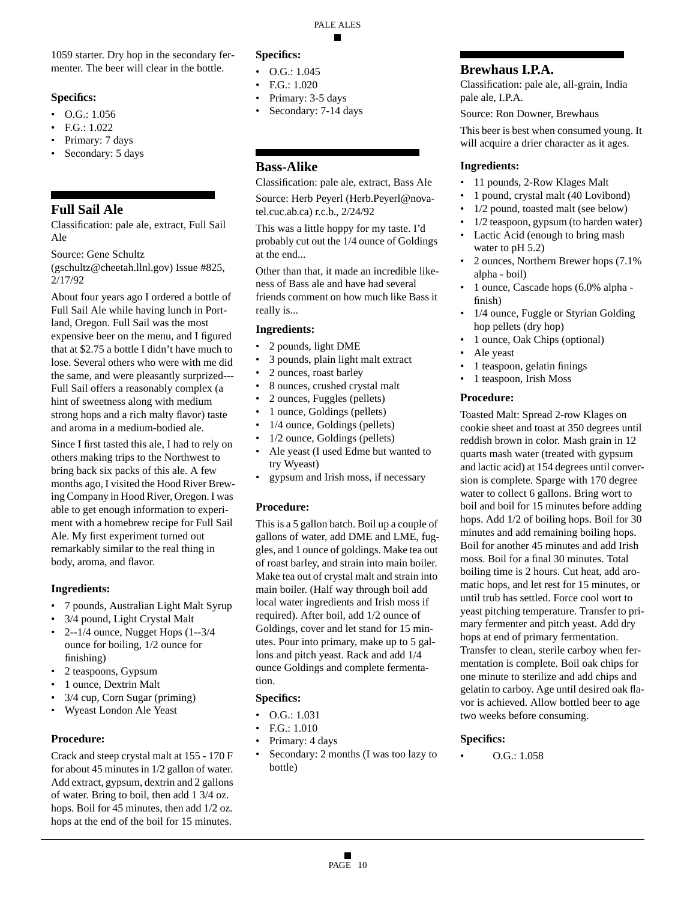1059 starter. Dry hop in the secondary fermenter. The beer will clear in the bottle.

### **Specifics:**

- O.G.: 1.056
- F.G.: 1.022
- Primary: 7 days
- Secondary: 5 days

# **Full Sail Ale**

Classification: pale ale, extract, Full Sail Ale

Source: Gene Schultz

(gschultz@cheetah.llnl.gov) Issue #825, 2/17/92

About four years ago I ordered a bottle of Full Sail Ale while having lunch in Portland, Oregon. Full Sail was the most expensive beer on the menu, and I figured that at \$2.75 a bottle I didn't have much to lose. Several others who were with me did the same, and were pleasantly surprized--- Full Sail offers a reasonably complex (a hint of sweetness along with medium strong hops and a rich malty flavor) taste and aroma in a medium-bodied ale.

Since I first tasted this ale, I had to rely on others making trips to the Northwest to bring back six packs of this ale. A few months ago, I visited the Hood River Brewing Company in Hood River, Oregon. I was able to get enough information to experiment with a homebrew recipe for Full Sail Ale. My first experiment turned out remarkably similar to the real thing in body, aroma, and flavor.

# **Ingredients:**

- 7 pounds, Australian Light Malt Syrup
- 3/4 pound, Light Crystal Malt
- 2--1/4 ounce, Nugget Hops  $(1-3/4)$ ounce for boiling, 1/2 ounce for finishing)
- 2 teaspoons, Gypsum
- 1 ounce, Dextrin Malt
- 3/4 cup, Corn Sugar (priming)
- Wyeast London Ale Yeast

# **Procedure:**

Crack and steep crystal malt at 155 - 170 F for about 45 minutes in 1/2 gallon of water. Add extract, gypsum, dextrin and 2 gallons of water. Bring to boil, then add 1 3/4 oz. hops. Boil for 45 minutes, then add 1/2 oz. hops at the end of the boil for 15 minutes.

# **Specifics:**

- O.G.: 1.045
- F.G.: 1.020
- Primary: 3-5 days
- Secondary: 7-14 days

# **Bass-Alike**

Classification: pale ale, extract, Bass Ale

Source: Herb Peyerl (Herb.Peyerl@novatel.cuc.ab.ca) r.c.b., 2/24/92

This was a little hoppy for my taste. I'd probably cut out the 1/4 ounce of Goldings at the end...

Other than that, it made an incredible likeness of Bass ale and have had several friends comment on how much like Bass it really is...

# **Ingredients:**

- 2 pounds, light DME
- 3 pounds, plain light malt extract
- 2 ounces, roast barley
- 8 ounces, crushed crystal malt
- 2 ounces, Fuggles (pellets)
- 1 ounce, Goldings (pellets)
- 1/4 ounce, Goldings (pellets)
- 1/2 ounce, Goldings (pellets)
- Ale yeast (I used Edme but wanted to try Wyeast)
- gypsum and Irish moss, if necessary

# **Procedure:**

This is a 5 gallon batch. Boil up a couple of gallons of water, add DME and LME, fuggles, and 1 ounce of goldings. Make tea out of roast barley, and strain into main boiler. Make tea out of crystal malt and strain into main boiler. (Half way through boil add local water ingredients and Irish moss if required). After boil, add 1/2 ounce of Goldings, cover and let stand for 15 minutes. Pour into primary, make up to 5 gallons and pitch yeast. Rack and add 1/4 ounce Goldings and complete fermentation.

# **Specifics:**

- O.G.: 1.031
- F.G.: 1.010
- Primary: 4 days
- Secondary: 2 months (I was too lazy to bottle)

# **Brewhaus I.P.A.**

Classification: pale ale, all-grain, India pale ale, I.P.A.

Source: Ron Downer, Brewhaus

This beer is best when consumed young. It will acquire a drier character as it ages.

# **Ingredients:**

- 11 pounds, 2-Row Klages Malt
- 1 pound, crystal malt (40 Lovibond)
- 1/2 pound, toasted malt (see below)
- 1/2 teaspoon, gypsum (to harden water)
- Lactic Acid (enough to bring mash water to pH 5.2)
- 2 ounces, Northern Brewer hops (7.1% alpha - boil)
- 1 ounce, Cascade hops (6.0% alpha finish)
- 1/4 ounce, Fuggle or Styrian Golding hop pellets (dry hop)
- 1 ounce, Oak Chips (optional)
- Ale yeast
- 1 teaspoon, gelatin finings
- 1 teaspoon, Irish Moss

### **Procedure:**

Toasted Malt: Spread 2-row Klages on cookie sheet and toast at 350 degrees until reddish brown in color. Mash grain in 12 quarts mash water (treated with gypsum and lactic acid) at 154 degrees until conversion is complete. Sparge with 170 degree water to collect 6 gallons. Bring wort to boil and boil for 15 minutes before adding hops. Add 1/2 of boiling hops. Boil for 30 minutes and add remaining boiling hops. Boil for another 45 minutes and add Irish moss. Boil for a final 30 minutes. Total boiling time is 2 hours. Cut heat, add aromatic hops, and let rest for 15 minutes, or until trub has settled. Force cool wort to yeast pitching temperature. Transfer to primary fermenter and pitch yeast. Add dry hops at end of primary fermentation. Transfer to clean, sterile carboy when fermentation is complete. Boil oak chips for one minute to sterilize and add chips and gelatin to carboy. Age until desired oak flavor is achieved. Allow bottled beer to age two weeks before consuming.

# **Specifics:**

• O.G.: 1.058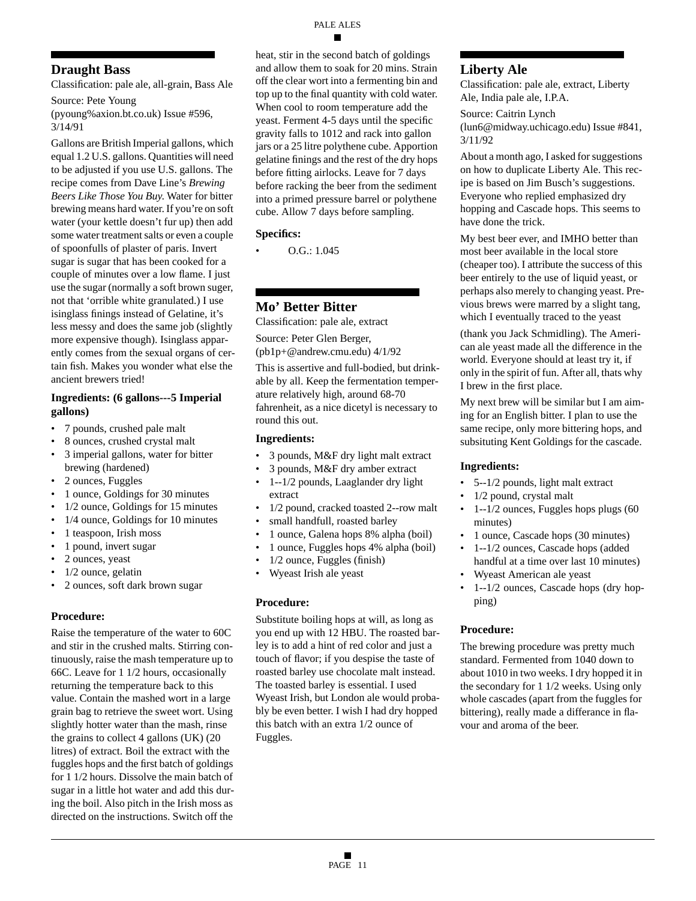# **Draught Bass**

Classification: pale ale, all-grain, Bass Ale

Source: Pete Young

(pyoung%axion.bt.co.uk) Issue #596, 3/14/91

Gallons are British Imperial gallons, which equal 1.2 U.S. gallons. Quantities will need to be adjusted if you use U.S. gallons. The recipe comes from Dave Line's *Brewing Beers Like Those You Buy*. Water for bitter brewing means hard water. If you're on soft water (your kettle doesn't fur up) then add some water treatment salts or even a couple of spoonfulls of plaster of paris. Invert sugar is sugar that has been cooked for a couple of minutes over a low flame. I just use the sugar (normally a soft brown suger, not that 'orrible white granulated.) I use isinglass finings instead of Gelatine, it's less messy and does the same job (slightly more expensive though). Isinglass apparently comes from the sexual organs of certain fish. Makes you wonder what else the ancient brewers tried!

### **Ingredients: (6 gallons---5 Imperial gallons)**

- 7 pounds, crushed pale malt
- 8 ounces, crushed crystal malt
- 3 imperial gallons, water for bitter brewing (hardened)
- 2 ounces, Fuggles
- 1 ounce, Goldings for 30 minutes
- 1/2 ounce, Goldings for 15 minutes
- 1/4 ounce, Goldings for 10 minutes
- 1 teaspoon, Irish moss
- 1 pound, invert sugar
- 2 ounces, yeast
- 1/2 ounce, gelatin
- 2 ounces, soft dark brown sugar

### **Procedure:**

Raise the temperature of the water to 60C and stir in the crushed malts. Stirring continuously, raise the mash temperature up to 66C. Leave for 1 1/2 hours, occasionally returning the temperature back to this value. Contain the mashed wort in a large grain bag to retrieve the sweet wort. Using slightly hotter water than the mash, rinse the grains to collect 4 gallons (UK) (20 litres) of extract. Boil the extract with the fuggles hops and the first batch of goldings for 1 1/2 hours. Dissolve the main batch of sugar in a little hot water and add this during the boil. Also pitch in the Irish moss as directed on the instructions. Switch off the heat, stir in the second batch of goldings and allow them to soak for 20 mins. Strain off the clear wort into a fermenting bin and top up to the final quantity with cold water. When cool to room temperature add the yeast. Ferment 4-5 days until the specific gravity falls to 1012 and rack into gallon jars or a 25 litre polythene cube. Apportion gelatine finings and the rest of the dry hops before fitting airlocks. Leave for 7 days before racking the beer from the sediment into a primed pressure barrel or polythene cube. Allow 7 days before sampling.

### **Specifics:**

• O.G.: 1.045

# **Mo' Better Bitter**

Classification: pale ale, extract

Source: Peter Glen Berger, (pb1p+@andrew.cmu.edu) 4/1/92

This is assertive and full-bodied, but drinkable by all. Keep the fermentation temperature relatively high, around 68-70 fahrenheit, as a nice dicetyl is necessary to round this out.

### **Ingredients:**

- 3 pounds, M&F dry light malt extract
- 3 pounds, M&F dry amber extract
- 1--1/2 pounds, Laaglander dry light extract
- 1/2 pound, cracked toasted 2--row malt
- small handfull, roasted barley
- 1 ounce, Galena hops 8% alpha (boil)
- 1 ounce, Fuggles hops 4% alpha (boil)
- 1/2 ounce, Fuggles (finish)
- Wyeast Irish ale yeast

### **Procedure:**

Substitute boiling hops at will, as long as you end up with 12 HBU. The roasted barley is to add a hint of red color and just a touch of flavor; if you despise the taste of roasted barley use chocolate malt instead. The toasted barley is essential. I used Wyeast Irish, but London ale would probably be even better. I wish I had dry hopped this batch with an extra 1/2 ounce of Fuggles.

# **Liberty Ale**

Classification: pale ale, extract, Liberty Ale, India pale ale, I.P.A.

Source: Caitrin Lynch (lun6@midway.uchicago.edu) Issue #841, 3/11/92

About a month ago, I asked for suggestions on how to duplicate Liberty Ale. This recipe is based on Jim Busch's suggestions. Everyone who replied emphasized dry hopping and Cascade hops. This seems to have done the trick.

My best beer ever, and IMHO better than most beer available in the local store (cheaper too). I attribute the success of this beer entirely to the use of liquid yeast, or perhaps also merely to changing yeast. Previous brews were marred by a slight tang, which I eventually traced to the yeast

(thank you Jack Schmidling). The American ale yeast made all the difference in the world. Everyone should at least try it, if only in the spirit of fun. After all, thats why I brew in the first place.

My next brew will be similar but I am aiming for an English bitter. I plan to use the same recipe, only more bittering hops, and subsituting Kent Goldings for the cascade.

### **Ingredients:**

- 5--1/2 pounds, light malt extract
- 1/2 pound, crystal malt
- 1--1/2 ounces, Fuggles hops plugs (60 minutes)
- 1 ounce, Cascade hops (30 minutes)
- 1--1/2 ounces, Cascade hops (added handful at a time over last 10 minutes)
- Wyeast American ale yeast
- 1--1/2 ounces, Cascade hops (dry hopping)

### **Procedure:**

The brewing procedure was pretty much standard. Fermented from 1040 down to about 1010 in two weeks. I dry hopped it in the secondary for 1 1/2 weeks. Using only whole cascades (apart from the fuggles for bittering), really made a differance in flavour and aroma of the beer.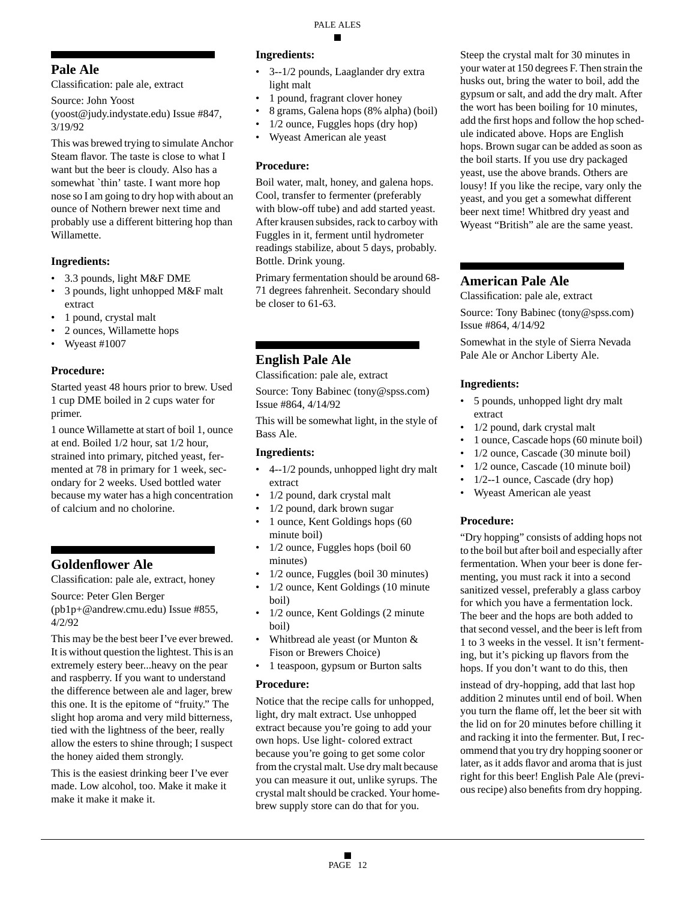# **Pale Ale**

Classification: pale ale, extract

Source: John Yoost

(yoost@judy.indystate.edu) Issue #847, 3/19/92

This was brewed trying to simulate Anchor Steam flavor. The taste is close to what I want but the beer is cloudy. Also has a somewhat `thin' taste. I want more hop nose so I am going to dry hop with about an ounce of Nothern brewer next time and probably use a different bittering hop than Willamette.

# **Ingredients:**

- 3.3 pounds, light M&F DME
- 3 pounds, light unhopped M&F malt extract
- 1 pound, crystal malt
- 2 ounces, Willamette hops
- Wyeast #1007

### **Procedure:**

Started yeast 48 hours prior to brew. Used 1 cup DME boiled in 2 cups water for primer.

1 ounce Willamette at start of boil 1, ounce at end. Boiled 1/2 hour, sat 1/2 hour, strained into primary, pitched yeast, fermented at 78 in primary for 1 week, secondary for 2 weeks. Used bottled water because my water has a high concentration of calcium and no cholorine.

# **Goldenflower Ale**

Classification: pale ale, extract, honey

Source: Peter Glen Berger (pb1p+@andrew.cmu.edu) Issue #855, 4/2/92

This may be the best beer I've ever brewed. It is without question the lightest. This is an extremely estery beer...heavy on the pear and raspberry. If you want to understand the difference between ale and lager, brew this one. It is the epitome of "fruity." The slight hop aroma and very mild bitterness, tied with the lightness of the beer, really allow the esters to shine through; I suspect the honey aided them strongly.

This is the easiest drinking beer I've ever made. Low alcohol, too. Make it make it make it make it make it.

### **Ingredients:**

- 3--1/2 pounds, Laaglander dry extra light malt
- 1 pound, fragrant clover honey
- 8 grams, Galena hops (8% alpha) (boil)
- 1/2 ounce, Fuggles hops (dry hop)
- Wyeast American ale yeast

# **Procedure:**

Boil water, malt, honey, and galena hops. Cool, transfer to fermenter (preferably with blow-off tube) and add started yeast. After krausen subsides, rack to carboy with Fuggles in it, ferment until hydrometer readings stabilize, about 5 days, probably. Bottle. Drink young.

Primary fermentation should be around 68- 71 degrees fahrenheit. Secondary should be closer to 61-63.

# **English Pale Ale**

Classification: pale ale, extract

Source: Tony Babinec (tony@spss.com) Issue #864, 4/14/92

This will be somewhat light, in the style of Bass Ale.

### **Ingredients:**

- 4--1/2 pounds, unhopped light dry malt extract
- 1/2 pound, dark crystal malt
- 1/2 pound, dark brown sugar
- 1 ounce, Kent Goldings hops (60 minute boil)
- 1/2 ounce, Fuggles hops (boil 60 minutes)
- 1/2 ounce, Fuggles (boil 30 minutes)
- 1/2 ounce, Kent Goldings (10 minute boil)
- 1/2 ounce, Kent Goldings (2 minute boil)
- Whitbread ale yeast (or Munton & Fison or Brewers Choice)
- 1 teaspoon, gypsum or Burton salts

### **Procedure:**

Notice that the recipe calls for unhopped, light, dry malt extract. Use unhopped extract because you're going to add your own hops. Use light- colored extract because you're going to get some color from the crystal malt. Use dry malt because you can measure it out, unlike syrups. The crystal malt should be cracked. Your homebrew supply store can do that for you.

Steep the crystal malt for 30 minutes in your water at 150 degrees F. Then strain the husks out, bring the water to boil, add the gypsum or salt, and add the dry malt. After the wort has been boiling for 10 minutes, add the first hops and follow the hop schedule indicated above. Hops are English hops. Brown sugar can be added as soon as the boil starts. If you use dry packaged yeast, use the above brands. Others are lousy! If you like the recipe, vary only the yeast, and you get a somewhat different beer next time! Whitbred dry yeast and Wyeast "British" ale are the same yeast.

# **American Pale Ale**

Classification: pale ale, extract

Source: Tony Babinec (tony@spss.com) Issue #864, 4/14/92

Somewhat in the style of Sierra Nevada Pale Ale or Anchor Liberty Ale.

# **Ingredients:**

- 5 pounds, unhopped light dry malt extract
- 1/2 pound, dark crystal malt
- 1 ounce, Cascade hops (60 minute boil)
- 1/2 ounce, Cascade (30 minute boil)
- 1/2 ounce, Cascade (10 minute boil)
- $1/2$ --1 ounce, Cascade (dry hop)
- Wyeast American ale yeast

# **Procedure:**

"Dry hopping" consists of adding hops not to the boil but after boil and especially after fermentation. When your beer is done fermenting, you must rack it into a second sanitized vessel, preferably a glass carboy for which you have a fermentation lock. The beer and the hops are both added to that second vessel, and the beer is left from 1 to 3 weeks in the vessel. It isn't fermenting, but it's picking up flavors from the hops. If you don't want to do this, then

instead of dry-hopping, add that last hop addition 2 minutes until end of boil. When you turn the flame off, let the beer sit with the lid on for 20 minutes before chilling it and racking it into the fermenter. But, I recommend that you try dry hopping sooner or later, as it adds flavor and aroma that is just right for this beer! English Pale Ale (previous recipe) also benefits from dry hopping.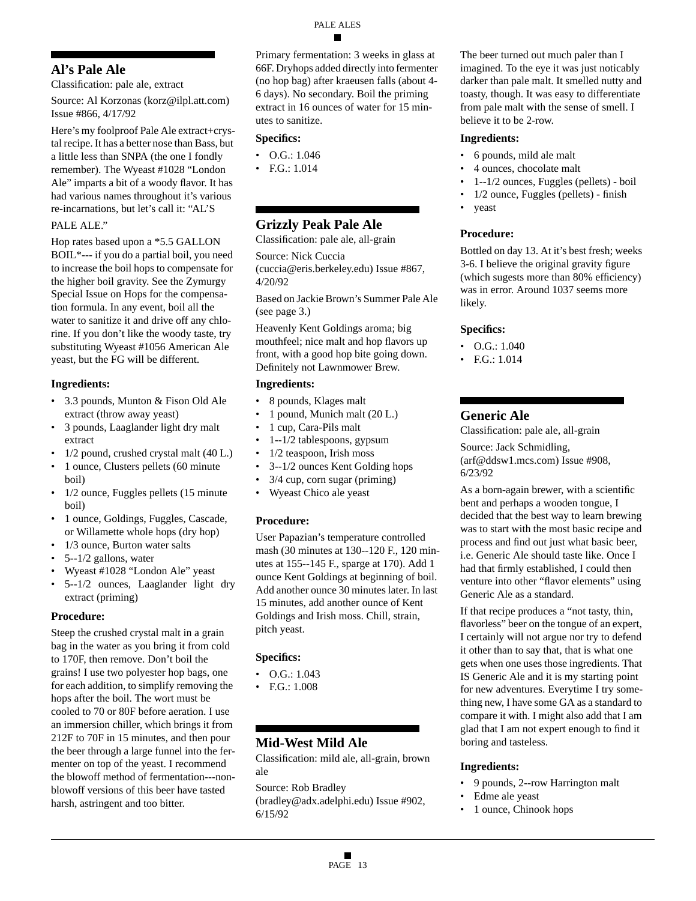# **Al's Pale Ale**

Classification: pale ale, extract

Source: Al Korzonas (korz@ilpl.att.com) Issue #866, 4/17/92

Here's my foolproof Pale Ale extract+crystal recipe. It has a better nose than Bass, but a little less than SNPA (the one I fondly remember). The Wyeast #1028 "London Ale" imparts a bit of a woody flavor. It has had various names throughout it's various re-incarnations, but let's call it: "AL'S

# PALE ALE."

Hop rates based upon a \*5.5 GALLON BOIL\*--- if you do a partial boil, you need to increase the boil hops to compensate for the higher boil gravity. See the Zymurgy Special Issue on Hops for the compensation formula. In any event, boil all the water to sanitize it and drive off any chlorine. If you don't like the woody taste, try substituting Wyeast #1056 American Ale yeast, but the FG will be different.

# **Ingredients:**

- 3.3 pounds, Munton & Fison Old Ale extract (throw away yeast)
- 3 pounds, Laaglander light dry malt extract
- 1/2 pound, crushed crystal malt (40 L.)
- 1 ounce, Clusters pellets (60 minute boil)
- 1/2 ounce, Fuggles pellets (15 minute) boil)
- 1 ounce, Goldings, Fuggles, Cascade, or Willamette whole hops (dry hop)
- 1/3 ounce, Burton water salts
- 5--1/2 gallons, water
- Wyeast #1028 "London Ale" yeast
- 5--1/2 ounces, Laaglander light dry extract (priming)

# **Procedure:**

Steep the crushed crystal malt in a grain bag in the water as you bring it from cold to 170F, then remove. Don't boil the grains! I use two polyester hop bags, one for each addition, to simplify removing the hops after the boil. The wort must be cooled to 70 or 80F before aeration. I use an immersion chiller, which brings it from 212F to 70F in 15 minutes, and then pour the beer through a large funnel into the fermenter on top of the yeast. I recommend the blowoff method of fermentation---nonblowoff versions of this beer have tasted harsh, astringent and too bitter.

Primary fermentation: 3 weeks in glass at 66F. Dryhops added directly into fermenter (no hop bag) after kraeusen falls (about 4- 6 days). No secondary. Boil the priming extract in 16 ounces of water for 15 minutes to sanitize.

# **Specifics:**

- O.G.: 1.046
- F.G.: 1.014

# **Grizzly Peak Pale Ale**

Classification: pale ale, all-grain

Source: Nick Cuccia (cuccia@eris.berkeley.edu) Issue #867, 4/20/92

Based on Jackie Brown's Summer Pale Ale (see page 3.)

Heavenly Kent Goldings aroma; big mouthfeel; nice malt and hop flavors up front, with a good hop bite going down. Definitely not Lawnmower Brew.

# **Ingredients:**

- 8 pounds, Klages malt
- 1 pound, Munich malt (20 L.)
- 1 cup, Cara-Pils malt
- 1--1/2 tablespoons, gypsum
- 1/2 teaspoon, Irish moss
- 3--1/2 ounces Kent Golding hops
- 3/4 cup, corn sugar (priming)
- Wyeast Chico ale yeast

# **Procedure:**

User Papazian's temperature controlled mash (30 minutes at 130--120 F., 120 minutes at 155--145 F., sparge at 170). Add 1 ounce Kent Goldings at beginning of boil. Add another ounce 30 minutes later. In last 15 minutes, add another ounce of Kent Goldings and Irish moss. Chill, strain, pitch yeast.

# **Specifics:**

- O.G.: 1.043
- F.G.: 1.008

# **Mid-West Mild Ale**

Classification: mild ale, all-grain, brown ale

Source: Rob Bradley (bradley@adx.adelphi.edu) Issue #902, 6/15/92

The beer turned out much paler than I imagined. To the eye it was just noticably darker than pale malt. It smelled nutty and toasty, though. It was easy to differentiate from pale malt with the sense of smell. I believe it to be 2-row.

### **Ingredients:**

- 6 pounds, mild ale malt
- 4 ounces, chocolate malt
- 1--1/2 ounces, Fuggles (pellets) boil
- 1/2 ounce, Fuggles (pellets) finish
- yeast

# **Procedure:**

Bottled on day 13. At it's best fresh; weeks 3-6. I believe the original gravity figure (which sugests more than 80% efficiency) was in error. Around 1037 seems more likely.

# **Specifics:**

- $O.G.: 1.040$
- F.G.: 1.014

# **Generic Ale**

Classification: pale ale, all-grain

Source: Jack Schmidling, (arf@ddsw1.mcs.com) Issue #908, 6/23/92

As a born-again brewer, with a scientific bent and perhaps a wooden tongue, I decided that the best way to learn brewing was to start with the most basic recipe and process and find out just what basic beer, i.e. Generic Ale should taste like. Once I had that firmly established, I could then venture into other "flavor elements" using Generic Ale as a standard.

If that recipe produces a "not tasty, thin, flavorless" beer on the tongue of an expert, I certainly will not argue nor try to defend it other than to say that, that is what one gets when one uses those ingredients. That IS Generic Ale and it is my starting point for new adventures. Everytime I try something new, I have some GA as a standard to compare it with. I might also add that I am glad that I am not expert enough to find it boring and tasteless.

# **Ingredients:**

- 9 pounds, 2--row Harrington malt
- Edme ale yeast
- 1 ounce, Chinook hops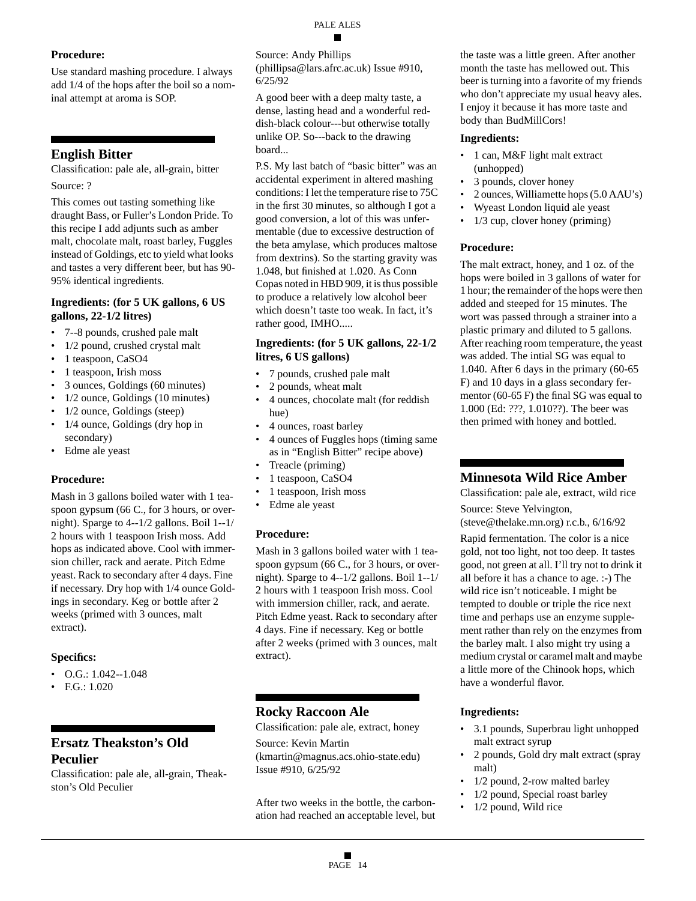# **Procedure:**

Use standard mashing procedure. I always add 1/4 of the hops after the boil so a nominal attempt at aroma is SOP.

# **English Bitter**

Classification: pale ale, all-grain, bitter

Source: ?

This comes out tasting something like draught Bass, or Fuller's London Pride. To this recipe I add adjunts such as amber malt, chocolate malt, roast barley, Fuggles instead of Goldings, etc to yield what looks and tastes a very different beer, but has 90- 95% identical ingredients.

### **Ingredients: (for 5 UK gallons, 6 US gallons, 22-1/2 litres)**

- 7--8 pounds, crushed pale malt
- 1/2 pound, crushed crystal malt
- 1 teaspoon, CaSO4
- 1 teaspoon, Irish moss
- 3 ounces, Goldings (60 minutes)
- 1/2 ounce, Goldings (10 minutes)
- 1/2 ounce, Goldings (steep)
- 1/4 ounce, Goldings (dry hop in secondary)
- Edme ale yeast

# **Procedure:**

Mash in 3 gallons boiled water with 1 teaspoon gypsum (66 C., for 3 hours, or overnight). Sparge to 4--1/2 gallons. Boil 1--1/ 2 hours with 1 teaspoon Irish moss. Add hops as indicated above. Cool with immersion chiller, rack and aerate. Pitch Edme yeast. Rack to secondary after 4 days. Fine if necessary. Dry hop with 1/4 ounce Goldings in secondary. Keg or bottle after 2 weeks (primed with 3 ounces, malt extract).

# **Specifics:**

- O.G.:  $1.042 1.048$
- F.G.: 1.020

# **Ersatz Theakston's Old Peculier**

Classification: pale ale, all-grain, Theakston's Old Peculier

Source: Andy Phillips (phillipsa@lars.afrc.ac.uk) Issue #910, 6/25/92

A good beer with a deep malty taste, a dense, lasting head and a wonderful reddish-black colour---but otherwise totally unlike OP. So---back to the drawing board...

P.S. My last batch of "basic bitter" was an accidental experiment in altered mashing conditions: I let the temperature rise to 75C in the first 30 minutes, so although I got a good conversion, a lot of this was unfermentable (due to excessive destruction of the beta amylase, which produces maltose from dextrins). So the starting gravity was 1.048, but finished at 1.020. As Conn Copas noted in HBD 909, it is thus possible to produce a relatively low alcohol beer which doesn't taste too weak. In fact, it's rather good, IMHO.....

### **Ingredients: (for 5 UK gallons, 22-1/2 litres, 6 US gallons)**

- 7 pounds, crushed pale malt
- 2 pounds, wheat malt
- 4 ounces, chocolate malt (for reddish hue)
- 4 ounces, roast barley
- 4 ounces of Fuggles hops (timing same as in "English Bitter" recipe above)
- Treacle (priming)
- 1 teaspoon, CaSO4
- 1 teaspoon, Irish moss
- Edme ale yeast

# **Procedure:**

Mash in 3 gallons boiled water with 1 teaspoon gypsum (66 C., for 3 hours, or overnight). Sparge to 4--1/2 gallons. Boil 1--1/ 2 hours with 1 teaspoon Irish moss. Cool with immersion chiller, rack, and aerate. Pitch Edme yeast. Rack to secondary after 4 days. Fine if necessary. Keg or bottle after 2 weeks (primed with 3 ounces, malt extract).

# **Rocky Raccoon Ale**

Classification: pale ale, extract, honey

Source: Kevin Martin (kmartin@magnus.acs.ohio-state.edu) Issue #910, 6/25/92

After two weeks in the bottle, the carbonation had reached an acceptable level, but the taste was a little green. After another month the taste has mellowed out. This beer is turning into a favorite of my friends who don't appreciate my usual heavy ales. I enjoy it because it has more taste and body than BudMillCors!

### **Ingredients:**

- 1 can, M&F light malt extract (unhopped)
- 3 pounds, clover honey
- 2 ounces, Williamette hops (5.0 AAU's)
- Wyeast London liquid ale yeast
- 1/3 cup, clover honey (priming)

# **Procedure:**

The malt extract, honey, and 1 oz. of the hops were boiled in 3 gallons of water for 1 hour; the remainder of the hops were then added and steeped for 15 minutes. The wort was passed through a strainer into a plastic primary and diluted to 5 gallons. After reaching room temperature, the yeast was added. The intial SG was equal to 1.040. After 6 days in the primary (60-65 F) and 10 days in a glass secondary fermentor (60-65 F) the final SG was equal to 1.000 (Ed: ???, 1.010??). The beer was then primed with honey and bottled.

# **Minnesota Wild Rice Amber**

Classification: pale ale, extract, wild rice

Source: Steve Yelvington, (steve@thelake.mn.org) r.c.b., 6/16/92

Rapid fermentation. The color is a nice gold, not too light, not too deep. It tastes good, not green at all. I'll try not to drink it all before it has a chance to age. :-) The wild rice isn't noticeable. I might be tempted to double or triple the rice next time and perhaps use an enzyme supplement rather than rely on the enzymes from the barley malt. I also might try using a medium crystal or caramel malt and maybe a little more of the Chinook hops, which have a wonderful flavor.

# **Ingredients:**

- 3.1 pounds, Superbrau light unhopped malt extract syrup
- 2 pounds, Gold dry malt extract (spray malt)
- 1/2 pound, 2-row malted barley
- 1/2 pound, Special roast barley
- 1/2 pound, Wild rice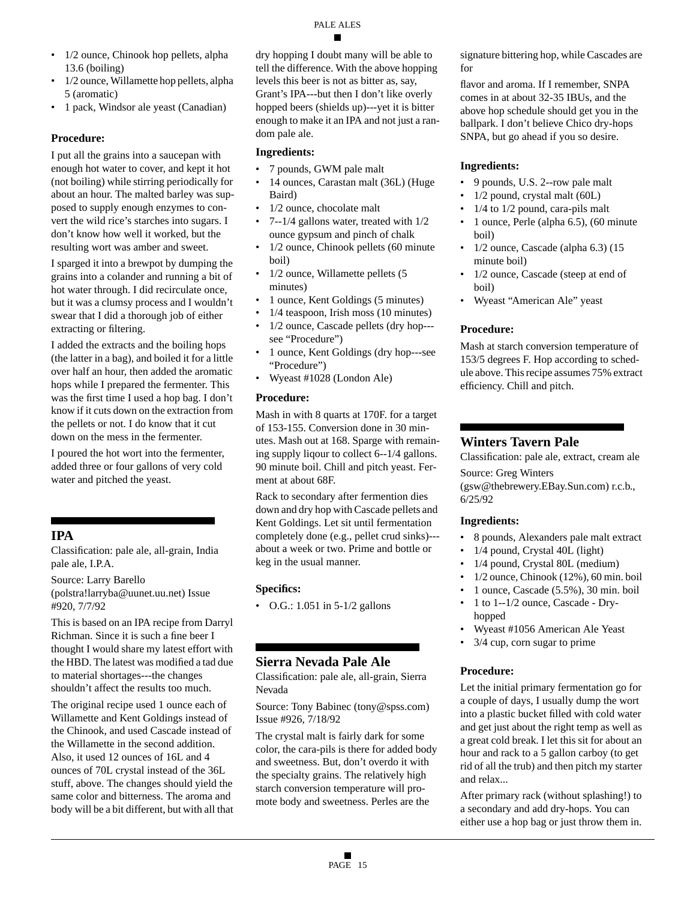- 1/2 ounce, Chinook hop pellets, alpha 13.6 (boiling)
- 1/2 ounce, Willamette hop pellets, alpha 5 (aromatic)
- 1 pack, Windsor ale yeast (Canadian)

### **Procedure:**

I put all the grains into a saucepan with enough hot water to cover, and kept it hot (not boiling) while stirring periodically for about an hour. The malted barley was supposed to supply enough enzymes to convert the wild rice's starches into sugars. I don't know how well it worked, but the resulting wort was amber and sweet.

I sparged it into a brewpot by dumping the grains into a colander and running a bit of hot water through. I did recirculate once, but it was a clumsy process and I wouldn't swear that I did a thorough job of either extracting or filtering.

I added the extracts and the boiling hops (the latter in a bag), and boiled it for a little over half an hour, then added the aromatic hops while I prepared the fermenter. This was the first time I used a hop bag. I don't know if it cuts down on the extraction from the pellets or not. I do know that it cut down on the mess in the fermenter.

I poured the hot wort into the fermenter, added three or four gallons of very cold water and pitched the yeast.

# **IPA**

Classification: pale ale, all-grain, India pale ale, I.P.A.

Source: Larry Barello (polstra!larryba@uunet.uu.net) Issue #920, 7/7/92

This is based on an IPA recipe from Darryl Richman. Since it is such a fine beer I thought I would share my latest effort with the HBD. The latest was modified a tad due to material shortages---the changes shouldn't affect the results too much.

The original recipe used 1 ounce each of Willamette and Kent Goldings instead of the Chinook, and used Cascade instead of the Willamette in the second addition. Also, it used 12 ounces of 16L and 4 ounces of 70L crystal instead of the 36L stuff, above. The changes should yield the same color and bitterness. The aroma and body will be a bit different, but with all that dry hopping I doubt many will be able to tell the difference. With the above hopping levels this beer is not as bitter as, say, Grant's IPA---but then I don't like overly hopped beers (shields up)---yet it is bitter enough to make it an IPA and not just a random pale ale.

### **Ingredients:**

- 7 pounds, GWM pale malt
- 14 ounces, Carastan malt (36L) (Huge Baird)
- 1/2 ounce, chocolate malt
- 7--1/4 gallons water, treated with 1/2 ounce gypsum and pinch of chalk
- 1/2 ounce, Chinook pellets (60 minute) boil)
- 1/2 ounce, Willamette pellets (5 minutes)
- 1 ounce, Kent Goldings (5 minutes)
- 1/4 teaspoon, Irish moss (10 minutes)
- 1/2 ounce, Cascade pellets (dry hop-- see "Procedure")
- 1 ounce, Kent Goldings (dry hop---see "Procedure")
- Wyeast #1028 (London Ale)

### **Procedure:**

Mash in with 8 quarts at 170F. for a target of 153-155. Conversion done in 30 minutes. Mash out at 168. Sparge with remaining supply liqour to collect 6--1/4 gallons. 90 minute boil. Chill and pitch yeast. Ferment at about 68F.

Rack to secondary after fermention dies down and dry hop with Cascade pellets and Kent Goldings. Let sit until fermentation completely done (e.g., pellet crud sinks)-- about a week or two. Prime and bottle or keg in the usual manner.

# **Specifics:**

• O.G.: 1.051 in 5-1/2 gallons

# **Sierra Nevada Pale Ale**

Classification: pale ale, all-grain, Sierra Nevada

Source: Tony Babinec (tony@spss.com) Issue #926, 7/18/92

The crystal malt is fairly dark for some color, the cara-pils is there for added body and sweetness. But, don't overdo it with the specialty grains. The relatively high starch conversion temperature will promote body and sweetness. Perles are the

signature bittering hop, while Cascades are for

flavor and aroma. If I remember, SNPA comes in at about 32-35 IBUs, and the above hop schedule should get you in the ballpark. I don't believe Chico dry-hops SNPA, but go ahead if you so desire.

### **Ingredients:**

- 9 pounds, U.S. 2--row pale malt
- 1/2 pound, crystal malt (60L)
- $1/4$  to  $1/2$  pound, cara-pils malt
- 1 ounce, Perle (alpha 6.5), (60 minute boil)
- 1/2 ounce, Cascade (alpha 6.3) (15 minute boil)
- 1/2 ounce, Cascade (steep at end of boil)
- Wyeast "American Ale" yeast

# **Procedure:**

Mash at starch conversion temperature of 153/5 degrees F. Hop according to schedule above. This recipe assumes 75% extract efficiency. Chill and pitch.

# **Winters Tavern Pale**

Classification: pale ale, extract, cream ale

Source: Greg Winters

(gsw@thebrewery.EBay.Sun.com) r.c.b., 6/25/92

### **Ingredients:**

- 8 pounds, Alexanders pale malt extract
- 1/4 pound, Crystal 40L (light)
- 1/4 pound, Crystal 80L (medium)
- 1/2 ounce, Chinook (12%), 60 min. boil
- 1 ounce, Cascade (5.5%), 30 min. boil
- 1 to 1--1/2 ounce, Cascade Dryhopped
- Wyeast #1056 American Ale Yeast
- $3/4$  cup, corn sugar to prime

# **Procedure:**

Let the initial primary fermentation go for a couple of days, I usually dump the wort into a plastic bucket filled with cold water and get just about the right temp as well as a great cold break. I let this sit for about an hour and rack to a 5 gallon carboy (to get rid of all the trub) and then pitch my starter and relax...

After primary rack (without splashing!) to a secondary and add dry-hops. You can either use a hop bag or just throw them in.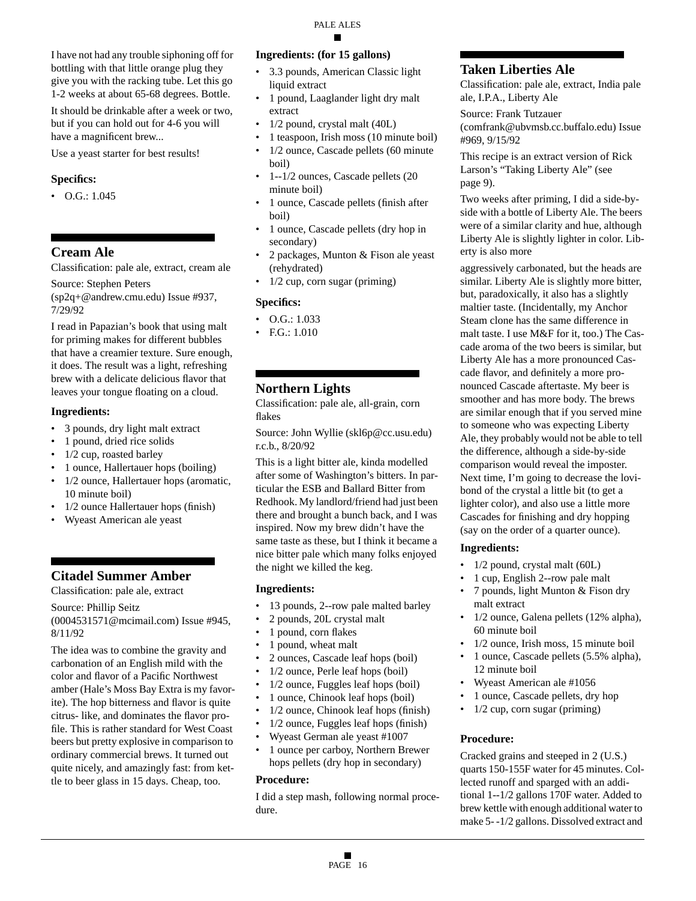I have not had any trouble siphoning off for bottling with that little orange plug they give you with the racking tube. Let this go 1-2 weeks at about 65-68 degrees. Bottle.

It should be drinkable after a week or two, but if you can hold out for 4-6 you will have a magnificent brew...

Use a yeast starter for best results!

### **Specifics:**

 $\bullet$  O.G.: 1.045

# **Cream Ale**

Classification: pale ale, extract, cream ale

Source: Stephen Peters

(sp2q+@andrew.cmu.edu) Issue #937, 7/29/92

I read in Papazian's book that using malt for priming makes for different bubbles that have a creamier texture. Sure enough, it does. The result was a light, refreshing brew with a delicate delicious flavor that leaves your tongue floating on a cloud.

#### **Ingredients:**

- 3 pounds, dry light malt extract
- 1 pound, dried rice solids
- 1/2 cup, roasted barley
- 1 ounce, Hallertauer hops (boiling)
- 1/2 ounce, Hallertauer hops (aromatic, 10 minute boil)
- 1/2 ounce Hallertauer hops (finish)
- Wyeast American ale yeast

# **Citadel Summer Amber**

Classification: pale ale, extract

Source: Phillip Seitz

(0004531571@mcimail.com) Issue #945, 8/11/92

The idea was to combine the gravity and carbonation of an English mild with the color and flavor of a Pacific Northwest amber (Hale's Moss Bay Extra is my favorite). The hop bitterness and flavor is quite citrus- like, and dominates the flavor profile. This is rather standard for West Coast beers but pretty explosive in comparison to ordinary commercial brews. It turned out quite nicely, and amazingly fast: from kettle to beer glass in 15 days. Cheap, too.

### **Ingredients: (for 15 gallons)**

- 3.3 pounds, American Classic light liquid extract
- 1 pound, Laaglander light dry malt extract
- 1/2 pound, crystal malt (40L)
- 1 teaspoon, Irish moss (10 minute boil)
- 1/2 ounce, Cascade pellets (60 minute boil)
- 1--1/2 ounces, Cascade pellets (20 minute boil)
- 1 ounce, Cascade pellets (finish after boil)
- 1 ounce, Cascade pellets (dry hop in secondary)
- 2 packages, Munton & Fison ale yeast (rehydrated)
- 1/2 cup, corn sugar (priming)

### **Specifics:**

- $\bullet$  O.G.: 1.033
- F.G.: 1.010

# **Northern Lights**

Classification: pale ale, all-grain, corn flakes

Source: John Wyllie (skl6p@cc.usu.edu) r.c.b., 8/20/92

This is a light bitter ale, kinda modelled after some of Washington's bitters. In particular the ESB and Ballard Bitter from Redhook. My landlord/friend had just been there and brought a bunch back, and I was inspired. Now my brew didn't have the same taste as these, but I think it became a nice bitter pale which many folks enjoyed the night we killed the keg.

### **Ingredients:**

- 13 pounds, 2--row pale malted barley
- 2 pounds, 20L crystal malt
- 1 pound, corn flakes
- 1 pound, wheat malt
- 2 ounces, Cascade leaf hops (boil)
- 1/2 ounce, Perle leaf hops (boil)
- 1/2 ounce, Fuggles leaf hops (boil)
- 1 ounce, Chinook leaf hops (boil)
- 1/2 ounce, Chinook leaf hops (finish)
- 1/2 ounce, Fuggles leaf hops (finish)
- Wyeast German ale yeast #1007
- 1 ounce per carboy, Northern Brewer hops pellets (dry hop in secondary)

#### **Procedure:**

I did a step mash, following normal procedure.

# **Taken Liberties Ale**

Classification: pale ale, extract, India pale ale, I.P.A., Liberty Ale

Source: Frank Tutzauer (comfrank@ubvmsb.cc.buffalo.edu) Issue #969, 9/15/92

This recipe is an extract version of Rick Larson's "Taking Liberty Ale" (see page 9).

Two weeks after priming, I did a side-byside with a bottle of Liberty Ale. The beers were of a similar clarity and hue, although Liberty Ale is slightly lighter in color. Liberty is also more

aggressively carbonated, but the heads are similar. Liberty Ale is slightly more bitter, but, paradoxically, it also has a slightly maltier taste. (Incidentally, my Anchor Steam clone has the same difference in malt taste. I use M&F for it, too.) The Cascade aroma of the two beers is similar, but Liberty Ale has a more pronounced Cascade flavor, and definitely a more pronounced Cascade aftertaste. My beer is smoother and has more body. The brews are similar enough that if you served mine to someone who was expecting Liberty Ale, they probably would not be able to tell the difference, although a side-by-side comparison would reveal the imposter. Next time, I'm going to decrease the lovibond of the crystal a little bit (to get a lighter color), and also use a little more Cascades for finishing and dry hopping (say on the order of a quarter ounce).

### **Ingredients:**

- 1/2 pound, crystal malt (60L)
- 1 cup, English 2--row pale malt
- 7 pounds, light Munton & Fison dry malt extract
- 1/2 ounce, Galena pellets (12% alpha), 60 minute boil
- 1/2 ounce, Irish moss, 15 minute boil
- 1 ounce, Cascade pellets (5.5% alpha), 12 minute boil
- Wyeast American ale #1056
- 1 ounce, Cascade pellets, dry hop
- $1/2$  cup, corn sugar (priming)

### **Procedure:**

Cracked grains and steeped in 2 (U.S.) quarts 150-155F water for 45 minutes. Collected runoff and sparged with an additional 1--1/2 gallons 170F water. Added to brew kettle with enough additional water to make 5- -1/2 gallons. Dissolved extract and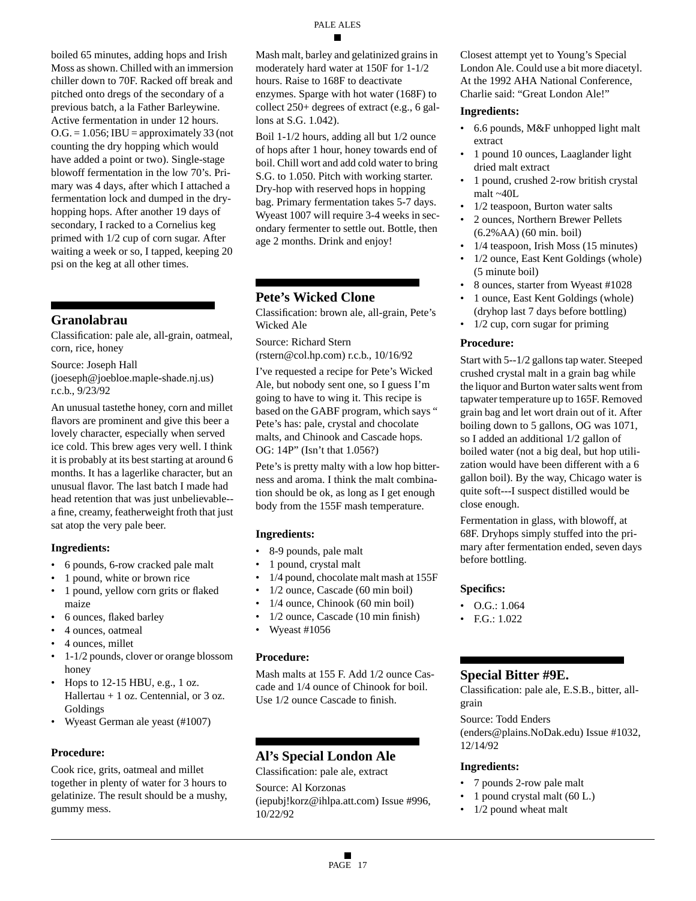boiled 65 minutes, adding hops and Irish Moss as shown. Chilled with an immersion chiller down to 70F. Racked off break and pitched onto dregs of the secondary of a previous batch, a la Father Barleywine. Active fermentation in under 12 hours.  $O.G. = 1.056$ ; IBU = approximately 33 (not counting the dry hopping which would have added a point or two). Single-stage blowoff fermentation in the low 70's. Primary was 4 days, after which I attached a fermentation lock and dumped in the dryhopping hops. After another 19 days of secondary, I racked to a Cornelius keg primed with 1/2 cup of corn sugar. After waiting a week or so, I tapped, keeping 20 psi on the keg at all other times.

# **Granolabrau**

Classification: pale ale, all-grain, oatmeal, corn, rice, honey

Source: Joseph Hall

(joeseph@joebloe.maple-shade.nj.us) r.c.b., 9/23/92

An unusual tastethe honey, corn and millet flavors are prominent and give this beer a lovely character, especially when served ice cold. This brew ages very well. I think it is probably at its best starting at around 6 months. It has a lagerlike character, but an unusual flavor. The last batch I made had head retention that was just unbelievable- a fine, creamy, featherweight froth that just sat atop the very pale beer.

### **Ingredients:**

- 6 pounds, 6-row cracked pale malt
- 1 pound, white or brown rice
- 1 pound, yellow corn grits or flaked maize
- 6 ounces, flaked barley
- 4 ounces, oatmeal
- 4 ounces, millet
- 1-1/2 pounds, clover or orange blossom honey
- Hops to  $12-15$  HBU, e.g., 1 oz. Hallertau  $+1$  oz. Centennial, or 3 oz. Goldings
- Wyeast German ale yeast (#1007)

### **Procedure:**

Cook rice, grits, oatmeal and millet together in plenty of water for 3 hours to gelatinize. The result should be a mushy, gummy mess.

Mash malt, barley and gelatinized grains in moderately hard water at 150F for 1-1/2 hours. Raise to 168F to deactivate enzymes. Sparge with hot water (168F) to collect 250+ degrees of extract (e.g., 6 gallons at S.G. 1.042).

PALE ALES

Boil 1-1/2 hours, adding all but 1/2 ounce of hops after 1 hour, honey towards end of boil. Chill wort and add cold water to bring S.G. to 1.050. Pitch with working starter. Dry-hop with reserved hops in hopping bag. Primary fermentation takes 5-7 days. Wyeast 1007 will require 3-4 weeks in secondary fermenter to settle out. Bottle, then age 2 months. Drink and enjoy!

# **Pete's Wicked Clone**

Classification: brown ale, all-grain, Pete's Wicked Ale

Source: Richard Stern

(rstern@col.hp.com) r.c.b., 10/16/92

I've requested a recipe for Pete's Wicked Ale, but nobody sent one, so I guess I'm going to have to wing it. This recipe is based on the GABF program, which says " Pete's has: pale, crystal and chocolate malts, and Chinook and Cascade hops. OG: 14P" (Isn't that 1.056?)

Pete's is pretty malty with a low hop bitterness and aroma. I think the malt combination should be ok, as long as I get enough body from the 155F mash temperature.

### **Ingredients:**

- 8-9 pounds, pale malt
- 1 pound, crystal malt
- 1/4 pound, chocolate malt mash at 155F
- 1/2 ounce, Cascade (60 min boil)
- 1/4 ounce, Chinook (60 min boil)
- 1/2 ounce, Cascade (10 min finish)
- Wyeast #1056

### **Procedure:**

Mash malts at 155 F. Add 1/2 ounce Cascade and 1/4 ounce of Chinook for boil. Use 1/2 ounce Cascade to finish.

# **Al's Special London Ale**

Classification: pale ale, extract

Source: Al Korzonas (iepubj!korz@ihlpa.att.com) Issue #996, 10/22/92

Closest attempt yet to Young's Special London Ale. Could use a bit more diacetyl. At the 1992 AHA National Conference, Charlie said: "Great London Ale!"

### **Ingredients:**

- 6.6 pounds, M&F unhopped light malt extract
- 1 pound 10 ounces, Laaglander light dried malt extract
- 1 pound, crushed 2-row british crystal malt ~40L
- 1/2 teaspoon, Burton water salts
- 2 ounces, Northern Brewer Pellets (6.2%AA) (60 min. boil)
- 1/4 teaspoon, Irish Moss (15 minutes)
- 1/2 ounce, East Kent Goldings (whole) (5 minute boil)
- 8 ounces, starter from Wyeast #1028
- 1 ounce, East Kent Goldings (whole) (dryhop last 7 days before bottling)
- $1/2$  cup, corn sugar for priming

### **Procedure:**

Start with 5--1/2 gallons tap water. Steeped crushed crystal malt in a grain bag while the liquor and Burton water salts went from tapwater temperature up to 165F. Removed grain bag and let wort drain out of it. After boiling down to 5 gallons, OG was 1071, so I added an additional 1/2 gallon of boiled water (not a big deal, but hop utilization would have been different with a 6 gallon boil). By the way, Chicago water is quite soft---I suspect distilled would be close enough.

Fermentation in glass, with blowoff, at 68F. Dryhops simply stuffed into the primary after fermentation ended, seven days before bottling.

### **Specifics:**

- O.G.: 1.064
- F.G.: 1.022

# **Special Bitter #9E.**

Classification: pale ale, E.S.B., bitter, allgrain

#### Source: Todd Enders (enders@plains.NoDak.edu) Issue #1032, 12/14/92

# **Ingredients:**

- 7 pounds 2-row pale malt
- 1 pound crystal malt (60 L.)
- 1/2 pound wheat malt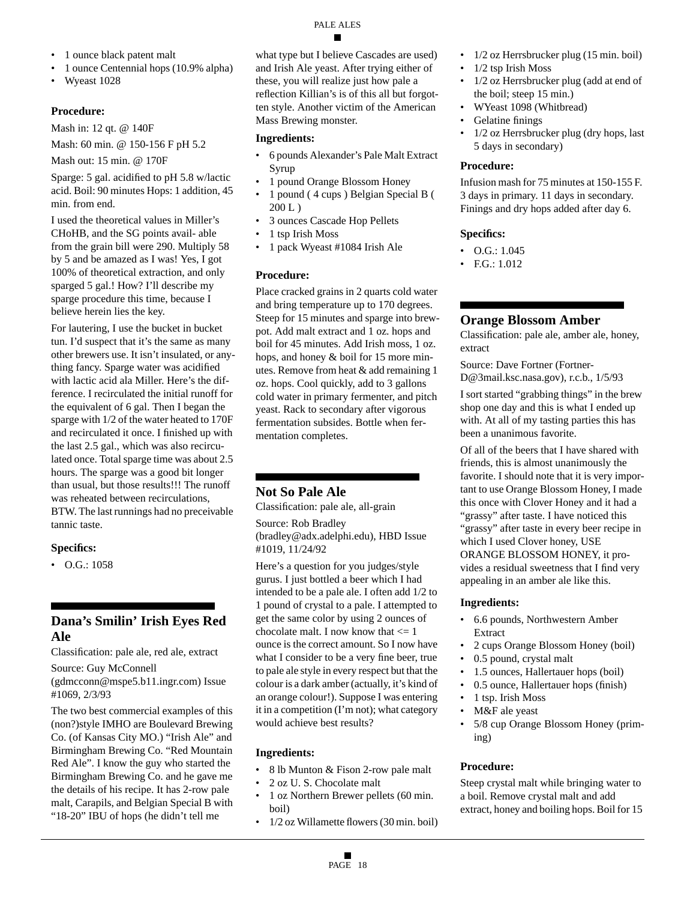- 1 ounce black patent malt
- 1 ounce Centennial hops (10.9% alpha)
- Wyeast 1028

### **Procedure:**

Mash in: 12 qt. @ 140F

Mash: 60 min. @ 150-156 F pH 5.2

Mash out: 15 min. @ 170F

Sparge: 5 gal. acidified to pH 5.8 w/lactic acid. Boil: 90 minutes Hops: 1 addition, 45 min. from end.

I used the theoretical values in Miller's CHoHB, and the SG points avail- able from the grain bill were 290. Multiply 58 by 5 and be amazed as I was! Yes, I got 100% of theoretical extraction, and only sparged 5 gal.! How? I'll describe my sparge procedure this time, because I believe herein lies the key.

For lautering, I use the bucket in bucket tun. I'd suspect that it's the same as many other brewers use. It isn't insulated, or anything fancy. Sparge water was acidified with lactic acid ala Miller. Here's the difference. I recirculated the initial runoff for the equivalent of 6 gal. Then I began the sparge with 1/2 of the water heated to 170F and recirculated it once. I finished up with the last 2.5 gal., which was also recirculated once. Total sparge time was about 2.5 hours. The sparge was a good bit longer than usual, but those results!!! The runoff was reheated between recirculations, BTW. The last runnings had no preceivable tannic taste.

# **Specifics:**

• O.G.: 1058

# **Dana's Smilin' Irish Eyes Red Ale**

Classification: pale ale, red ale, extract

Source: Guy McConnell (gdmcconn@mspe5.b11.ingr.com) Issue #1069, 2/3/93

The two best commercial examples of this (non?)style IMHO are Boulevard Brewing Co. (of Kansas City MO.) "Irish Ale" and Birmingham Brewing Co. "Red Mountain Red Ale". I know the guy who started the Birmingham Brewing Co. and he gave me the details of his recipe. It has 2-row pale malt, Carapils, and Belgian Special B with "18-20" IBU of hops (he didn't tell me

what type but I believe Cascades are used) and Irish Ale yeast. After trying either of these, you will realize just how pale a reflection Killian's is of this all but forgotten style. Another victim of the American Mass Brewing monster.

### **Ingredients:**

- 6 pounds Alexander's Pale Malt Extract Syrup
- 1 pound Orange Blossom Honey
- 1 pound ( 4 cups ) Belgian Special B ( 200 L )
- 3 ounces Cascade Hop Pellets
- 1 tsp Irish Moss
- 1 pack Wyeast #1084 Irish Ale

# **Procedure:**

Place cracked grains in 2 quarts cold water and bring temperature up to 170 degrees. Steep for 15 minutes and sparge into brewpot. Add malt extract and 1 oz. hops and boil for 45 minutes. Add Irish moss, 1 oz. hops, and honey & boil for 15 more minutes. Remove from heat & add remaining 1 oz. hops. Cool quickly, add to 3 gallons cold water in primary fermenter, and pitch yeast. Rack to secondary after vigorous fermentation subsides. Bottle when fermentation completes.

# **Not So Pale Ale**

Classification: pale ale, all-grain

Source: Rob Bradley (bradley@adx.adelphi.edu), HBD Issue #1019, 11/24/92

Here's a question for you judges/style gurus. I just bottled a beer which I had intended to be a pale ale. I often add 1/2 to 1 pound of crystal to a pale. I attempted to get the same color by using 2 ounces of chocolate malt. I now know that <= 1 ounce is the correct amount. So I now have what I consider to be a very fine beer, true to pale ale style in every respect but that the colour is a dark amber (actually, it's kind of an orange colour!). Suppose I was entering it in a competition (I'm not); what category would achieve best results?

# **Ingredients:**

- 8 lb Munton & Fison 2-row pale malt
- 2 oz U. S. Chocolate malt • 1 oz Northern Brewer pellets (60 min. boil)
- 1/2 oz Willamette flowers (30 min. boil)
- 1/2 oz Herrsbrucker plug (15 min. boil)
- 1/2 tsp Irish Moss
- 1/2 oz Herrsbrucker plug (add at end of the boil; steep 15 min.)
- WYeast 1098 (Whitbread)
- Gelatine finings
- 1/2 oz Herrsbrucker plug (dry hops, last 5 days in secondary)

### **Procedure:**

Infusion mash for 75 minutes at 150-155 F. 3 days in primary. 11 days in secondary. Finings and dry hops added after day 6.

# **Specifics:**

- O.G.: 1.045
- F.G.: 1.012

# **Orange Blossom Amber**

Classification: pale ale, amber ale, honey, extract

Source: Dave Fortner (Fortner-D@3mail.ksc.nasa.gov), r.c.b., 1/5/93

I sort started "grabbing things" in the brew shop one day and this is what I ended up with. At all of my tasting parties this has been a unanimous favorite.

Of all of the beers that I have shared with friends, this is almost unanimously the favorite. I should note that it is very important to use Orange Blossom Honey, I made this once with Clover Honey and it had a "grassy" after taste. I have noticed this "grassy" after taste in every beer recipe in which I used Clover honey, USE ORANGE BLOSSOM HONEY, it provides a residual sweetness that I find very appealing in an amber ale like this.

# **Ingredients:**

- 6.6 pounds, Northwestern Amber Extract
- 2 cups Orange Blossom Honey (boil)
- 0.5 pound, crystal malt
- 1.5 ounces, Hallertauer hops (boil)
- 0.5 ounce, Hallertauer hops (finish)
- 1 tsp. Irish Moss
- M&F ale yeast
- 5/8 cup Orange Blossom Honey (priming)

# **Procedure:**

Steep crystal malt while bringing water to a boil. Remove crystal malt and add extract, honey and boiling hops. Boil for 15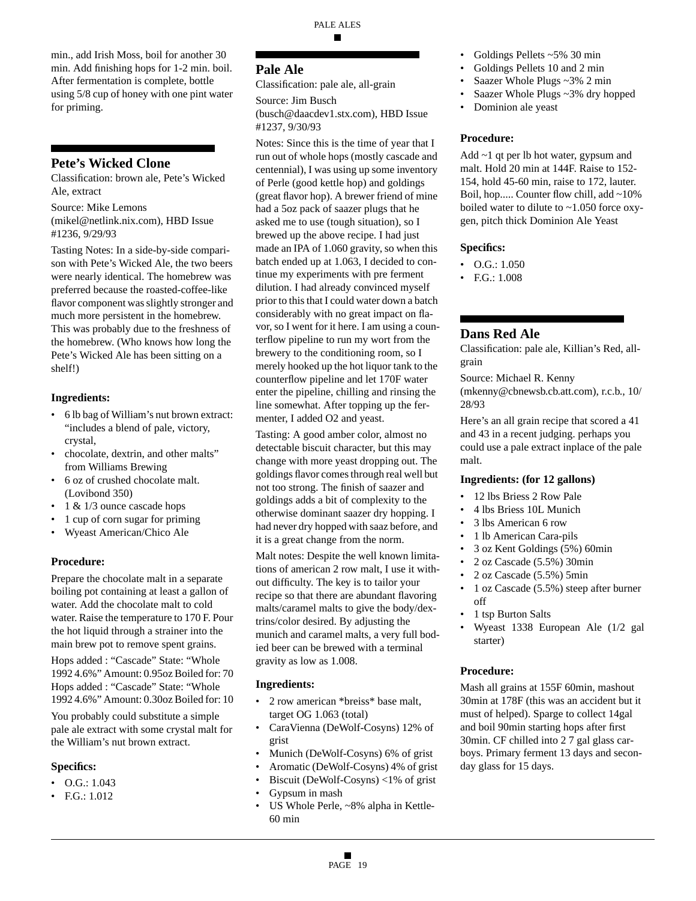min., add Irish Moss, boil for another 30 min. Add finishing hops for 1-2 min. boil. After fermentation is complete, bottle using 5/8 cup of honey with one pint water for priming.

### **Pete's Wicked Clone**

Classification: brown ale, Pete's Wicked Ale, extract

Source: Mike Lemons (mikel@netlink.nix.com), HBD Issue #1236, 9/29/93

Tasting Notes: In a side-by-side comparison with Pete's Wicked Ale, the two beers were nearly identical. The homebrew was preferred because the roasted-coffee-like flavor component was slightly stronger and much more persistent in the homebrew. This was probably due to the freshness of the homebrew. (Who knows how long the Pete's Wicked Ale has been sitting on a shelf!)

#### **Ingredients:**

- 6 lb bag of William's nut brown extract: "includes a blend of pale, victory, crystal,
- chocolate, dextrin, and other malts" from Williams Brewing
- 6 oz of crushed chocolate malt. (Lovibond 350)
- 1 & 1/3 ounce cascade hops
- 1 cup of corn sugar for priming
- Wyeast American/Chico Ale

#### **Procedure:**

Prepare the chocolate malt in a separate boiling pot containing at least a gallon of water. Add the chocolate malt to cold water. Raise the temperature to 170 F. Pour the hot liquid through a strainer into the main brew pot to remove spent grains.

Hops added : "Cascade" State: "Whole 1992 4.6%" Amount: 0.95oz Boiled for: 70 Hops added : "Cascade" State: "Whole 1992 4.6%" Amount: 0.30oz Boiled for: 10

You probably could substitute a simple pale ale extract with some crystal malt for the William's nut brown extract.

#### **Specifics:**

- O.G.: 1.043
- F.G.: 1.012

### **Pale Ale**

Classification: pale ale, all-grain

Source: Jim Busch

(busch@daacdev1.stx.com), HBD Issue #1237, 9/30/93

Notes: Since this is the time of year that I run out of whole hops (mostly cascade and centennial), I was using up some inventory of Perle (good kettle hop) and goldings (great flavor hop). A brewer friend of mine had a 5oz pack of saazer plugs that he asked me to use (tough situation), so I brewed up the above recipe. I had just made an IPA of 1.060 gravity, so when this batch ended up at 1.063, I decided to continue my experiments with pre ferment dilution. I had already convinced myself prior to this that I could water down a batch considerably with no great impact on flavor, so I went for it here. I am using a counterflow pipeline to run my wort from the brewery to the conditioning room, so I merely hooked up the hot liquor tank to the counterflow pipeline and let 170F water enter the pipeline, chilling and rinsing the line somewhat. After topping up the fermenter, I added O2 and yeast.

Tasting: A good amber color, almost no detectable biscuit character, but this may change with more yeast dropping out. The goldings flavor comes through real well but not too strong. The finish of saazer and goldings adds a bit of complexity to the otherwise dominant saazer dry hopping. I had never dry hopped with saaz before, and it is a great change from the norm.

Malt notes: Despite the well known limitations of american 2 row malt, I use it without difficulty. The key is to tailor your recipe so that there are abundant flavoring malts/caramel malts to give the body/dextrins/color desired. By adjusting the munich and caramel malts, a very full bodied beer can be brewed with a terminal gravity as low as 1.008.

#### **Ingredients:**

- 2 row american \*breiss\* base malt, target OG 1.063 (total)
- CaraVienna (DeWolf-Cosyns) 12% of grist
- Munich (DeWolf-Cosyns) 6% of grist
- Aromatic (DeWolf-Cosyns) 4% of grist
- Biscuit (DeWolf-Cosyns) <1% of grist
- Gypsum in mash
- US Whole Perle, ~8% alpha in Kettle-60 min
- Goldings Pellets ~5% 30 min
- Goldings Pellets 10 and 2 min
- Saazer Whole Plugs ~3% 2 min
- Saazer Whole Plugs ~3% dry hopped
- Dominion ale yeast

#### **Procedure:**

Add ~1 qt per lb hot water, gypsum and malt. Hold 20 min at 144F. Raise to 152- 154, hold 45-60 min, raise to 172, lauter. Boil, hop..... Counter flow chill, add ~10% boiled water to dilute to ~1.050 force oxygen, pitch thick Dominion Ale Yeast

#### **Specifics:**

- O.G.: 1.050
- F.G.: 1.008

### **Dans Red Ale**

Classification: pale ale, Killian's Red, allgrain

Source: Michael R. Kenny (mkenny@cbnewsb.cb.att.com), r.c.b., 10/ 28/93

Here's an all grain recipe that scored a 41 and 43 in a recent judging. perhaps you could use a pale extract inplace of the pale malt.

#### **Ingredients: (for 12 gallons)**

- 12 lbs Briess 2 Row Pale
- 4 lbs Briess 10L Munich
- 3 lbs American 6 row
- 1 lb American Cara-pils
- 3 oz Kent Goldings (5%) 60min
- 2 oz Cascade (5.5%) 30min
- 2 oz Cascade (5.5%) 5min
- 1 oz Cascade (5.5%) steep after burner off
- 1 tsp Burton Salts
- Wyeast 1338 European Ale (1/2 gal starter)

#### **Procedure:**

Mash all grains at 155F 60min, mashout 30min at 178F (this was an accident but it must of helped). Sparge to collect 14gal and boil 90min starting hops after first 30min. CF chilled into 2 7 gal glass carboys. Primary ferment 13 days and seconday glass for 15 days.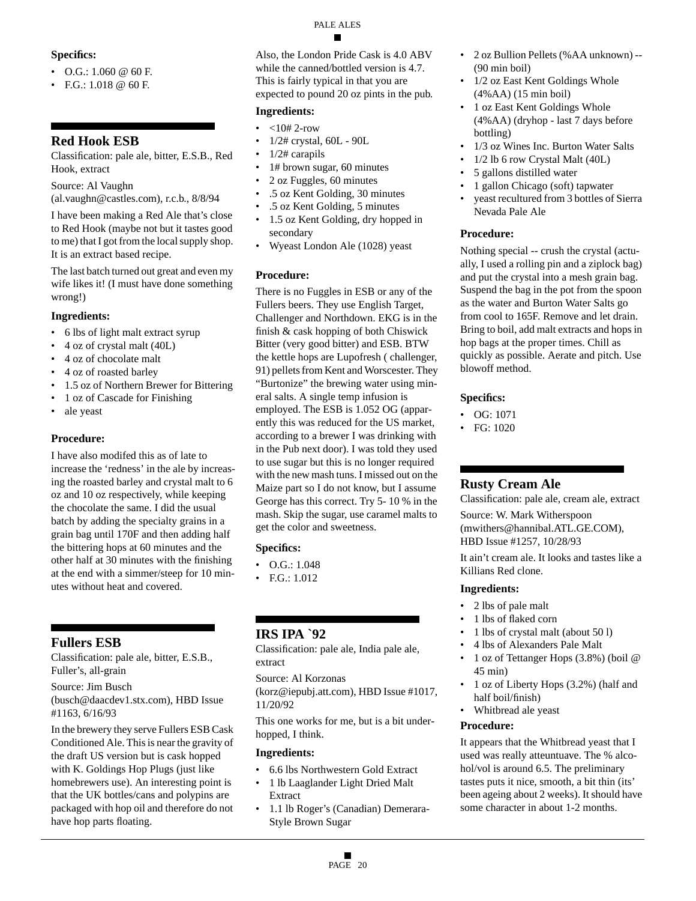### **Specifics:**

- $O.G.: 1.060 @ 60 F.$
- F.G.: 1.018 @ 60 F.

# **Red Hook ESB**

Classification: pale ale, bitter, E.S.B., Red Hook, extract

Source: Al Vaughn

(al.vaughn@castles.com), r.c.b., 8/8/94

I have been making a Red Ale that's close to Red Hook (maybe not but it tastes good to me) that I got from the local supply shop. It is an extract based recipe.

The last batch turned out great and even my wife likes it! (I must have done something wrong!)

# **Ingredients:**

- 6 lbs of light malt extract syrup
- 4 oz of crystal malt (40L)
- 4 oz of chocolate malt
- 4 oz of roasted barley
- 1.5 oz of Northern Brewer for Bittering
- 1 oz of Cascade for Finishing
- ale yeast

# **Procedure:**

I have also modifed this as of late to increase the 'redness' in the ale by increasing the roasted barley and crystal malt to 6 oz and 10 oz respectively, while keeping the chocolate the same. I did the usual batch by adding the specialty grains in a grain bag until 170F and then adding half the bittering hops at 60 minutes and the other half at 30 minutes with the finishing at the end with a simmer/steep for 10 minutes without heat and covered.

# **Fullers ESB**

Classification: pale ale, bitter, E.S.B., Fuller's, all-grain

Source: Jim Busch (busch@daacdev1.stx.com), HBD Issue #1163, 6/16/93

In the brewery they serve Fullers ESB Cask Conditioned Ale. This is near the gravity of the draft US version but is cask hopped with K. Goldings Hop Plugs (just like homebrewers use). An interesting point is that the UK bottles/cans and polypins are packaged with hop oil and therefore do not have hop parts floating.

Also, the London Pride Cask is 4.0 ABV while the canned/bottled version is 4.7. This is fairly typical in that you are expected to pound 20 oz pints in the pub.

# **Ingredients:**

- $<10# 2$ -row
- 1/2# crystal, 60L 90L
- 1/2# carapils
- 1# brown sugar, 60 minutes
- 2 oz Fuggles, 60 minutes
- .5 oz Kent Golding, 30 minutes
- .5 oz Kent Golding, 5 minutes
- 1.5 oz Kent Golding, dry hopped in secondary
- Wyeast London Ale (1028) yeast

### **Procedure:**

There is no Fuggles in ESB or any of the Fullers beers. They use English Target, Challenger and Northdown. EKG is in the finish & cask hopping of both Chiswick Bitter (very good bitter) and ESB. BTW the kettle hops are Lupofresh ( challenger, 91) pellets from Kent and Worscester. They "Burtonize" the brewing water using mineral salts. A single temp infusion is employed. The ESB is 1.052 OG (apparently this was reduced for the US market, according to a brewer I was drinking with in the Pub next door). I was told they used to use sugar but this is no longer required with the new mash tuns. I missed out on the Maize part so I do not know, but I assume George has this correct. Try 5- 10 % in the mash. Skip the sugar, use caramel malts to get the color and sweetness.

# **Specifics:**

- O.G.: 1.048
- F.G.: 1.012

# **IRS IPA `92**

Classification: pale ale, India pale ale, extract

Source: Al Korzonas

(korz@iepubj.att.com), HBD Issue #1017, 11/20/92

This one works for me, but is a bit underhopped, I think.

### **Ingredients:**

- 6.6 lbs Northwestern Gold Extract
- 1 lb Laaglander Light Dried Malt Extract
- 1.1 lb Roger's (Canadian) Demerara-Style Brown Sugar
- 2 oz Bullion Pellets (%AA unknown) -- (90 min boil)
- 1/2 oz East Kent Goldings Whole (4%AA) (15 min boil)
- 1 oz East Kent Goldings Whole (4%AA) (dryhop - last 7 days before bottling)
- 1/3 oz Wines Inc. Burton Water Salts
- 1/2 lb 6 row Crystal Malt (40L)
- 5 gallons distilled water
- 1 gallon Chicago (soft) tapwater
- yeast recultured from 3 bottles of Sierra Nevada Pale Ale

### **Procedure:**

Nothing special -- crush the crystal (actually, I used a rolling pin and a ziplock bag) and put the crystal into a mesh grain bag. Suspend the bag in the pot from the spoon as the water and Burton Water Salts go from cool to 165F. Remove and let drain. Bring to boil, add malt extracts and hops in hop bags at the proper times. Chill as quickly as possible. Aerate and pitch. Use blowoff method.

### **Specifics:**

- OG: 1071
- FG: 1020

# **Rusty Cream Ale**

Classification: pale ale, cream ale, extract

Source: W. Mark Witherspoon (mwithers@hannibal.ATL.GE.COM), HBD Issue #1257, 10/28/93

It ain't cream ale. It looks and tastes like a Killians Red clone.

### **Ingredients:**

- 2 lbs of pale malt
- 1 lbs of flaked corn
- 1 lbs of crystal malt (about 50 l)
- 4 lbs of Alexanders Pale Malt
- 1 oz of Tettanger Hops (3.8%) (boil @ 45 min)
- 1 oz of Liberty Hops (3.2%) (half and half boil/finish)
- Whitbread ale yeast

### **Procedure:**

It appears that the Whitbread yeast that I used was really atteuntuave. The % alcohol/vol is around 6.5. The preliminary tastes puts it nice, smooth, a bit thin (its' been ageing about 2 weeks). It should have some character in about 1-2 months.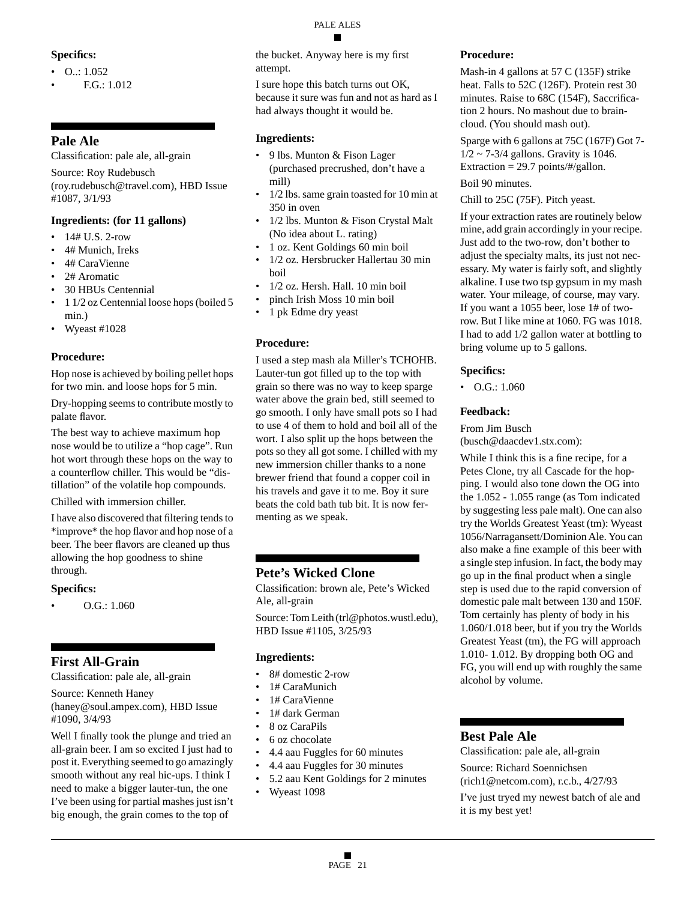### **Specifics:**

- O..: 1.052
- F.G.: 1.012

# **Pale Ale**

Classification: pale ale, all-grain

Source: Roy Rudebusch

(roy.rudebusch@travel.com), HBD Issue #1087, 3/1/93

### **Ingredients: (for 11 gallons)**

- $14# U.S. 2-row$
- 4# Munich, Ireks
- 4# CaraVienne
- 2# Aromatic
- 30 HBUs Centennial
- 1 1/2 oz Centennial loose hops (boiled 5 min.)
- Wyeast #1028

# **Procedure:**

Hop nose is achieved by boiling pellet hops for two min. and loose hops for 5 min.

Dry-hopping seems to contribute mostly to palate flavor.

The best way to achieve maximum hop nose would be to utilize a "hop cage". Run hot wort through these hops on the way to a counterflow chiller. This would be "distillation" of the volatile hop compounds.

Chilled with immersion chiller.

I have also discovered that filtering tends to \*improve\* the hop flavor and hop nose of a beer. The beer flavors are cleaned up thus allowing the hop goodness to shine through.

### **Specifics:**

• O.G.: 1.060

# **First All-Grain**

Classification: pale ale, all-grain

Source: Kenneth Haney (haney@soul.ampex.com), HBD Issue #1090, 3/4/93

Well I finally took the plunge and tried an all-grain beer. I am so excited I just had to post it. Everything seemed to go amazingly smooth without any real hic-ups. I think I need to make a bigger lauter-tun, the one I've been using for partial mashes just isn't big enough, the grain comes to the top of

# PALE ALES

the bucket. Anyway here is my first attempt.

I sure hope this batch turns out OK, because it sure was fun and not as hard as I had always thought it would be.

### **Ingredients:**

- 9 lbs. Munton & Fison Lager (purchased precrushed, don't have a mill)
- 1/2 lbs. same grain toasted for 10 min at 350 in oven
- 1/2 lbs. Munton & Fison Crystal Malt (No idea about L. rating)
- 1 oz. Kent Goldings 60 min boil
- 1/2 oz. Hersbrucker Hallertau 30 min boil
- 1/2 oz. Hersh. Hall. 10 min boil
- pinch Irish Moss 10 min boil
- 1 pk Edme dry yeast

### **Procedure:**

I used a step mash ala Miller's TCHOHB. Lauter-tun got filled up to the top with grain so there was no way to keep sparge water above the grain bed, still seemed to go smooth. I only have small pots so I had to use 4 of them to hold and boil all of the wort. I also split up the hops between the pots so they all got some. I chilled with my new immersion chiller thanks to a none brewer friend that found a copper coil in his travels and gave it to me. Boy it sure beats the cold bath tub bit. It is now fermenting as we speak.

# **Pete's Wicked Clone**

Classification: brown ale, Pete's Wicked Ale, all-grain

Source: Tom Leith (trl@photos.wustl.edu), HBD Issue #1105, 3/25/93

### **Ingredients:**

- 8# domestic 2-row
- 1# CaraMunich
- 1# CaraVienne
- 1# dark German
- 8 oz CaraPils
- 6 oz chocolate
- 4.4 aau Fuggles for 60 minutes
- 4.4 aau Fuggles for 30 minutes
- 5.2 aau Kent Goldings for 2 minutes
- Wyeast 1098

### **Procedure:**

Mash-in 4 gallons at 57 C (135F) strike heat. Falls to 52C (126F). Protein rest 30 minutes. Raise to 68C (154F), Saccrification 2 hours. No mashout due to braincloud. (You should mash out).

Sparge with 6 gallons at 75C (167F) Got 7-  $1/2 \sim 7-3/4$  gallons. Gravity is 1046. Extraction  $= 29.7$  points/#/gallon.

# Boil 90 minutes.

Chill to 25C (75F). Pitch yeast.

If your extraction rates are routinely below mine, add grain accordingly in your recipe. Just add to the two-row, don't bother to adjust the specialty malts, its just not necessary. My water is fairly soft, and slightly alkaline. I use two tsp gypsum in my mash water. Your mileage, of course, may vary. If you want a 1055 beer, lose 1# of tworow. But I like mine at 1060. FG was 1018. I had to add 1/2 gallon water at bottling to bring volume up to 5 gallons.

### **Specifics:**

• O.G.: 1.060

### **Feedback:**

From Jim Busch

(busch@daacdev1.stx.com):

While I think this is a fine recipe, for a Petes Clone, try all Cascade for the hopping. I would also tone down the OG into the 1.052 - 1.055 range (as Tom indicated by suggesting less pale malt). One can also try the Worlds Greatest Yeast (tm): Wyeast 1056/Narragansett/Dominion Ale. You can also make a fine example of this beer with a single step infusion. In fact, the body may go up in the final product when a single step is used due to the rapid conversion of domestic pale malt between 130 and 150F. Tom certainly has plenty of body in his 1.060/1.018 beer, but if you try the Worlds Greatest Yeast (tm), the FG will approach 1.010- 1.012. By dropping both OG and FG, you will end up with roughly the same alcohol by volume.

# **Best Pale Ale**

Classification: pale ale, all-grain Source: Richard Soennichsen

(rich1@netcom.com), r.c.b., 4/27/93

I've just tryed my newest batch of ale and it is my best yet!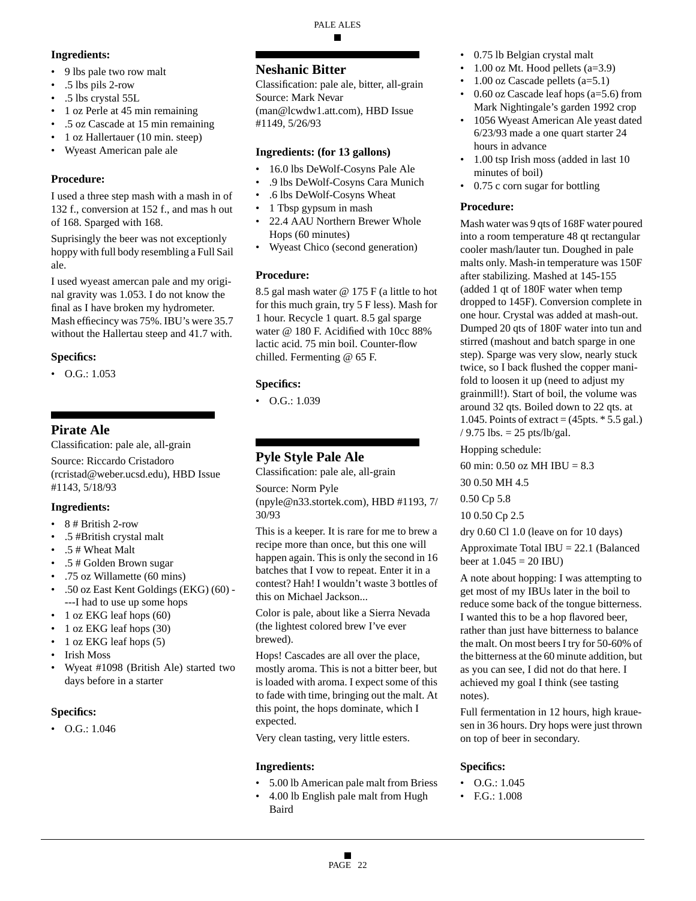# **Ingredients:**

- 9 lbs pale two row malt
- .5 lbs pils 2-row
- .5 lbs crystal 55L
- 1 oz Perle at 45 min remaining
- .5 oz Cascade at 15 min remaining
- 1 oz Hallertauer (10 min. steep)
- Wyeast American pale ale

# **Procedure:**

I used a three step mash with a mash in of 132 f., conversion at 152 f., and mas h out of 168. Sparged with 168.

Suprisingly the beer was not exceptionly hoppy with full body resembling a Full Sail ale.

I used wyeast amercan pale and my original gravity was 1.053. I do not know the final as I have broken my hydrometer. Mash effiecincy was 75%. IBU's were 35.7 without the Hallertau steep and 41.7 with.

### **Specifics:**

 $\bullet$  O.G.: 1.053

# **Pirate Ale**

Classification: pale ale, all-grain Source: Riccardo Cristadoro

(rcristad@weber.ucsd.edu), HBD Issue #1143, 5/18/93

# **Ingredients:**

• 8 # British 2-row

- .5 #British crystal malt
- .5 # Wheat Malt
- .5 # Golden Brown sugar
- .75 oz Willamette (60 mins)
- .50 oz East Kent Goldings (EKG) (60) ---I had to use up some hops
- 1 oz EKG leaf hops (60)
- 1 oz EKG leaf hops (30)
- 1 oz EKG leaf hops (5)
- Irish Moss
- Wyeat #1098 (British Ale) started two days before in a starter

# **Specifics:**

• O.G.: 1.046

# **Neshanic Bitter**

Classification: pale ale, bitter, all-grain Source: Mark Nevar (man@lcwdw1.att.com), HBD Issue #1149, 5/26/93

### **Ingredients: (for 13 gallons)**

- 16.0 lbs DeWolf-Cosyns Pale Ale
- .9 lbs DeWolf-Cosyns Cara Munich
- .6 lbs DeWolf-Cosyns Wheat
- 1 Tbsp gypsum in mash
- 22.4 AAU Northern Brewer Whole Hops (60 minutes)
- Wyeast Chico (second generation)

# **Procedure:**

8.5 gal mash water @ 175 F (a little to hot for this much grain, try 5 F less). Mash for 1 hour. Recycle 1 quart. 8.5 gal sparge water @ 180 F. Acidified with 10cc 88% lactic acid. 75 min boil. Counter-flow chilled. Fermenting @ 65 F.

# **Specifics:**

• O.G.: 1.039

# **Pyle Style Pale Ale**

Classification: pale ale, all-grain

Source: Norm Pyle (npyle@n33.stortek.com), HBD #1193, 7/ 30/93

This is a keeper. It is rare for me to brew a recipe more than once, but this one will happen again. This is only the second in 16 batches that I vow to repeat. Enter it in a contest? Hah! I wouldn't waste 3 bottles of this on Michael Jackson...

Color is pale, about like a Sierra Nevada (the lightest colored brew I've ever brewed).

Hops! Cascades are all over the place, mostly aroma. This is not a bitter beer, but is loaded with aroma. I expect some of this to fade with time, bringing out the malt. At this point, the hops dominate, which I expected.

Very clean tasting, very little esters.

# **Ingredients:**

- 5.00 lb American pale malt from Briess
- 4.00 lb English pale malt from Hugh Baird
- 0.75 lb Belgian crystal malt
- 1.00 oz Mt. Hood pellets (a=3.9)
- 1.00 oz Cascade pellets  $(a=5.1)$
- 0.60 oz Cascade leaf hops (a=5.6) from Mark Nightingale's garden 1992 crop
- 1056 Wyeast American Ale yeast dated 6/23/93 made a one quart starter 24 hours in advance
- 1.00 tsp Irish moss (added in last 10 minutes of boil)
- 0.75 c corn sugar for bottling

### **Procedure:**

Mash water was 9 qts of 168F water poured into a room temperature 48 qt rectangular cooler mash/lauter tun. Doughed in pale malts only. Mash-in temperature was 150F after stabilizing. Mashed at 145-155 (added 1 qt of 180F water when temp dropped to 145F). Conversion complete in one hour. Crystal was added at mash-out. Dumped 20 qts of 180F water into tun and stirred (mashout and batch sparge in one step). Sparge was very slow, nearly stuck twice, so I back flushed the copper manifold to loosen it up (need to adjust my grainmill!). Start of boil, the volume was around 32 qts. Boiled down to 22 qts. at 1.045. Points of extract = (45pts. \* 5.5 gal.) / 9.75 lbs. =  $25$  pts/lb/gal.

Hopping schedule:

60 min:  $0.50$  oz MH IBU =  $8.3$ 

30 0.50 MH 4.5

0.50 Cp 5.8

10 0.50 Cp 2.5

dry 0.60 Cl 1.0 (leave on for 10 days)

Approximate Total IBU = 22.1 (Balanced beer at  $1.045 = 20$  IBU)

A note about hopping: I was attempting to get most of my IBUs later in the boil to reduce some back of the tongue bitterness. I wanted this to be a hop flavored beer, rather than just have bitterness to balance the malt. On most beers I try for 50-60% of the bitterness at the 60 minute addition, but as you can see, I did not do that here. I achieved my goal I think (see tasting notes).

Full fermentation in 12 hours, high krauesen in 36 hours. Dry hops were just thrown on top of beer in secondary.

# **Specifics:**

- O.G.: 1.045
- F.G.: 1.008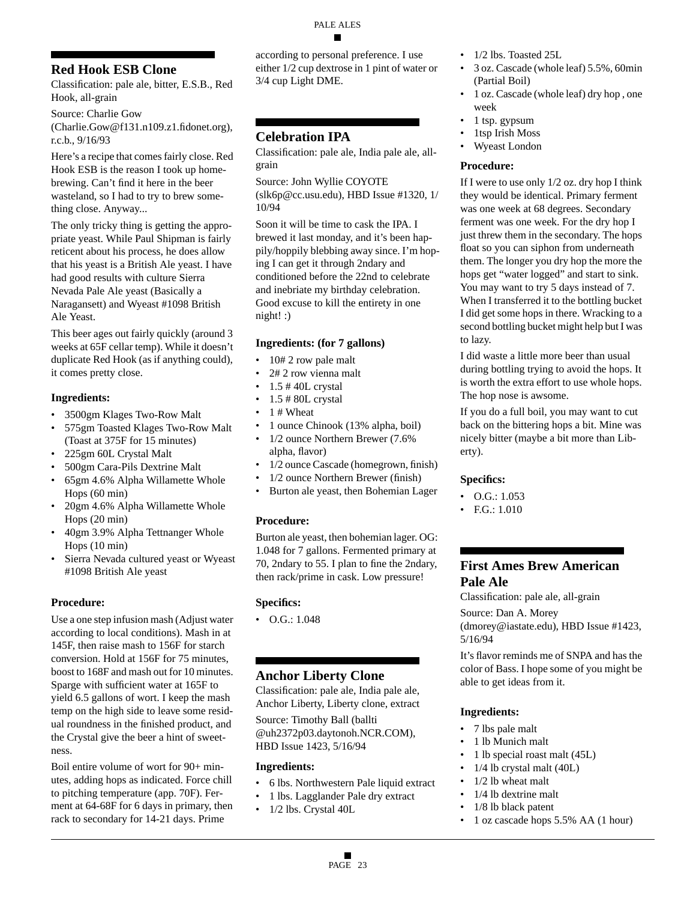# **Red Hook ESB Clone**

Classification: pale ale, bitter, E.S.B., Red Hook, all-grain

Source: Charlie Gow (Charlie.Gow@f131.n109.z1.fidonet.org),

r.c.b., 9/16/93 Here's a recipe that comes fairly close. Red Hook ESB is the reason I took up homebrewing. Can't find it here in the beer wasteland, so I had to try to brew something close. Anyway...

The only tricky thing is getting the appropriate yeast. While Paul Shipman is fairly reticent about his process, he does allow that his yeast is a British Ale yeast. I have had good results with culture Sierra Nevada Pale Ale yeast (Basically a Naragansett) and Wyeast #1098 British Ale Yeast.

This beer ages out fairly quickly (around 3 weeks at 65F cellar temp). While it doesn't duplicate Red Hook (as if anything could), it comes pretty close.

### **Ingredients:**

- 3500gm Klages Two-Row Malt
- 575gm Toasted Klages Two-Row Malt (Toast at 375F for 15 minutes)
- 225gm 60L Crystal Malt
- 500gm Cara-Pils Dextrine Malt
- 65gm 4.6% Alpha Willamette Whole Hops (60 min)
- 20gm 4.6% Alpha Willamette Whole Hops (20 min)
- 40gm 3.9% Alpha Tettnanger Whole Hops (10 min)
- Sierra Nevada cultured yeast or Wyeast #1098 British Ale yeast

# **Procedure:**

Use a one step infusion mash (Adjust water according to local conditions). Mash in at 145F, then raise mash to 156F for starch conversion. Hold at 156F for 75 minutes, boost to 168F and mash out for 10 minutes. Sparge with sufficient water at 165F to yield 6.5 gallons of wort. I keep the mash temp on the high side to leave some residual roundness in the finished product, and the Crystal give the beer a hint of sweetness.

Boil entire volume of wort for 90+ minutes, adding hops as indicated. Force chill to pitching temperature (app. 70F). Ferment at 64-68F for 6 days in primary, then rack to secondary for 14-21 days. Prime

according to personal preference. I use either 1/2 cup dextrose in 1 pint of water or 3/4 cup Light DME.

# **Celebration IPA**

Classification: pale ale, India pale ale, allgrain

Source: John Wyllie COYOTE (slk6p@cc.usu.edu), HBD Issue #1320, 1/ 10/94

Soon it will be time to cask the IPA. I brewed it last monday, and it's been happily/hoppily blebbing away since. I'm hoping I can get it through 2ndary and conditioned before the 22nd to celebrate and inebriate my birthday celebration. Good excuse to kill the entirety in one night! :)

### **Ingredients: (for 7 gallons)**

- 10# 2 row pale malt
- 2# 2 row vienna malt
- $\cdot$  1.5 #40L crystal
- 1.5 # 80L crystal
- 1 # Wheat
- 1 ounce Chinook (13% alpha, boil)
- 1/2 ounce Northern Brewer (7.6%
- alpha, flavor)
- 1/2 ounce Cascade (homegrown, finish)
- 1/2 ounce Northern Brewer (finish)
- Burton ale yeast, then Bohemian Lager

### **Procedure:**

Burton ale yeast, then bohemian lager. OG: 1.048 for 7 gallons. Fermented primary at 70, 2ndary to 55. I plan to fine the 2ndary, then rack/prime in cask. Low pressure!

### **Specifics:**

 $\bullet$  O.G.: 1.048

# **Anchor Liberty Clone**

Classification: pale ale, India pale ale, Anchor Liberty, Liberty clone, extract Source: Timothy Ball (ballti @uh2372p03.daytonoh.NCR.COM), HBD Issue 1423, 5/16/94

### **Ingredients:**

- 6 lbs. Northwestern Pale liquid extract
- 1 lbs. Lagglander Pale dry extract
- 1/2 lbs. Crystal 40L
- 1/2 lbs. Toasted 25L
- 3 oz. Cascade (whole leaf) 5.5%, 60min (Partial Boil)
- 1 oz. Cascade (whole leaf) dry hop , one week
- 1 tsp. gypsum
- 1tsp Irish Moss
- Wyeast London

### **Procedure:**

If I were to use only 1/2 oz. dry hop I think they would be identical. Primary ferment was one week at 68 degrees. Secondary ferment was one week. For the dry hop I just threw them in the secondary. The hops float so you can siphon from underneath them. The longer you dry hop the more the hops get "water logged" and start to sink. You may want to try 5 days instead of 7. When I transferred it to the bottling bucket I did get some hops in there. Wracking to a second bottling bucket might help but I was to lazy.

I did waste a little more beer than usual during bottling trying to avoid the hops. It is worth the extra effort to use whole hops. The hop nose is awsome.

If you do a full boil, you may want to cut back on the bittering hops a bit. Mine was nicely bitter (maybe a bit more than Liberty).

### **Specifics:**

- $\bullet$  O.G.: 1.053
- F.G.:  $1.010$

# **First Ames Brew American Pale Ale**

Classification: pale ale, all-grain

Source: Dan A. Morey (dmorey@iastate.edu), HBD Issue #1423, 5/16/94

It's flavor reminds me of SNPA and has the color of Bass. I hope some of you might be able to get ideas from it.

### **Ingredients:**

- 7 lbs pale malt
- 1 lb Munich malt
- 1 lb special roast malt (45L)
- 1/4 lb crystal malt (40L)
- 1/2 lb wheat malt
- 1/4 lb dextrine malt
- 1/8 lb black patent
- 1 oz cascade hops 5.5% AA (1 hour)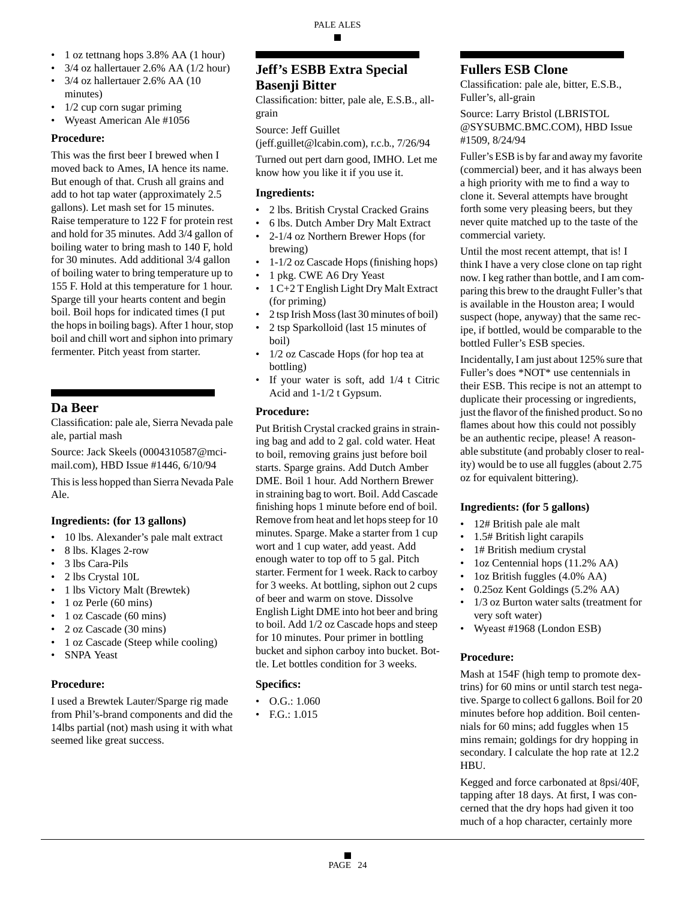- 1 oz tettnang hops 3.8% AA (1 hour)
- 3/4 oz hallertauer 2.6% AA (1/2 hour)
- 3/4 oz hallertauer 2.6% AA (10 minutes)
- $1/2$  cup corn sugar priming
- Wyeast American Ale #1056

### **Procedure:**

This was the first beer I brewed when I moved back to Ames, IA hence its name. But enough of that. Crush all grains and add to hot tap water (approximately 2.5 gallons). Let mash set for 15 minutes. Raise temperature to 122 F for protein rest and hold for 35 minutes. Add 3/4 gallon of boiling water to bring mash to 140 F, hold for 30 minutes. Add additional 3/4 gallon of boiling water to bring temperature up to 155 F. Hold at this temperature for 1 hour. Sparge till your hearts content and begin boil. Boil hops for indicated times (I put the hops in boiling bags). After 1 hour, stop boil and chill wort and siphon into primary fermenter. Pitch yeast from starter.

# **Da Beer**

Classification: pale ale, Sierra Nevada pale ale, partial mash

Source: Jack Skeels (0004310587@mcimail.com), HBD Issue #1446, 6/10/94

This is less hopped than Sierra Nevada Pale Ale.

### **Ingredients: (for 13 gallons)**

- 10 lbs. Alexander's pale malt extract
- 8 lbs. Klages 2-row
- 3 lbs Cara-Pils
- 2 lbs Crystal 10L
- 1 lbs Victory Malt (Brewtek)
- 1 oz Perle (60 mins)
- 1 oz Cascade (60 mins)
- 2 oz Cascade (30 mins)
- 1 oz Cascade (Steep while cooling)
- **SNPA Yeast**

### **Procedure:**

I used a Brewtek Lauter/Sparge rig made from Phil's-brand components and did the 14lbs partial (not) mash using it with what seemed like great success.

# **Jeff's ESBB Extra Special Basenji Bitter**

Classification: bitter, pale ale, E.S.B., allgrain

Source: Jeff Guillet

(jeff.guillet@lcabin.com), r.c.b., 7/26/94

Turned out pert darn good, IMHO. Let me know how you like it if you use it.

### **Ingredients:**

- 2 lbs. British Crystal Cracked Grains
- 6 lbs. Dutch Amber Dry Malt Extract
- 2-1/4 oz Northern Brewer Hops (for brewing)
- 1-1/2 oz Cascade Hops (finishing hops)
- 1 pkg. CWE A6 Dry Yeast
- 1 C+2 T English Light Dry Malt Extract (for priming)
- 2 tsp Irish Moss (last 30 minutes of boil)
- 2 tsp Sparkolloid (last 15 minutes of
- boil) • 1/2 oz Cascade Hops (for hop tea at
- bottling) • If your water is soft, add  $1/4$  t Citric Acid and 1-1/2 t Gypsum.

### **Procedure:**

Put British Crystal cracked grains in straining bag and add to 2 gal. cold water. Heat to boil, removing grains just before boil starts. Sparge grains. Add Dutch Amber DME. Boil 1 hour. Add Northern Brewer in straining bag to wort. Boil. Add Cascade finishing hops 1 minute before end of boil. Remove from heat and let hops steep for 10 minutes. Sparge. Make a starter from 1 cup wort and 1 cup water, add yeast. Add enough water to top off to 5 gal. Pitch starter. Ferment for 1 week. Rack to carboy for 3 weeks. At bottling, siphon out 2 cups of beer and warm on stove. Dissolve English Light DME into hot beer and bring to boil. Add 1/2 oz Cascade hops and steep for 10 minutes. Pour primer in bottling bucket and siphon carboy into bucket. Bottle. Let bottles condition for 3 weeks.

# **Specifics:**

- O.G.: 1.060
- F.G.: 1.015

# **Fullers ESB Clone**

Classification: pale ale, bitter, E.S.B., Fuller's, all-grain

Source: Larry Bristol (LBRISTOL @SYSUBMC.BMC.COM), HBD Issue #1509, 8/24/94

Fuller's ESB is by far and away my favorite (commercial) beer, and it has always been a high priority with me to find a way to clone it. Several attempts have brought forth some very pleasing beers, but they never quite matched up to the taste of the commercial variety.

Until the most recent attempt, that is! I think I have a very close clone on tap right now. I keg rather than bottle, and I am comparing this brew to the draught Fuller's that is available in the Houston area; I would suspect (hope, anyway) that the same recipe, if bottled, would be comparable to the bottled Fuller's ESB species.

Incidentally, I am just about 125% sure that Fuller's does \*NOT\* use centennials in their ESB. This recipe is not an attempt to duplicate their processing or ingredients, just the flavor of the finished product. So no flames about how this could not possibly be an authentic recipe, please! A reasonable substitute (and probably closer to reality) would be to use all fuggles (about 2.75 oz for equivalent bittering).

### **Ingredients: (for 5 gallons)**

- 12# British pale ale malt
- 1.5# British light carapils
- 1# British medium crystal
- 1oz Centennial hops (11.2% AA)
- 1oz British fuggles (4.0% AA)
- 0.25oz Kent Goldings (5.2% AA)
- 1/3 oz Burton water salts (treatment for very soft water)
- Wyeast #1968 (London ESB)

# **Procedure:**

Mash at 154F (high temp to promote dextrins) for 60 mins or until starch test negative. Sparge to collect 6 gallons. Boil for 20 minutes before hop addition. Boil centennials for 60 mins; add fuggles when 15 mins remain; goldings for dry hopping in secondary. I calculate the hop rate at 12.2 HBU.

Kegged and force carbonated at 8psi/40F, tapping after 18 days. At first, I was concerned that the dry hops had given it too much of a hop character, certainly more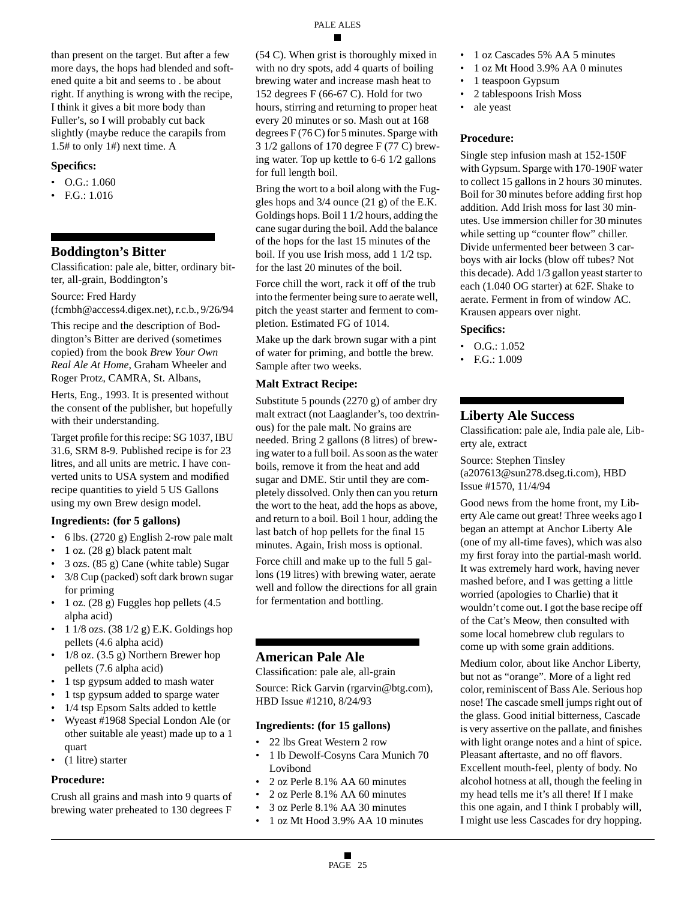than present on the target. But after a few more days, the hops had blended and softened quite a bit and seems to . be about right. If anything is wrong with the recipe, I think it gives a bit more body than Fuller's, so I will probably cut back slightly (maybe reduce the carapils from 1.5# to only 1#) next time. A

#### **Specifics:**

- O.G.: 1.060
- F.G.: 1.016

### **Boddington's Bitter**

Classification: pale ale, bitter, ordinary bitter, all-grain, Boddington's

#### Source: Fred Hardy

(fcmbh@access4.digex.net), r.c.b., 9/26/94

This recipe and the description of Boddington's Bitter are derived (sometimes copied) from the book *Brew Your Own Real Ale At Home*, Graham Wheeler and Roger Protz, CAMRA, St. Albans,

Herts, Eng., 1993. It is presented without the consent of the publisher, but hopefully with their understanding.

Target profile for this recipe: SG 1037, IBU 31.6, SRM 8-9. Published recipe is for 23 litres, and all units are metric. I have converted units to USA system and modified recipe quantities to yield 5 US Gallons using my own Brew design model.

#### **Ingredients: (for 5 gallons)**

- 6 lbs. (2720 g) English 2-row pale malt
- 1 oz. (28 g) black patent malt
- 3 ozs. (85 g) Cane (white table) Sugar
- 3/8 Cup (packed) soft dark brown sugar for priming
- 1 oz. (28 g) Fuggles hop pellets (4.5 alpha acid)
- 1  $1/8$  ozs. (38  $1/2$  g) E.K. Goldings hop pellets (4.6 alpha acid)
- $1/8$  oz.  $(3.5 \text{ g})$  Northern Brewer hop pellets (7.6 alpha acid)
- 1 tsp gypsum added to mash water
- 1 tsp gypsum added to sparge water
- 1/4 tsp Epsom Salts added to kettle
- Wyeast #1968 Special London Ale (or other suitable ale yeast) made up to a 1 quart
- (1 litre) starter

#### **Procedure:**

Crush all grains and mash into 9 quarts of brewing water preheated to 130 degrees F

(54 C). When grist is thoroughly mixed in with no dry spots, add 4 quarts of boiling brewing water and increase mash heat to 152 degrees F (66-67 C). Hold for two hours, stirring and returning to proper heat every 20 minutes or so. Mash out at 168 degrees F (76 C) for 5 minutes. Sparge with 3 1/2 gallons of 170 degree F (77 C) brewing water. Top up kettle to 6-6 1/2 gallons for full length boil.

Bring the wort to a boil along with the Fuggles hops and 3/4 ounce (21 g) of the E.K. Goldings hops. Boil 1 1/2 hours, adding the cane sugar during the boil. Add the balance of the hops for the last 15 minutes of the boil. If you use Irish moss, add 1 1/2 tsp. for the last 20 minutes of the boil.

Force chill the wort, rack it off of the trub into the fermenter being sure to aerate well, pitch the yeast starter and ferment to completion. Estimated FG of 1014.

Make up the dark brown sugar with a pint of water for priming, and bottle the brew. Sample after two weeks.

#### **Malt Extract Recipe:**

Substitute 5 pounds (2270 g) of amber dry malt extract (not Laaglander's, too dextrinous) for the pale malt. No grains are needed. Bring 2 gallons (8 litres) of brewing water to a full boil. As soon as the water boils, remove it from the heat and add sugar and DME. Stir until they are completely dissolved. Only then can you return the wort to the heat, add the hops as above, and return to a boil. Boil 1 hour, adding the last batch of hop pellets for the final 15 minutes. Again, Irish moss is optional.

Force chill and make up to the full 5 gallons (19 litres) with brewing water, aerate well and follow the directions for all grain for fermentation and bottling.

# **American Pale Ale**

Classification: pale ale, all-grain

Source: Rick Garvin (rgarvin@btg.com), HBD Issue #1210, 8/24/93

#### **Ingredients: (for 15 gallons)**

- 22 lbs Great Western 2 row
- 1 lb Dewolf-Cosyns Cara Munich 70 Lovibond
- 2 oz Perle 8.1% AA 60 minutes
- 2 oz Perle 8.1% AA 60 minutes
- 3 oz Perle 8.1% AA 30 minutes
- 1 oz Mt Hood 3.9% AA 10 minutes
- 1 oz Cascades 5% AA 5 minutes
- 1 oz Mt Hood 3.9% AA 0 minutes
- 1 teaspoon Gypsum
- 2 tablespoons Irish Moss
- ale yeast

#### **Procedure:**

Single step infusion mash at 152-150F with Gypsum. Sparge with 170-190F water to collect 15 gallons in 2 hours 30 minutes. Boil for 30 minutes before adding first hop addition. Add Irish moss for last 30 minutes. Use immersion chiller for 30 minutes while setting up "counter flow" chiller. Divide unfermented beer between 3 carboys with air locks (blow off tubes? Not this decade). Add 1/3 gallon yeast starter to each (1.040 OG starter) at 62F. Shake to aerate. Ferment in from of window AC. Krausen appears over night.

#### **Specifics:**

- O.G.: 1.052
- F.G.: 1.009

#### **Liberty Ale Success**

Classification: pale ale, India pale ale, Liberty ale, extract

Source: Stephen Tinsley (a207613@sun278.dseg.ti.com), HBD Issue #1570, 11/4/94

Good news from the home front, my Liberty Ale came out great! Three weeks ago I began an attempt at Anchor Liberty Ale (one of my all-time faves), which was also my first foray into the partial-mash world. It was extremely hard work, having never mashed before, and I was getting a little worried (apologies to Charlie) that it wouldn't come out. I got the base recipe off of the Cat's Meow, then consulted with some local homebrew club regulars to come up with some grain additions.

Medium color, about like Anchor Liberty, but not as "orange". More of a light red color, reminiscent of Bass Ale. Serious hop nose! The cascade smell jumps right out of the glass. Good initial bitterness, Cascade is very assertive on the pallate, and finishes with light orange notes and a hint of spice. Pleasant aftertaste, and no off flavors. Excellent mouth-feel, plenty of body. No alcohol hotness at all, though the feeling in my head tells me it's all there! If I make this one again, and I think I probably will, I might use less Cascades for dry hopping.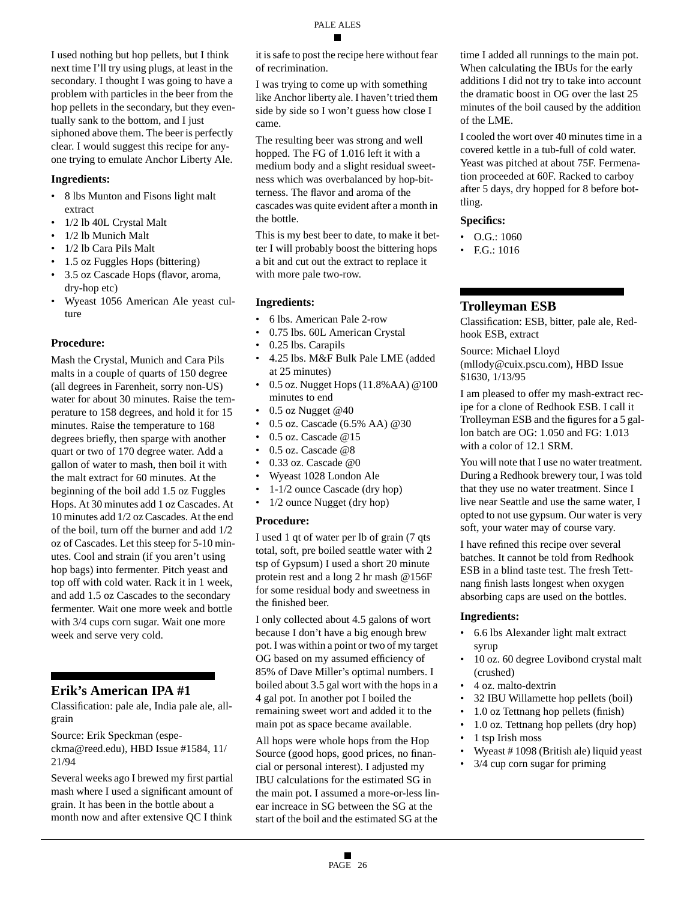I used nothing but hop pellets, but I think next time I'll try using plugs, at least in the secondary. I thought I was going to have a problem with particles in the beer from the hop pellets in the secondary, but they eventually sank to the bottom, and I just siphoned above them. The beer is perfectly clear. I would suggest this recipe for anyone trying to emulate Anchor Liberty Ale.

#### **Ingredients:**

- 8 lbs Munton and Fisons light malt extract
- 1/2 lb 40L Crystal Malt
- 1/2 lb Munich Malt
- 1/2 lb Cara Pils Malt
- 1.5 oz Fuggles Hops (bittering)
- 3.5 oz Cascade Hops (flavor, aroma, dry-hop etc)
- Wyeast 1056 American Ale yeast culture

#### **Procedure:**

Mash the Crystal, Munich and Cara Pils malts in a couple of quarts of 150 degree (all degrees in Farenheit, sorry non-US) water for about 30 minutes. Raise the temperature to 158 degrees, and hold it for 15 minutes. Raise the temperature to 168 degrees briefly, then sparge with another quart or two of 170 degree water. Add a gallon of water to mash, then boil it with the malt extract for 60 minutes. At the beginning of the boil add 1.5 oz Fuggles Hops. At 30 minutes add 1 oz Cascades. At 10 minutes add 1/2 oz Cascades. At the end of the boil, turn off the burner and add 1/2 oz of Cascades. Let this steep for 5-10 minutes. Cool and strain (if you aren't using hop bags) into fermenter. Pitch yeast and top off with cold water. Rack it in 1 week, and add 1.5 oz Cascades to the secondary fermenter. Wait one more week and bottle with 3/4 cups corn sugar. Wait one more week and serve very cold.

### **Erik's American IPA #1**

Classification: pale ale, India pale ale, allgrain

Source: Erik Speckman (especkma@reed.edu), HBD Issue #1584, 11/ 21/94

Several weeks ago I brewed my first partial mash where I used a significant amount of grain. It has been in the bottle about a month now and after extensive QC I think

it is safe to post the recipe here without fear of recrimination.

I was trying to come up with something like Anchor liberty ale. I haven't tried them side by side so I won't guess how close I came.

The resulting beer was strong and well hopped. The FG of 1.016 left it with a medium body and a slight residual sweetness which was overbalanced by hop-bitterness. The flavor and aroma of the cascades was quite evident after a month in the bottle.

This is my best beer to date, to make it better I will probably boost the bittering hops a bit and cut out the extract to replace it with more pale two-row.

#### **Ingredients:**

- 6 lbs. American Pale 2-row
- 0.75 lbs. 60L American Crystal
- 0.25 lbs. Carapils
- 4.25 lbs. M&F Bulk Pale LME (added at 25 minutes)
- 0.5 oz. Nugget Hops (11.8%AA) @100 minutes to end
- 0.5 oz Nugget @40
- 0.5 oz. Cascade (6.5% AA) @30
- 0.5 oz. Cascade @15
- 0.5 oz. Cascade @8
- 0.33 oz. Cascade  $@0$
- Wyeast 1028 London Ale
- 1-1/2 ounce Cascade (dry hop)
- 1/2 ounce Nugget (dry hop)

#### **Procedure:**

I used 1 qt of water per lb of grain (7 qts total, soft, pre boiled seattle water with 2 tsp of Gypsum) I used a short 20 minute protein rest and a long 2 hr mash @156F for some residual body and sweetness in the finished beer.

I only collected about 4.5 galons of wort because I don't have a big enough brew pot. I was within a point or two of my target OG based on my assumed efficiency of 85% of Dave Miller's optimal numbers. I boiled about 3.5 gal wort with the hops in a 4 gal pot. In another pot I boiled the remaining sweet wort and added it to the main pot as space became available.

All hops were whole hops from the Hop Source (good hops, good prices, no financial or personal interest). I adjusted my IBU calculations for the estimated SG in the main pot. I assumed a more-or-less linear increace in SG between the SG at the start of the boil and the estimated SG at the

time I added all runnings to the main pot. When calculating the IBUs for the early additions I did not try to take into account the dramatic boost in OG over the last 25 minutes of the boil caused by the addition of the LME.

I cooled the wort over 40 minutes time in a covered kettle in a tub-full of cold water. Yeast was pitched at about 75F. Fermenation proceeded at 60F. Racked to carboy after 5 days, dry hopped for 8 before bottling.

### **Specifics:**

- O.G.: 1060
- F.G.: 1016

# **Trolleyman ESB**

Classification: ESB, bitter, pale ale, Redhook ESB, extract

Source: Michael Lloyd (mllody@cuix.pscu.com), HBD Issue \$1630, 1/13/95

I am pleased to offer my mash-extract recipe for a clone of Redhook ESB. I call it Trolleyman ESB and the figures for a 5 gallon batch are OG: 1.050 and FG: 1.013 with a color of 12.1 SRM.

You will note that I use no water treatment. During a Redhook brewery tour, I was told that they use no water treatment. Since I live near Seattle and use the same water, I opted to not use gypsum. Our water is very soft, your water may of course vary.

I have refined this recipe over several batches. It cannot be told from Redhook ESB in a blind taste test. The fresh Tettnang finish lasts longest when oxygen absorbing caps are used on the bottles.

### **Ingredients:**

- 6.6 lbs Alexander light malt extract syrup
- 10 oz. 60 degree Lovibond crystal malt (crushed)
- 4 oz. malto-dextrin
- 32 IBU Willamette hop pellets (boil)
- 1.0 oz Tettnang hop pellets (finish)
- 1.0 oz. Tettnang hop pellets (dry hop)
- 1 tsp Irish moss
- Wyeast # 1098 (British ale) liquid yeast
- 3/4 cup corn sugar for priming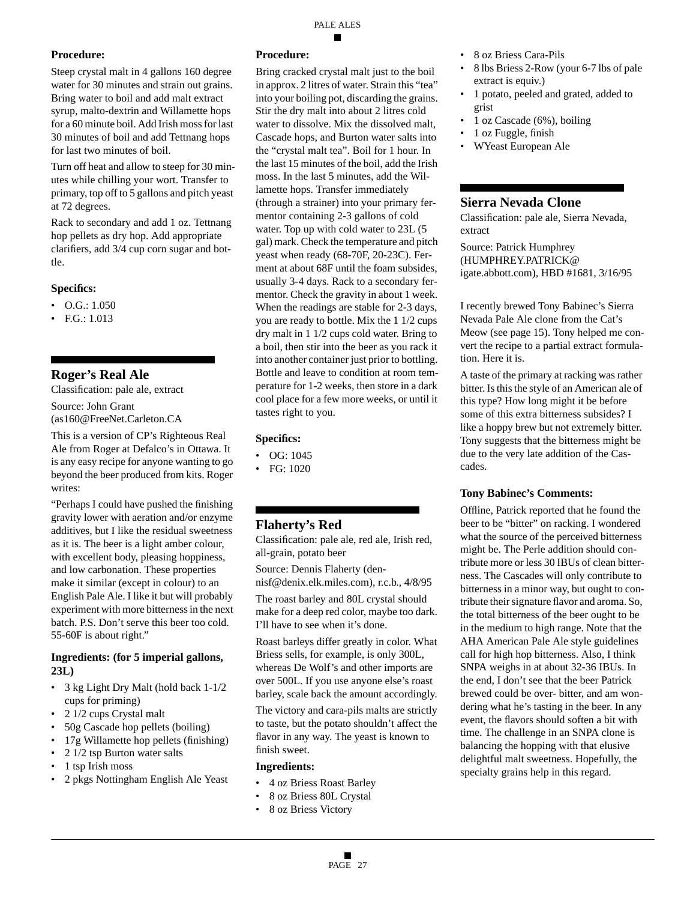### **Procedure:**

Steep crystal malt in 4 gallons 160 degree water for 30 minutes and strain out grains. Bring water to boil and add malt extract syrup, malto-dextrin and Willamette hops for a 60 minute boil. Add Irish moss for last 30 minutes of boil and add Tettnang hops for last two minutes of boil.

Turn off heat and allow to steep for 30 minutes while chilling your wort. Transfer to primary, top off to 5 gallons and pitch yeast at 72 degrees.

Rack to secondary and add 1 oz. Tettnang hop pellets as dry hop. Add appropriate clarifiers, add 3/4 cup corn sugar and bottle.

### **Specifics:**

- O.G.: 1.050
- F.G.: 1.013

# **Roger's Real Ale**

Classification: pale ale, extract Source: John Grant (as160@FreeNet.Carleton.CA

This is a version of CP's Righteous Real Ale from Roger at Defalco's in Ottawa. It is any easy recipe for anyone wanting to go beyond the beer produced from kits. Roger writes:

"Perhaps I could have pushed the finishing gravity lower with aeration and/or enzyme additives, but I like the residual sweetness as it is. The beer is a light amber colour, with excellent body, pleasing hoppiness, and low carbonation. These properties make it similar (except in colour) to an English Pale Ale. I like it but will probably experiment with more bitterness in the next batch. P.S. Don't serve this beer too cold. 55-60F is about right."

### **Ingredients: (for 5 imperial gallons, 23L)**

- 3 kg Light Dry Malt (hold back 1-1/2 cups for priming)
- 2 1/2 cups Crystal malt
- 50g Cascade hop pellets (boiling)
- 17g Willamette hop pellets (finishing)
- 2 1/2 tsp Burton water salts
- 1 tsp Irish moss
- 2 pkgs Nottingham English Ale Yeast

### **Procedure:**

Bring cracked crystal malt just to the boil in approx. 2 litres of water. Strain this "tea" into your boiling pot, discarding the grains. Stir the dry malt into about 2 litres cold water to dissolve. Mix the dissolved malt, Cascade hops, and Burton water salts into the "crystal malt tea". Boil for 1 hour. In the last 15 minutes of the boil, add the Irish moss. In the last 5 minutes, add the Willamette hops. Transfer immediately (through a strainer) into your primary fermentor containing 2-3 gallons of cold water. Top up with cold water to 23L (5 gal) mark. Check the temperature and pitch yeast when ready (68-70F, 20-23C). Ferment at about 68F until the foam subsides, usually 3-4 days. Rack to a secondary fermentor. Check the gravity in about 1 week. When the readings are stable for 2-3 days, you are ready to bottle. Mix the 1 1/2 cups dry malt in 1 1/2 cups cold water. Bring to a boil, then stir into the beer as you rack it into another container just prior to bottling. Bottle and leave to condition at room temperature for 1-2 weeks, then store in a dark cool place for a few more weeks, or until it tastes right to you.

### **Specifics:**

- OG: 1045
- FG: 1020

# **Flaherty's Red**

Classification: pale ale, red ale, Irish red, all-grain, potato beer

Source: Dennis Flaherty (dennisf@denix.elk.miles.com), r.c.b., 4/8/95

The roast barley and 80L crystal should make for a deep red color, maybe too dark. I'll have to see when it's done.

Roast barleys differ greatly in color. What Briess sells, for example, is only 300L, whereas De Wolf's and other imports are over 500L. If you use anyone else's roast barley, scale back the amount accordingly.

The victory and cara-pils malts are strictly to taste, but the potato shouldn't affect the flavor in any way. The yeast is known to finish sweet.

### **Ingredients:**

- 4 oz Briess Roast Barley
- 8 oz Briess 80L Crystal
- 8 oz Briess Victory
- 8 oz Briess Cara-Pils
- 8 lbs Briess 2-Row (your 6-7 lbs of pale extract is equiv.)
- 1 potato, peeled and grated, added to grist
- 1 oz Cascade (6%), boiling
- 1 oz Fuggle, finish
- WYeast European Ale

# **Sierra Nevada Clone**

Classification: pale ale, Sierra Nevada, extract

Source: Patrick Humphrey (HUMPHREY.PATRICK@ igate.abbott.com), HBD #1681, 3/16/95

I recently brewed Tony Babinec's Sierra Nevada Pale Ale clone from the Cat's Meow (see page 15). Tony helped me convert the recipe to a partial extract formulation. Here it is.

A taste of the primary at racking was rather bitter. Is this the style of an American ale of this type? How long might it be before some of this extra bitterness subsides? I like a hoppy brew but not extremely bitter. Tony suggests that the bitterness might be due to the very late addition of the Cascades.

### **Tony Babinec's Comments:**

Offline, Patrick reported that he found the beer to be "bitter" on racking. I wondered what the source of the perceived bitterness might be. The Perle addition should contribute more or less 30 IBUs of clean bitterness. The Cascades will only contribute to bitterness in a minor way, but ought to contribute their signature flavor and aroma. So, the total bitterness of the beer ought to be in the medium to high range. Note that the AHA American Pale Ale style guidelines call for high hop bitterness. Also, I think SNPA weighs in at about 32-36 IBUs. In the end, I don't see that the beer Patrick brewed could be over- bitter, and am wondering what he's tasting in the beer. In any event, the flavors should soften a bit with time. The challenge in an SNPA clone is balancing the hopping with that elusive delightful malt sweetness. Hopefully, the specialty grains help in this regard.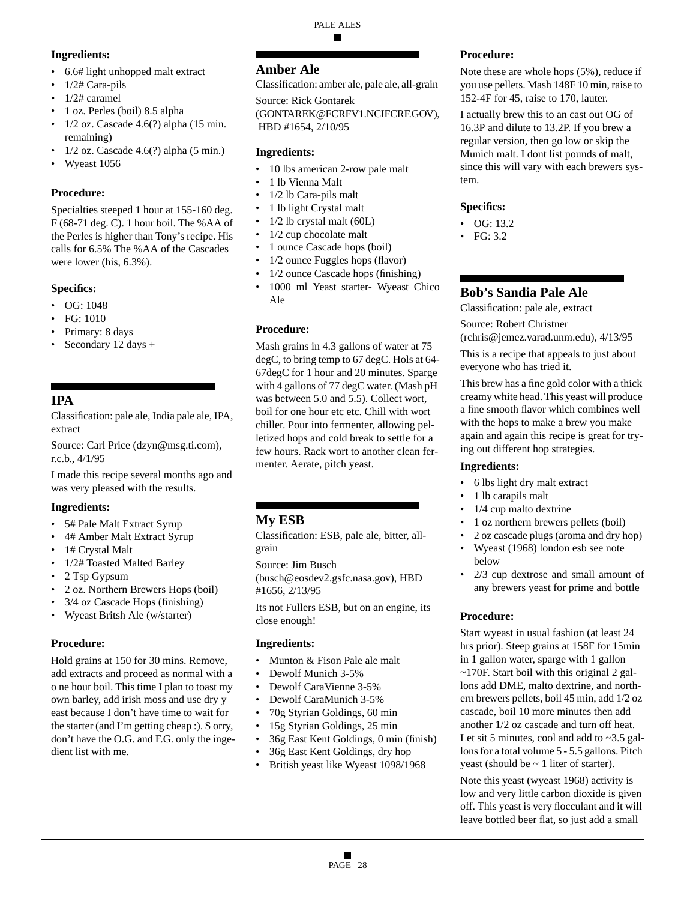# **Ingredients:**

- 6.6# light unhopped malt extract
- 1/2# Cara-pils
- 1/2# caramel
- 1 oz. Perles (boil) 8.5 alpha
- $\cdot$  1/2 oz. Cascade 4.6(?) alpha (15 min. remaining)
- 1/2 oz. Cascade 4.6(?) alpha (5 min.)
- Wyeast 1056

### **Procedure:**

Specialties steeped 1 hour at 155-160 deg. F (68-71 deg. C). 1 hour boil. The %AA of the Perles is higher than Tony's recipe. His calls for 6.5% The %AA of the Cascades were lower (his, 6.3%).

### **Specifics:**

- OG: 1048
- FG: 1010
- Primary: 8 days
- Secondary 12 days +

# **IPA**

Classification: pale ale, India pale ale, IPA, extract

Source: Carl Price (dzyn@msg.ti.com), r.c.b., 4/1/95

I made this recipe several months ago and was very pleased with the results.

# **Ingredients:**

- 5# Pale Malt Extract Syrup
- 4# Amber Malt Extract Syrup
- 1# Crystal Malt
- 1/2# Toasted Malted Barley
- 2 Tsp Gypsum
- 2 oz. Northern Brewers Hops (boil)
- 3/4 oz Cascade Hops (finishing)
- Wyeast Britsh Ale (w/starter)

### **Procedure:**

Hold grains at 150 for 30 mins. Remove, add extracts and proceed as normal with a o ne hour boil. This time I plan to toast my own barley, add irish moss and use dry y east because I don't have time to wait for the starter (and I'm getting cheap :). S orry, don't have the O.G. and F.G. only the ingedient list with me.

# **Amber Ale**

Classification: amber ale, pale ale, all-grain

# Source: Rick Gontarek

(GONTAREK@FCRFV1.NCIFCRF.GOV), HBD #1654, 2/10/95

### **Ingredients:**

- 10 lbs american 2-row pale malt
- 1 lb Vienna Malt
- 1/2 lb Cara-pils malt
- 1 lb light Crystal malt
- $1/2$  lb crystal malt (60L)
- 1/2 cup chocolate malt
- 1 ounce Cascade hops (boil)
- 1/2 ounce Fuggles hops (flavor)
- 1/2 ounce Cascade hops (finishing)
- 1000 ml Yeast starter- Wyeast Chico Ale

### **Procedure:**

Mash grains in 4.3 gallons of water at 75 degC, to bring temp to 67 degC. Hols at 64- 67degC for 1 hour and 20 minutes. Sparge with 4 gallons of 77 degC water. (Mash pH was between 5.0 and 5.5). Collect wort, boil for one hour etc etc. Chill with wort chiller. Pour into fermenter, allowing pelletized hops and cold break to settle for a few hours. Rack wort to another clean fermenter. Aerate, pitch yeast.

# **My ESB**

Classification: ESB, pale ale, bitter, allgrain

Source: Jim Busch

(busch@eosdev2.gsfc.nasa.gov), HBD #1656, 2/13/95

Its not Fullers ESB, but on an engine, its close enough!

### **Ingredients:**

- Munton & Fison Pale ale malt
- Dewolf Munich 3-5%
- Dewolf CaraVienne 3-5%
- Dewolf CaraMunich 3-5%
- 70g Styrian Goldings, 60 min
- 15g Styrian Goldings, 25 min
- 36g East Kent Goldings, 0 min (finish)
- 36g East Kent Goldings, dry hop
- British yeast like Wyeast 1098/1968

### **Procedure:**

Note these are whole hops (5%), reduce if you use pellets. Mash 148F 10 min, raise to 152-4F for 45, raise to 170, lauter.

I actually brew this to an cast out OG of 16.3P and dilute to 13.2P. If you brew a regular version, then go low or skip the Munich malt. I dont list pounds of malt, since this will vary with each brewers system.

### **Specifics:**

- OG: 13.2
- FG: 3.2

# **Bob's Sandia Pale Ale**

Classification: pale ale, extract

Source: Robert Christner

(rchris@jemez.varad.unm.edu), 4/13/95

This is a recipe that appeals to just about everyone who has tried it.

This brew has a fine gold color with a thick creamy white head. This yeast will produce a fine smooth flavor which combines well with the hops to make a brew you make again and again this recipe is great for trying out different hop strategies.

### **Ingredients:**

- 6 lbs light dry malt extract
- 1 lb carapils malt
- $1/4$  cup malto dextrine
- 1 oz northern brewers pellets (boil)
- 2 oz cascade plugs (aroma and dry hop)
- Wyeast (1968) london esb see note below
- 2/3 cup dextrose and small amount of any brewers yeast for prime and bottle

# **Procedure:**

Start wyeast in usual fashion (at least 24 hrs prior). Steep grains at 158F for 15min in 1 gallon water, sparge with 1 gallon  $\sim$ 170F. Start boil with this original 2 gallons add DME, malto dextrine, and northern brewers pellets, boil 45 min, add 1/2 oz cascade, boil 10 more minutes then add another 1/2 oz cascade and turn off heat. Let sit 5 minutes, cool and add to  $\sim$ 3.5 gallons for a total volume 5 - 5.5 gallons. Pitch yeast (should be  $\sim$  1 liter of starter).

Note this yeast (wyeast 1968) activity is low and very little carbon dioxide is given off. This yeast is very flocculant and it will leave bottled beer flat, so just add a small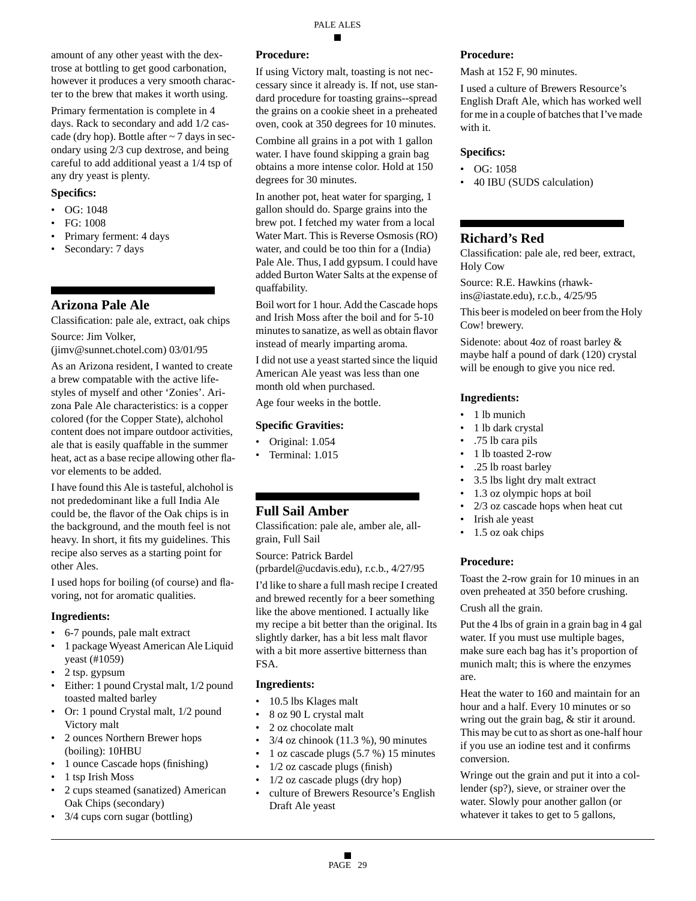amount of any other yeast with the dextrose at bottling to get good carbonation, however it produces a very smooth character to the brew that makes it worth using.

Primary fermentation is complete in 4 days. Rack to secondary and add 1/2 cascade (dry hop). Bottle after  $\sim$  7 days in secondary using 2/3 cup dextrose, and being careful to add additional yeast a 1/4 tsp of any dry yeast is plenty.

#### **Specifics:**

- OG: 1048
- FG: 1008
- Primary ferment: 4 days
- Secondary: 7 days

# **Arizona Pale Ale**

Classification: pale ale, extract, oak chips Source: Jim Volker,

(jimv@sunnet.chotel.com) 03/01/95

As an Arizona resident, I wanted to create a brew compatable with the active lifestyles of myself and other 'Zonies'. Arizona Pale Ale characteristics: is a copper colored (for the Copper State), alchohol content does not impare outdoor activities, ale that is easily quaffable in the summer heat, act as a base recipe allowing other flavor elements to be added.

I have found this Ale is tasteful, alchohol is not prededominant like a full India Ale could be, the flavor of the Oak chips is in the background, and the mouth feel is not heavy. In short, it fits my guidelines. This recipe also serves as a starting point for other Ales.

I used hops for boiling (of course) and flavoring, not for aromatic qualities.

### **Ingredients:**

- 6-7 pounds, pale malt extract
- 1 package Wyeast American Ale Liquid yeast (#1059)
- 2 tsp. gypsum
- Either: 1 pound Crystal malt, 1/2 pound toasted malted barley
- Or: 1 pound Crystal malt, 1/2 pound Victory malt
- 2 ounces Northern Brewer hops (boiling): 10HBU
- 1 ounce Cascade hops (finishing)
- 1 tsp Irish Moss
- 2 cups steamed (sanatized) American Oak Chips (secondary)
- 3/4 cups corn sugar (bottling)

### **Procedure:**

If using Victory malt, toasting is not neccessary since it already is. If not, use standard procedure for toasting grains--spread the grains on a cookie sheet in a preheated oven, cook at 350 degrees for 10 minutes.

Combine all grains in a pot with 1 gallon water. I have found skipping a grain bag obtains a more intense color. Hold at 150 degrees for 30 minutes.

In another pot, heat water for sparging, 1 gallon should do. Sparge grains into the brew pot. I fetched my water from a local Water Mart. This is Reverse Osmosis (RO) water, and could be too thin for a (India) Pale Ale. Thus, I add gypsum. I could have added Burton Water Salts at the expense of quaffability.

Boil wort for 1 hour. Add the Cascade hops and Irish Moss after the boil and for 5-10 minutes to sanatize, as well as obtain flavor instead of mearly imparting aroma.

I did not use a yeast started since the liquid American Ale yeast was less than one month old when purchased.

Age four weeks in the bottle.

### **Specific Gravities:**

- Original: 1.054
- Terminal: 1.015

# **Full Sail Amber**

Classification: pale ale, amber ale, allgrain, Full Sail

Source: Patrick Bardel (prbardel@ucdavis.edu), r.c.b., 4/27/95

I'd like to share a full mash recipe I created and brewed recently for a beer something like the above mentioned. I actually like my recipe a bit better than the original. Its slightly darker, has a bit less malt flavor with a bit more assertive bitterness than FSA.

# **Ingredients:**

- 10.5 lbs Klages malt
- 8 oz 90 L crystal malt
- 2 oz chocolate malt
- $3/4$  oz chinook (11.3 %), 90 minutes
- 1 oz cascade plugs (5.7 %) 15 minutes
- $1/2$  oz cascade plugs (finish)
- $1/2$  oz cascade plugs (dry hop)
- culture of Brewers Resource's English Draft Ale yeast

### **Procedure:**

Mash at 152 F, 90 minutes.

I used a culture of Brewers Resource's English Draft Ale, which has worked well for me in a couple of batches that I've made with it.

#### **Specifics:**

- OG: 1058
- 40 IBU (SUDS calculation)

# **Richard's Red**

Classification: pale ale, red beer, extract, Holy Cow

Source: R.E. Hawkins (rhawkins@iastate.edu), r.c.b., 4/25/95

This beer is modeled on beer from the Holy Cow! brewery.

Sidenote: about 4oz of roast barley & maybe half a pound of dark (120) crystal will be enough to give you nice red.

### **Ingredients:**

- 1 lb munich
- 1 lb dark crystal
- .75 lb cara pils
- 1 lb toasted 2-row
- .25 lb roast barley
- 3.5 lbs light dry malt extract
- 1.3 oz olympic hops at boil
- 2/3 oz cascade hops when heat cut
- Irish ale yeast
- 1.5 oz oak chips

### **Procedure:**

Toast the 2-row grain for 10 minues in an oven preheated at 350 before crushing.

Crush all the grain.

Put the 4 lbs of grain in a grain bag in 4 gal water. If you must use multiple bages, make sure each bag has it's proportion of munich malt; this is where the enzymes are.

Heat the water to 160 and maintain for an hour and a half. Every 10 minutes or so wring out the grain bag, & stir it around. This may be cut to as short as one-half hour if you use an iodine test and it confirms conversion.

Wringe out the grain and put it into a collender (sp?), sieve, or strainer over the water. Slowly pour another gallon (or whatever it takes to get to 5 gallons,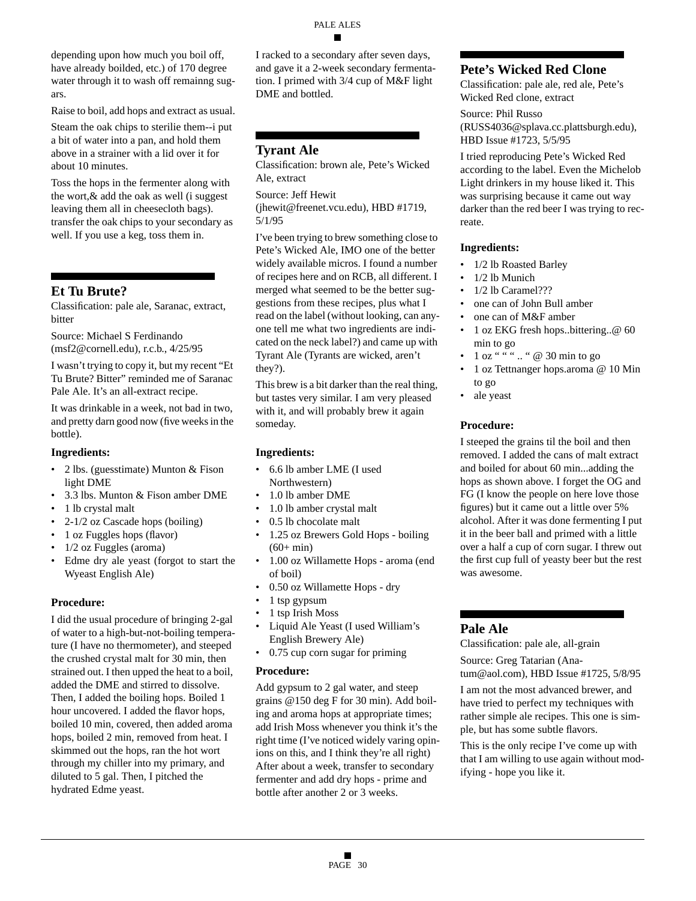depending upon how much you boil off, have already boilded, etc.) of 170 degree water through it to wash off remainng sugars.

Raise to boil, add hops and extract as usual.

Steam the oak chips to sterilie them--i put a bit of water into a pan, and hold them above in a strainer with a lid over it for about 10 minutes.

Toss the hops in the fermenter along with the wort,& add the oak as well (i suggest leaving them all in cheesecloth bags). transfer the oak chips to your secondary as well. If you use a keg, toss them in.

# **Et Tu Brute?**

Classification: pale ale, Saranac, extract, bitter

Source: Michael S Ferdinando (msf2@cornell.edu), r.c.b., 4/25/95

I wasn't trying to copy it, but my recent "Et Tu Brute? Bitter" reminded me of Saranac Pale Ale. It's an all-extract recipe.

It was drinkable in a week, not bad in two, and pretty darn good now (five weeks in the bottle).

### **Ingredients:**

- 2 lbs. (guesstimate) Munton & Fison light DME
- 3.3 lbs. Munton & Fison amber DME
- 1 lb crystal malt
- 2-1/2 oz Cascade hops (boiling)
- 1 oz Fuggles hops (flavor)
- 1/2 oz Fuggles (aroma)
- Edme dry ale yeast (forgot to start the Wyeast English Ale)

### **Procedure:**

I did the usual procedure of bringing 2-gal of water to a high-but-not-boiling temperature (I have no thermometer), and steeped the crushed crystal malt for 30 min, then strained out. I then upped the heat to a boil, added the DME and stirred to dissolve. Then, I added the boiling hops. Boiled 1 hour uncovered. I added the flavor hops, boiled 10 min, covered, then added aroma hops, boiled 2 min, removed from heat. I skimmed out the hops, ran the hot wort through my chiller into my primary, and diluted to 5 gal. Then, I pitched the hydrated Edme yeast.

I racked to a secondary after seven days, and gave it a 2-week secondary fermentation. I primed with 3/4 cup of M&F light DME and bottled.

# **Tyrant Ale**

Classification: brown ale, Pete's Wicked Ale, extract

Source: Jeff Hewit

(jhewit@freenet.vcu.edu), HBD #1719, 5/1/95

I've been trying to brew something close to Pete's Wicked Ale, IMO one of the better widely available micros. I found a number of recipes here and on RCB, all different. I merged what seemed to be the better suggestions from these recipes, plus what I read on the label (without looking, can anyone tell me what two ingredients are indicated on the neck label?) and came up with Tyrant Ale (Tyrants are wicked, aren't they?).

This brew is a bit darker than the real thing, but tastes very similar. I am very pleased with it, and will probably brew it again someday.

### **Ingredients:**

- 6.6 lb amber LME (I used Northwestern)
- 1.0 lb amber DME
- 1.0 lb amber crystal malt
- 0.5 lb chocolate malt
- 1.25 oz Brewers Gold Hops boiling  $(60+ min)$
- 1.00 oz Willamette Hops aroma (end of boil)
- 0.50 oz Willamette Hops dry
- 1 tsp gypsum
- 1 tsp Irish Moss
- Liquid Ale Yeast (I used William's English Brewery Ale)
- 0.75 cup corn sugar for priming

### **Procedure:**

Add gypsum to 2 gal water, and steep grains @150 deg F for 30 min). Add boiling and aroma hops at appropriate times; add Irish Moss whenever you think it's the right time (I've noticed widely varing opinions on this, and I think they're all right) After about a week, transfer to secondary fermenter and add dry hops - prime and bottle after another 2 or 3 weeks.

# **Pete's Wicked Red Clone**

Classification: pale ale, red ale, Pete's Wicked Red clone, extract

Source: Phil Russo (RUSS4036@splava.cc.plattsburgh.edu), HBD Issue #1723, 5/5/95

I tried reproducing Pete's Wicked Red according to the label. Even the Michelob Light drinkers in my house liked it. This was surprising because it came out way darker than the red beer I was trying to recreate.

### **Ingredients:**

- 1/2 lb Roasted Barley
- 1/2 lb Munich
- 1/2 lb Caramel???
- one can of John Bull amber
- one can of M&F amber
- 1 oz EKG fresh hops..bittering..@ 60 min to go
- 1 oz " " " .. " @ 30 min to go
- 1 oz Tettnanger hops.aroma @ 10 Min to go
- ale yeast

### **Procedure:**

I steeped the grains til the boil and then removed. I added the cans of malt extract and boiled for about 60 min...adding the hops as shown above. I forget the OG and FG (I know the people on here love those figures) but it came out a little over 5% alcohol. After it was done fermenting I put it in the beer ball and primed with a little over a half a cup of corn sugar. I threw out the first cup full of yeasty beer but the rest was awesome.

# **Pale Ale**

Classification: pale ale, all-grain

Source: Greg Tatarian (Ana-

tum@aol.com), HBD Issue #1725, 5/8/95

I am not the most advanced brewer, and have tried to perfect my techniques with rather simple ale recipes. This one is simple, but has some subtle flavors.

This is the only recipe I've come up with that I am willing to use again without modifying - hope you like it.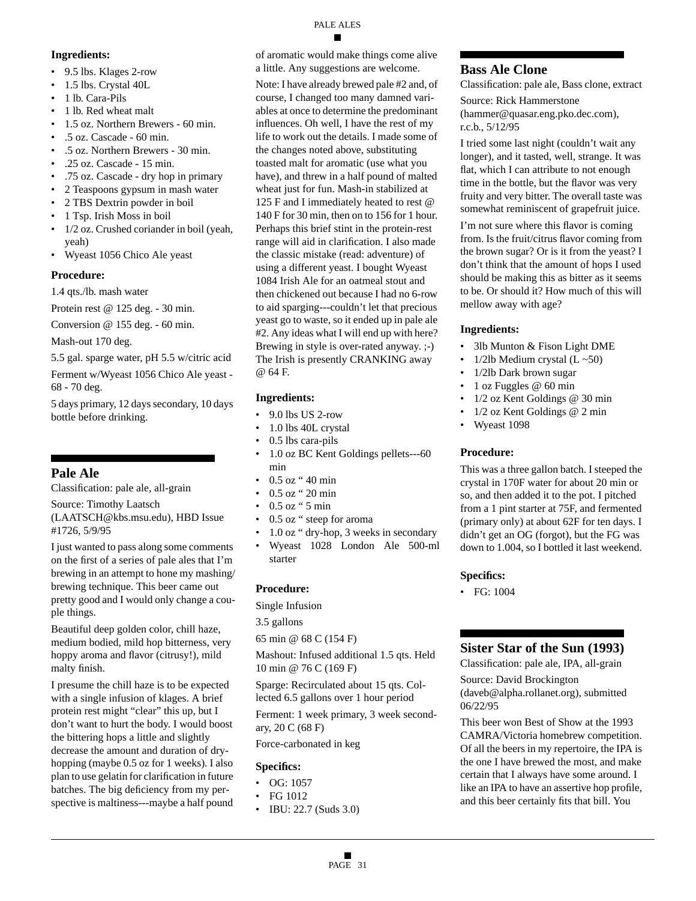#### PALE ALES

- 9.5 lbs. Klages 2-row
- 1.5 lbs. Crystal 40L
- 1 lb. Cara-Pils

**Ingredients:**

- 1 lb. Red wheat malt
- 1.5 oz. Northern Brewers 60 min.
- .5 oz. Cascade 60 min.
- .5 oz. Northern Brewers 30 min.
- .25 oz. Cascade 15 min.
- .75 oz. Cascade dry hop in primary
- 2 Teaspoons gypsum in mash water
- 2 TBS Dextrin powder in boil
- 1 Tsp. Irish Moss in boil
- 1/2 oz. Crushed coriander in boil (yeah, yeah)
- Wyeast 1056 Chico Ale yeast

# **Procedure:**

1.4 qts./lb. mash water

Protein rest @ 125 deg. - 30 min.

Conversion @ 155 deg. - 60 min.

Mash-out 170 deg.

5.5 gal. sparge water, pH 5.5 w/citric acid

Ferment w/Wyeast 1056 Chico Ale yeast - 68 - 70 deg.

5 days primary, 12 days secondary, 10 days bottle before drinking.

# **Pale Ale**

Classification: pale ale, all-grain

Source: Timothy Laatsch (LAATSCH@kbs.msu.edu), HBD Issue #1726, 5/9/95

I just wanted to pass along some comments on the first of a series of pale ales that I'm brewing in an attempt to hone my mashing/ brewing technique. This beer came out pretty good and I would only change a couple things.

Beautiful deep golden color, chill haze, medium bodied, mild hop bitterness, very hoppy aroma and flavor (citrusy!), mild malty finish.

I presume the chill haze is to be expected with a single infusion of klages. A brief protein rest might "clear" this up, but I don't want to hurt the body. I would boost the bittering hops a little and slightly decrease the amount and duration of dryhopping (maybe 0.5 oz for 1 weeks). I also plan to use gelatin for clarification in future batches. The big deficiency from my perspective is maltiness---maybe a half pound of aromatic would make things come alive a little. Any suggestions are welcome.

Note: I have already brewed pale #2 and, of course, I changed too many damned variables at once to determine the predominant influences. Oh well, I have the rest of my life to work out the details. I made some of the changes noted above, substituting toasted malt for aromatic (use what you have), and threw in a half pound of malted wheat just for fun. Mash-in stabilized at 125 F and I immediately heated to rest @ 140 F for 30 min, then on to 156 for 1 hour. Perhaps this brief stint in the protein-rest range will aid in clarification. I also made the classic mistake (read: adventure) of using a different yeast. I bought Wyeast 1084 Irish Ale for an oatmeal stout and then chickened out because I had no 6-row to aid sparging---couldn't let that precious yeast go to waste, so it ended up in pale ale #2. Any ideas what I will end up with here? Brewing in style is over-rated anyway. ;-) The Irish is presently CRANKING away @ 64 F.

# **Ingredients:**

- 9.0 lbs US 2-row
- 1.0 lbs 40L crystal
- 0.5 lbs cara-pils
- 1.0 oz BC Kent Goldings pellets---60 min
- 0.5 oz " 40 min
- 0.5 oz " 20 min
- 0.5 oz " 5 min
- 0.5 oz " steep for aroma
- 1.0 oz " dry-hop, 3 weeks in secondary
- Wyeast 1028 London Ale 500-ml starter

# **Procedure:**

Single Infusion

3.5 gallons

65 min @ 68 C (154 F)

Mashout: Infused additional 1.5 qts. Held 10 min @ 76 C (169 F)

Sparge: Recirculated about 15 qts. Collected 6.5 gallons over 1 hour period

Ferment: 1 week primary, 3 week secondary, 20 C (68 F)

Force-carbonated in keg

# **Specifics:**

- OG: 1057
- FG 1012
- IBU: 22.7 (Suds 3.0)

# **Bass Ale Clone**

Classification: pale ale, Bass clone, extract Source: Rick Hammerstone

(hammer@quasar.eng.pko.dec.com), r.c.b., 5/12/95

I tried some last night (couldn't wait any longer), and it tasted, well, strange. It was flat, which I can attribute to not enough time in the bottle, but the flavor was very fruity and very bitter. The overall taste was somewhat reminiscent of grapefruit juice.

I'm not sure where this flavor is coming from. Is the fruit/citrus flavor coming from the brown sugar? Or is it from the yeast? I don't think that the amount of hops I used should be making this as bitter as it seems to be. Or should it? How much of this will mellow away with age?

# **Ingredients:**

- 3lb Munton & Fison Light DME
- 1/2lb Medium crystal  $(L \sim 50)$
- 1/2lb Dark brown sugar
- 1 oz Fuggles @ 60 min
- 1/2 oz Kent Goldings @ 30 min
- 1/2 oz Kent Goldings @ 2 min
- Wyeast 1098

# **Procedure:**

This was a three gallon batch. I steeped the crystal in 170F water for about 20 min or so, and then added it to the pot. I pitched from a 1 pint starter at 75F, and fermented (primary only) at about 62F for ten days. I didn't get an OG (forgot), but the FG was down to 1.004, so I bottled it last weekend.

# **Specifics:**

• FG: 1004

# **Sister Star of the Sun (1993)**

Classification: pale ale, IPA, all-grain

Source: David Brockington (daveb@alpha.rollanet.org), submitted 06/22/95

This beer won Best of Show at the 1993 CAMRA/Victoria homebrew competition. Of all the beers in my repertoire, the IPA is the one I have brewed the most, and make certain that I always have some around. I like an IPA to have an assertive hop profile, and this beer certainly fits that bill. You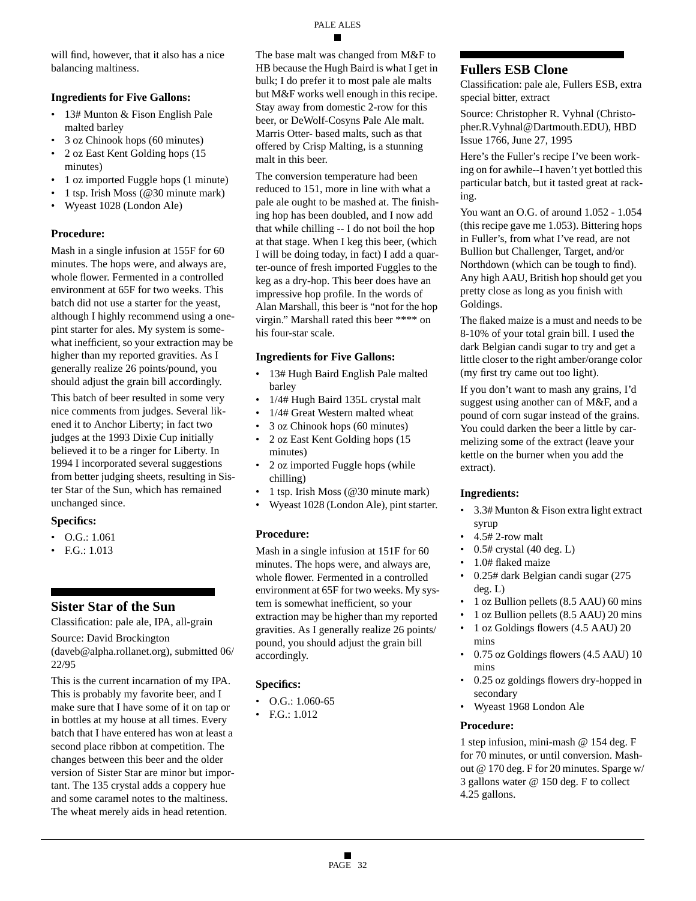will find, however, that it also has a nice balancing maltiness.

### **Ingredients for Five Gallons:**

- 13# Munton & Fison English Pale malted barley
- 3 oz Chinook hops (60 minutes)
- 2 oz East Kent Golding hops (15 minutes)
- 1 oz imported Fuggle hops (1 minute)
- 1 tsp. Irish Moss (@30 minute mark)
- Wyeast 1028 (London Ale)

### **Procedure:**

Mash in a single infusion at 155F for 60 minutes. The hops were, and always are, whole flower. Fermented in a controlled environment at 65F for two weeks. This batch did not use a starter for the yeast, although I highly recommend using a onepint starter for ales. My system is somewhat inefficient, so your extraction may be higher than my reported gravities. As I generally realize 26 points/pound, you should adjust the grain bill accordingly.

This batch of beer resulted in some very nice comments from judges. Several likened it to Anchor Liberty; in fact two judges at the 1993 Dixie Cup initially believed it to be a ringer for Liberty. In 1994 I incorporated several suggestions from better judging sheets, resulting in Sister Star of the Sun, which has remained unchanged since.

### **Specifics:**

- O.G.: 1.061
- F.G.: 1.013

# **Sister Star of the Sun**

Classification: pale ale, IPA, all-grain

Source: David Brockington

(daveb@alpha.rollanet.org), submitted 06/ 22/95

This is the current incarnation of my IPA. This is probably my favorite beer, and I make sure that I have some of it on tap or in bottles at my house at all times. Every batch that I have entered has won at least a second place ribbon at competition. The changes between this beer and the older version of Sister Star are minor but important. The 135 crystal adds a coppery hue and some caramel notes to the maltiness. The wheat merely aids in head retention.

The base malt was changed from M&F to HB because the Hugh Baird is what I get in bulk; I do prefer it to most pale ale malts but M&F works well enough in this recipe. Stay away from domestic 2-row for this beer, or DeWolf-Cosyns Pale Ale malt. Marris Otter- based malts, such as that offered by Crisp Malting, is a stunning malt in this beer.

The conversion temperature had been reduced to 151, more in line with what a pale ale ought to be mashed at. The finishing hop has been doubled, and I now add that while chilling -- I do not boil the hop at that stage. When I keg this beer, (which I will be doing today, in fact) I add a quarter-ounce of fresh imported Fuggles to the keg as a dry-hop. This beer does have an impressive hop profile. In the words of Alan Marshall, this beer is "not for the hop virgin." Marshall rated this beer \*\*\*\* on his four-star scale.

### **Ingredients for Five Gallons:**

- 13# Hugh Baird English Pale malted barley
- 1/4# Hugh Baird 135L crystal malt
- 1/4# Great Western malted wheat
- 3 oz Chinook hops (60 minutes)
- 2 oz East Kent Golding hops (15 minutes)
- 2 oz imported Fuggle hops (while chilling)
- 1 tsp. Irish Moss (@30 minute mark)
- Wyeast 1028 (London Ale), pint starter.

# **Procedure:**

Mash in a single infusion at 151F for 60 minutes. The hops were, and always are, whole flower. Fermented in a controlled environment at 65F for two weeks. My system is somewhat inefficient, so your extraction may be higher than my reported gravities. As I generally realize 26 points/ pound, you should adjust the grain bill accordingly.

# **Specifics:**

- O.G.: 1.060-65
- F.G.: 1.012

# **Fullers ESB Clone**

Classification: pale ale, Fullers ESB, extra special bitter, extract

Source: Christopher R. Vyhnal (Christopher.R.Vyhnal@Dartmouth.EDU), HBD Issue 1766, June 27, 1995

Here's the Fuller's recipe I've been working on for awhile--I haven't yet bottled this particular batch, but it tasted great at racking.

You want an O.G. of around 1.052 - 1.054 (this recipe gave me 1.053). Bittering hops in Fuller's, from what I've read, are not Bullion but Challenger, Target, and/or Northdown (which can be tough to find). Any high AAU, British hop should get you pretty close as long as you finish with Goldings.

The flaked maize is a must and needs to be 8-10% of your total grain bill. I used the dark Belgian candi sugar to try and get a little closer to the right amber/orange color (my first try came out too light).

If you don't want to mash any grains, I'd suggest using another can of M&F, and a pound of corn sugar instead of the grains. You could darken the beer a little by carmelizing some of the extract (leave your kettle on the burner when you add the extract).

### **Ingredients:**

- 3.3# Munton & Fison extra light extract syrup
- 4.5# 2-row malt
- 0.5# crystal (40 deg. L)
- 1.0# flaked maize
- 0.25# dark Belgian candi sugar (275 deg. L)
- 1 oz Bullion pellets (8.5 AAU) 60 mins
- 1 oz Bullion pellets (8.5 AAU) 20 mins
- 1 oz Goldings flowers (4.5 AAU) 20 mins
- 0.75 oz Goldings flowers (4.5 AAU) 10 mins
- 0.25 oz goldings flowers dry-hopped in secondary
- Wyeast 1968 London Ale

# **Procedure:**

1 step infusion, mini-mash @ 154 deg. F for 70 minutes, or until conversion. Mashout @ 170 deg. F for 20 minutes. Sparge w/ 3 gallons water @ 150 deg. F to collect 4.25 gallons.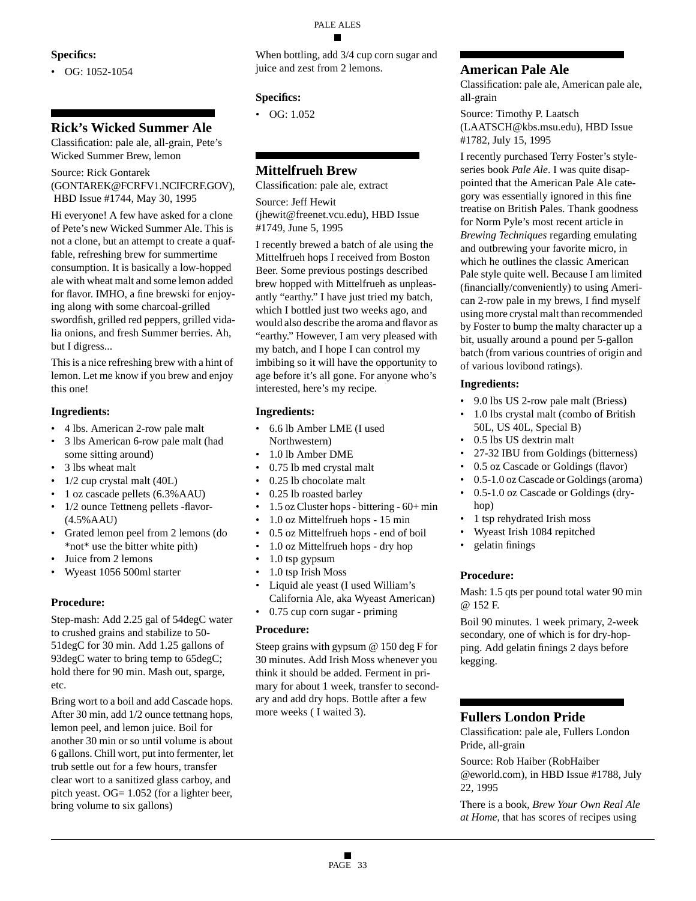#### **Specifics:**

 $\bullet$  OG: 1052-1054

# **Rick's Wicked Summer Ale**

Classification: pale ale, all-grain, Pete's Wicked Summer Brew, lemon

Source: Rick Gontarek

(GONTAREK@FCRFV1.NCIFCRF.GOV), HBD Issue #1744, May 30, 1995

Hi everyone! A few have asked for a clone of Pete's new Wicked Summer Ale. This is not a clone, but an attempt to create a quaffable, refreshing brew for summertime consumption. It is basically a low-hopped ale with wheat malt and some lemon added for flavor. IMHO, a fine brewski for enjoying along with some charcoal-grilled swordfish, grilled red peppers, grilled vidalia onions, and fresh Summer berries. Ah, but I digress...

This is a nice refreshing brew with a hint of lemon. Let me know if you brew and enjoy this one!

#### **Ingredients:**

- 4 lbs. American 2-row pale malt
- 3 lbs American 6-row pale malt (had some sitting around)
- 3 lbs wheat malt
- 1/2 cup crystal malt (40L)
- 1 oz cascade pellets (6.3%AAU)
- 1/2 ounce Tettneng pellets -flavor-(4.5%AAU)
- Grated lemon peel from 2 lemons (do \*not\* use the bitter white pith)
- Juice from 2 lemons
- Wyeast 1056 500ml starter

### **Procedure:**

Step-mash: Add 2.25 gal of 54degC water to crushed grains and stabilize to 50- 51degC for 30 min. Add 1.25 gallons of 93degC water to bring temp to 65degC; hold there for 90 min. Mash out, sparge, etc.

Bring wort to a boil and add Cascade hops. After 30 min, add 1/2 ounce tettnang hops, lemon peel, and lemon juice. Boil for another 30 min or so until volume is about 6 gallons. Chill wort, put into fermenter, let trub settle out for a few hours, transfer clear wort to a sanitized glass carboy, and pitch yeast. OG= 1.052 (for a lighter beer, bring volume to six gallons)

When bottling, add 3/4 cup corn sugar and juice and zest from 2 lemons.

### **Specifics:**

• OG: 1.052

# **Mittelfrueh Brew**

Classification: pale ale, extract Source: Jeff Hewit

(jhewit@freenet.vcu.edu), HBD Issue #1749, June 5, 1995

I recently brewed a batch of ale using the Mittelfrueh hops I received from Boston Beer. Some previous postings described brew hopped with Mittelfrueh as unpleasantly "earthy." I have just tried my batch, which I bottled just two weeks ago, and would also describe the aroma and flavor as "earthy." However, I am very pleased with my batch, and I hope I can control my imbibing so it will have the opportunity to age before it's all gone. For anyone who's interested, here's my recipe.

#### **Ingredients:**

- 6.6 lb Amber LME (I used Northwestern)
- 1.0 lb Amber DME
- 0.75 lb med crystal malt
- 0.25 lb chocolate malt
- 0.25 lb roasted barley
- 1.5 oz Cluster hops bittering 60+ min
- 1.0 oz Mittelfrueh hops 15 min
- 0.5 oz Mittelfrueh hops end of boil
- 1.0 oz Mittelfrueh hops dry hop
- 1.0 tsp gypsum
- 1.0 tsp Irish Moss
- Liquid ale yeast (I used William's California Ale, aka Wyeast American)
- 0.75 cup corn sugar priming

#### **Procedure:**

Steep grains with gypsum @ 150 deg F for 30 minutes. Add Irish Moss whenever you think it should be added. Ferment in primary for about 1 week, transfer to secondary and add dry hops. Bottle after a few more weeks ( I waited 3).

# **American Pale Ale**

Classification: pale ale, American pale ale, all-grain

Source: Timothy P. Laatsch (LAATSCH@kbs.msu.edu), HBD Issue #1782, July 15, 1995

I recently purchased Terry Foster's styleseries book *Pale Ale*. I was quite disappointed that the American Pale Ale category was essentially ignored in this fine treatise on British Pales. Thank goodness for Norm Pyle's most recent article in *Brewing Techniques* regarding emulating and outbrewing your favorite micro, in which he outlines the classic American Pale style quite well. Because I am limited (financially/conveniently) to using American 2-row pale in my brews, I find myself using more crystal malt than recommended by Foster to bump the malty character up a bit, usually around a pound per 5-gallon batch (from various countries of origin and of various lovibond ratings).

### **Ingredients:**

- 9.0 lbs US 2-row pale malt (Briess)
- 1.0 lbs crystal malt (combo of British 50L, US 40L, Special B)
- 0.5 lbs US dextrin malt
- 27-32 IBU from Goldings (bitterness)
- 0.5 oz Cascade or Goldings (flavor)
- 0.5-1.0 oz Cascade or Goldings (aroma)
- 0.5-1.0 oz Cascade or Goldings (dryhop)
- 1 tsp rehydrated Irish moss
- Wyeast Irish 1084 repitched
- gelatin finings

### **Procedure:**

Mash: 1.5 qts per pound total water 90 min @ 152 F.

Boil 90 minutes. 1 week primary, 2-week secondary, one of which is for dry-hopping. Add gelatin finings 2 days before kegging.

### **Fullers London Pride**

Classification: pale ale, Fullers London Pride, all-grain

Source: Rob Haiber (RobHaiber @eworld.com), in HBD Issue #1788, July 22, 1995

There is a book, *Brew Your Own Real Ale at Home*, that has scores of recipes using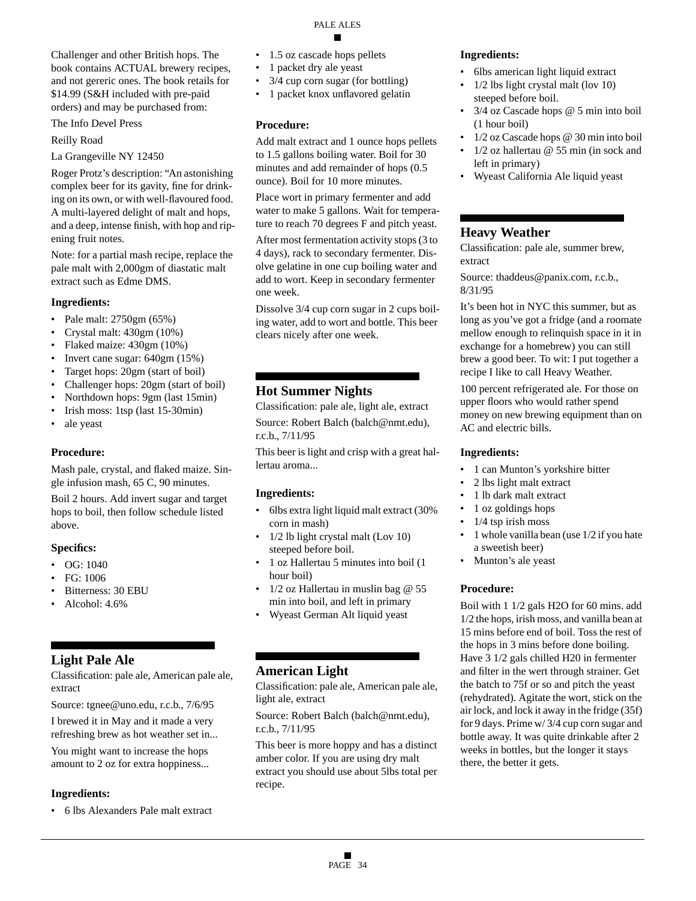Challenger and other British hops. The book contains ACTUAL brewery recipes, and not gereric ones. The book retails for \$14.99 (S&H included with pre-paid orders) and may be purchased from:

The Info Devel Press

Reilly Road

La Grangeville NY 12450

Roger Protz's description: "An astonishing complex beer for its gavity, fine for drinking on its own, or with well-flavoured food. A multi-layered delight of malt and hops, and a deep, intense finish, with hop and ripening fruit notes.

Note: for a partial mash recipe, replace the pale malt with 2,000gm of diastatic malt extract such as Edme DMS.

#### **Ingredients:**

- Pale malt: 2750gm (65%)
- Crystal malt: 430gm (10%)
- Flaked maize: 430gm (10%)
- Invert cane sugar: 640gm (15%)
- Target hops: 20gm (start of boil)
- Challenger hops: 20gm (start of boil)
- Northdown hops: 9gm (last 15min)
- Irish moss: 1tsp (last 15-30min)
- ale yeast

### **Procedure:**

Mash pale, crystal, and flaked maize. Single infusion mash, 65 C, 90 minutes.

Boil 2 hours. Add invert sugar and target hops to boil, then follow schedule listed above.

### **Specifics:**

- OG: 1040
- FG: 1006
- Bitterness: 30 EBU
- Alcohol: 4.6%

# **Light Pale Ale**

Classification: pale ale, American pale ale, extract

Source: tgnee@uno.edu, r.c.b., 7/6/95

I brewed it in May and it made a very refreshing brew as hot weather set in...

You might want to increase the hops amount to 2 oz for extra hoppiness...

### **Ingredients:**

• 6 lbs Alexanders Pale malt extract

- 1.5 oz cascade hops pellets
- 1 packet dry ale yeast
- 3/4 cup corn sugar (for bottling)
- 1 packet knox unflavored gelatin

### **Procedure:**

Add malt extract and 1 ounce hops pellets to 1.5 gallons boiling water. Boil for 30 minutes and add remainder of hops (0.5 ounce). Boil for 10 more minutes.

Place wort in primary fermenter and add water to make 5 gallons. Wait for temperature to reach 70 degrees F and pitch yeast.

After most fermentation activity stops (3 to 4 days), rack to secondary fermenter. Disolve gelatine in one cup boiling water and add to wort. Keep in secondary fermenter one week.

Dissolve 3/4 cup corn sugar in 2 cups boiling water, add to wort and bottle. This beer clears nicely after one week.

# **Hot Summer Nights**

Classification: pale ale, light ale, extract

Source: Robert Balch (balch@nmt.edu), r.c.b., 7/11/95

This beer is light and crisp with a great hallertau aroma...

### **Ingredients:**

- 6lbs extra light liquid malt extract (30% corn in mash)
- 1/2 lb light crystal malt (Lov 10) steeped before boil.
- 1 oz Hallertau 5 minutes into boil (1 hour boil)
- $1/2$  oz Hallertau in muslin bag @ 55 min into boil, and left in primary
- Wyeast German Alt liquid yeast

# **American Light**

Classification: pale ale, American pale ale, light ale, extract

Source: Robert Balch (balch@nmt.edu), r.c.b., 7/11/95

This beer is more hoppy and has a distinct amber color. If you are using dry malt extract you should use about 5lbs total per recipe.

### **Ingredients:**

- 6lbs american light liquid extract
- 1/2 lbs light crystal malt (lov 10) steeped before boil.
- 3/4 oz Cascade hops @ 5 min into boil (1 hour boil)
- 1/2 oz Cascade hops @ 30 min into boil
- $1/2$  oz hallertau @ 55 min (in sock and left in primary)
- Wyeast California Ale liquid yeast

# **Heavy Weather**

Classification: pale ale, summer brew, extract

Source: thaddeus@panix.com, r.c.b., 8/31/95

It's been hot in NYC this summer, but as long as you've got a fridge (and a roomate mellow enough to relinquish space in it in exchange for a homebrew) you can still brew a good beer. To wit: I put together a recipe I like to call Heavy Weather.

100 percent refrigerated ale. For those on upper floors who would rather spend money on new brewing equipment than on AC and electric bills.

### **Ingredients:**

- 1 can Munton's yorkshire bitter
- 2 lbs light malt extract
- 1 lb dark malt extract
- 1 oz goldings hops
- $1/4$  tsp irish moss
- 1 whole vanilla bean (use 1/2 if you hate a sweetish beer)
- Munton's ale yeast

### **Procedure:**

Boil with 1 1/2 gals H2O for 60 mins. add 1/2 the hops, irish moss, and vanilla bean at 15 mins before end of boil. Toss the rest of the hops in 3 mins before done boiling. Have 3 1/2 gals chilled H20 in fermenter and filter in the wert through strainer. Get the batch to 75f or so and pitch the yeast (rehydrated). Agitate the wort, stick on the air lock, and lock it away in the fridge (35f) for 9 days. Prime w/ 3/4 cup corn sugar and bottle away. It was quite drinkable after 2 weeks in bottles, but the longer it stays there, the better it gets.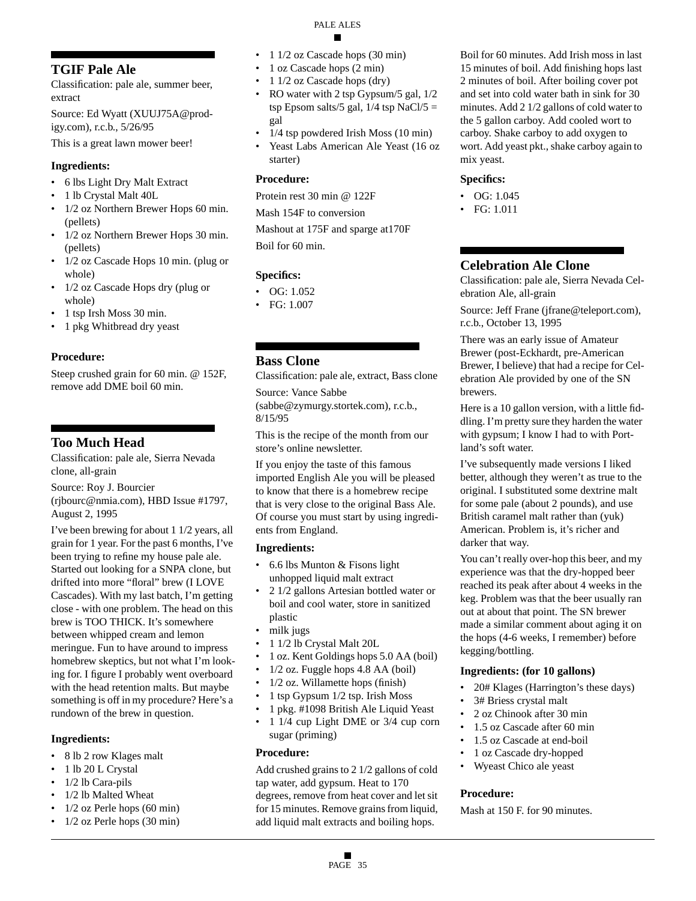# **TGIF Pale Ale**

Classification: pale ale, summer beer, extract

Source: Ed Wyatt (XUUJ75A@prodigy.com), r.c.b., 5/26/95

This is a great lawn mower beer!

# **Ingredients:**

- 6 lbs Light Dry Malt Extract
- 1 lb Crystal Malt 40L
- 1/2 oz Northern Brewer Hops 60 min. (pellets)
- 1/2 oz Northern Brewer Hops 30 min. (pellets)
- 1/2 oz Cascade Hops 10 min. (plug or whole)
- 1/2 oz Cascade Hops dry (plug or whole)
- 1 tsp Irsh Moss 30 min.
- 1 pkg Whitbread dry yeast

# **Procedure:**

Steep crushed grain for 60 min. @ 152F, remove add DME boil 60 min.

# **Too Much Head**

Classification: pale ale, Sierra Nevada clone, all-grain

Source: Roy J. Bourcier (rjbourc@nmia.com), HBD Issue #1797, August 2, 1995

I've been brewing for about 1 1/2 years, all grain for 1 year. For the past 6 months, I've been trying to refine my house pale ale. Started out looking for a SNPA clone, but drifted into more "floral" brew (I LOVE Cascades). With my last batch, I'm getting close - with one problem. The head on this brew is TOO THICK. It's somewhere between whipped cream and lemon meringue. Fun to have around to impress homebrew skeptics, but not what I'm looking for. I figure I probably went overboard with the head retention malts. But maybe something is off in my procedure? Here's a rundown of the brew in question.

# **Ingredients:**

- 8 lb 2 row Klages malt
- 1 lb 20 L Crystal
- 1/2 lb Cara-pils
- 1/2 lb Malted Wheat
- 1/2 oz Perle hops (60 min)
- 1/2 oz Perle hops (30 min)
- 1 1/2 oz Cascade hops (30 min)
- 1 oz Cascade hops  $(2 \text{ min})$
- 1 1/2 oz Cascade hops (dry)
- RO water with 2 tsp Gypsum/5 gal, 1/2 tsp Epsom salts/5 gal,  $1/4$  tsp NaCl/5 = gal
- 1/4 tsp powdered Irish Moss (10 min)
- Yeast Labs American Ale Yeast (16 oz starter)

### **Procedure:**

Protein rest 30 min @ 122F

Mash 154F to conversion

Mashout at 175F and sparge at170F Boil for 60 min.

# **Specifics:**

- OG: 1.052
- FG: 1.007
- **Bass Clone**

Classification: pale ale, extract, Bass clone

Source: Vance Sabbe (sabbe@zymurgy.stortek.com), r.c.b., 8/15/95

This is the recipe of the month from our store's online newsletter.

If you enjoy the taste of this famous imported English Ale you will be pleased to know that there is a homebrew recipe that is very close to the original Bass Ale. Of course you must start by using ingredients from England.

# **Ingredients:**

- 6.6 lbs Munton & Fisons light unhopped liquid malt extract
- 2 1/2 gallons Artesian bottled water or boil and cool water, store in sanitized plastic
- milk jugs
- 1 1/2 lb Crystal Malt 20L
- 1 oz. Kent Goldings hops 5.0 AA (boil)
- 1/2 oz. Fuggle hops 4.8 AA (boil)
- 1/2 oz. Willamette hops (finish)
- 1 tsp Gypsum 1/2 tsp. Irish Moss
- 1 pkg. #1098 British Ale Liquid Yeast
- 1 1/4 cup Light DME or 3/4 cup corn sugar (priming)

### **Procedure:**

Add crushed grains to 2 1/2 gallons of cold tap water, add gypsum. Heat to 170 degrees, remove from heat cover and let sit for 15 minutes. Remove grains from liquid, add liquid malt extracts and boiling hops.

Boil for 60 minutes. Add Irish moss in last 15 minutes of boil. Add finishing hops last 2 minutes of boil. After boiling cover pot and set into cold water bath in sink for 30 minutes. Add 2 1/2 gallons of cold water to the 5 gallon carboy. Add cooled wort to carboy. Shake carboy to add oxygen to wort. Add yeast pkt., shake carboy again to mix yeast.

### **Specifics:**

- OG:  $1.045$
- FG: 1.011

# **Celebration Ale Clone**

Classification: pale ale, Sierra Nevada Celebration Ale, all-grain

Source: Jeff Frane (jfrane@teleport.com), r.c.b., October 13, 1995

There was an early issue of Amateur Brewer (post-Eckhardt, pre-American Brewer, I believe) that had a recipe for Celebration Ale provided by one of the SN brewers.

Here is a 10 gallon version, with a little fiddling. I'm pretty sure they harden the water with gypsum; I know I had to with Portland's soft water.

I've subsequently made versions I liked better, although they weren't as true to the original. I substituted some dextrine malt for some pale (about 2 pounds), and use British caramel malt rather than (yuk) American. Problem is, it's richer and darker that way.

You can't really over-hop this beer, and my experience was that the dry-hopped beer reached its peak after about 4 weeks in the keg. Problem was that the beer usually ran out at about that point. The SN brewer made a similar comment about aging it on the hops (4-6 weeks, I remember) before kegging/bottling.

### **Ingredients: (for 10 gallons)**

- 20# Klages (Harrington's these days)
- 3# Briess crystal malt
- 2 oz Chinook after 30 min
- 1.5 oz Cascade after 60 min
- 1.5 oz Cascade at end-boil
- 1 oz Cascade dry-hopped
- Wyeast Chico ale yeast

### **Procedure:**

Mash at 150 F. for 90 minutes.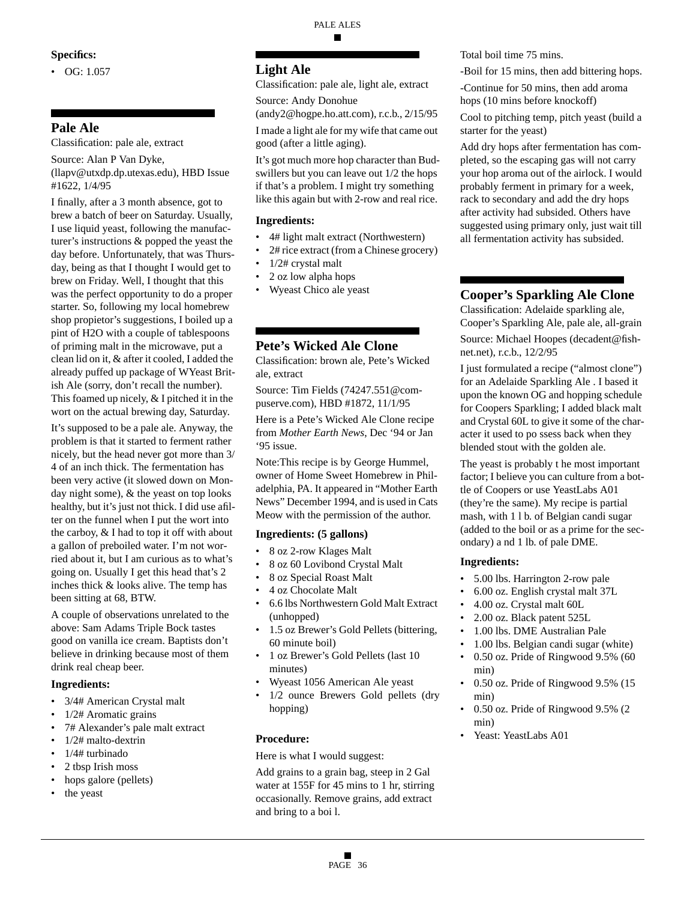#### **Specifics:**

•  $OG: 1.057$ 

# **Pale Ale**

Classification: pale ale, extract

Source: Alan P Van Dyke, (llapv@utxdp.dp.utexas.edu), HBD Issue #1622, 1/4/95

I finally, after a 3 month absence, got to brew a batch of beer on Saturday. Usually, I use liquid yeast, following the manufacturer's instructions & popped the yeast the day before. Unfortunately, that was Thursday, being as that I thought I would get to brew on Friday. Well, I thought that this was the perfect opportunity to do a proper starter. So, following my local homebrew shop propietor's suggestions, I boiled up a pint of H2O with a couple of tablespoons of priming malt in the microwave, put a clean lid on it, & after it cooled, I added the already puffed up package of WYeast British Ale (sorry, don't recall the number). This foamed up nicely, & I pitched it in the wort on the actual brewing day, Saturday.

It's supposed to be a pale ale. Anyway, the problem is that it started to ferment rather nicely, but the head never got more than 3/ 4 of an inch thick. The fermentation has been very active (it slowed down on Monday night some), & the yeast on top looks healthy, but it's just not thick. I did use afilter on the funnel when I put the wort into the carboy, & I had to top it off with about a gallon of preboiled water. I'm not worried about it, but I am curious as to what's going on. Usually I get this head that's 2 inches thick & looks alive. The temp has been sitting at 68, BTW.

A couple of observations unrelated to the above: Sam Adams Triple Bock tastes good on vanilla ice cream. Baptists don't believe in drinking because most of them drink real cheap beer.

#### **Ingredients:**

- 3/4# American Crystal malt
- 1/2# Aromatic grains
- 7# Alexander's pale malt extract
- 1/2# malto-dextrin
- 1/4# turbinado
- 2 tbsp Irish moss
- hops galore (pellets)
- the yeast

### **Light Ale**

Classification: pale ale, light ale, extract

Source: Andy Donohue (andy2@hogpe.ho.att.com), r.c.b., 2/15/95

I made a light ale for my wife that came out

good (after a little aging).

It's got much more hop character than Budswillers but you can leave out 1/2 the hops if that's a problem. I might try something like this again but with 2-row and real rice.

#### **Ingredients:**

- 4# light malt extract (Northwestern)
- 2# rice extract (from a Chinese grocery)
- 1/2# crystal malt
- 2 oz low alpha hops
- Wyeast Chico ale yeast

# **Pete's Wicked Ale Clone**

Classification: brown ale, Pete's Wicked ale, extract

Source: Tim Fields (74247.551@compuserve.com), HBD #1872, 11/1/95

Here is a Pete's Wicked Ale Clone recipe from *Mother Earth News*, Dec '94 or Jan '95 issue.

Note:This recipe is by George Hummel, owner of Home Sweet Homebrew in Philadelphia, PA. It appeared in "Mother Earth News" December 1994, and is used in Cats Meow with the permission of the author.

#### **Ingredients: (5 gallons)**

- 8 oz 2-row Klages Malt
- 8 oz 60 Lovibond Crystal Malt
- 8 oz Special Roast Malt
- 4 oz Chocolate Malt
- 6.6 lbs Northwestern Gold Malt Extract (unhopped)
- 1.5 oz Brewer's Gold Pellets (bittering, 60 minute boil)
- 1 oz Brewer's Gold Pellets (last 10 minutes)
- Wyeast 1056 American Ale yeast
- 1/2 ounce Brewers Gold pellets (dry hopping)

#### **Procedure:**

Here is what I would suggest:

Add grains to a grain bag, steep in 2 Gal water at 155F for 45 mins to 1 hr, stirring occasionally. Remove grains, add extract and bring to a boi l.

Total boil time 75 mins.

-Boil for 15 mins, then add bittering hops.

-Continue for 50 mins, then add aroma hops (10 mins before knockoff)

Cool to pitching temp, pitch yeast (build a starter for the yeast)

Add dry hops after fermentation has completed, so the escaping gas will not carry your hop aroma out of the airlock. I would probably ferment in primary for a week, rack to secondary and add the dry hops after activity had subsided. Others have suggested using primary only, just wait till all fermentation activity has subsided.

# **Cooper's Sparkling Ale Clone**

Classification: Adelaide sparkling ale, Cooper's Sparkling Ale, pale ale, all-grain

Source: Michael Hoopes (decadent@fishnet.net), r.c.b., 12/2/95

I just formulated a recipe ("almost clone") for an Adelaide Sparkling Ale . I based it upon the known OG and hopping schedule for Coopers Sparkling; I added black malt and Crystal 60L to give it some of the character it used to po ssess back when they blended stout with the golden ale.

The yeast is probably t he most important factor; I believe you can culture from a bottle of Coopers or use YeastLabs A01 (they're the same). My recipe is partial mash, with 1 l b. of Belgian candi sugar (added to the boil or as a prime for the secondary) a nd 1 lb. of pale DME.

#### **Ingredients:**

- 5.00 lbs. Harrington 2-row pale
- 6.00 oz. English crystal malt 37L
- 4.00 oz. Crystal malt 60L
- 2.00 oz. Black patent 525L
- 1.00 lbs. DME Australian Pale
- 1.00 lbs. Belgian candi sugar (white) • 0.50 oz. Pride of Ringwood 9.5% (60
- min)
- 0.50 oz. Pride of Ringwood 9.5% (15 min)
- 0.50 oz. Pride of Ringwood 9.5% (2 min)
- Yeast: YeastLabs A01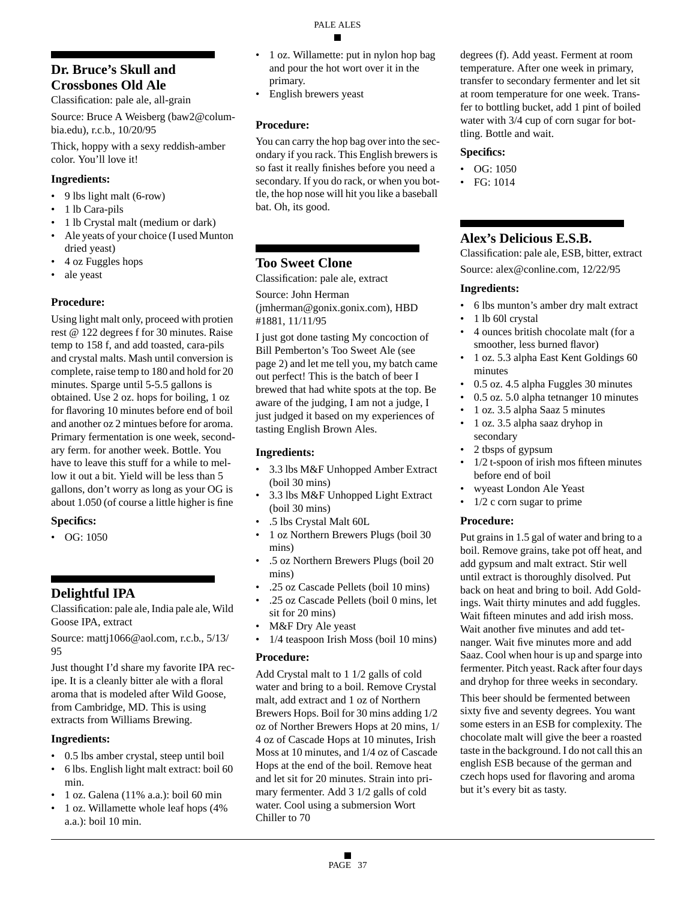# **Dr. Bruce's Skull and Crossbones Old Ale**

Classification: pale ale, all-grain

Source: Bruce A Weisberg (baw2@columbia.edu), r.c.b., 10/20/95

Thick, hoppy with a sexy reddish-amber color. You'll love it!

### **Ingredients:**

- 9 lbs light malt (6-row)
- 1 lb Cara-pils
- 1 lb Crystal malt (medium or dark)
- Ale yeats of your choice (I used Munton dried yeast)
- 4 oz Fuggles hops
- ale yeast

### **Procedure:**

Using light malt only, proceed with protien rest @ 122 degrees f for 30 minutes. Raise temp to 158 f, and add toasted, cara-pils and crystal malts. Mash until conversion is complete, raise temp to 180 and hold for 20 minutes. Sparge until 5-5.5 gallons is obtained. Use 2 oz. hops for boiling, 1 oz for flavoring 10 minutes before end of boil and another oz 2 mintues before for aroma. Primary fermentation is one week, secondary ferm. for another week. Bottle. You have to leave this stuff for a while to mellow it out a bit. Yield will be less than 5 gallons, don't worry as long as your OG is about 1.050 (of course a little higher is fine

### **Specifics:**

• OG: 1050

# **Delightful IPA**

Classification: pale ale, India pale ale, Wild Goose IPA, extract

Source: mattj1066@aol.com, r.c.b., 5/13/ 95

Just thought I'd share my favorite IPA recipe. It is a cleanly bitter ale with a floral aroma that is modeled after Wild Goose, from Cambridge, MD. This is using extracts from Williams Brewing.

### **Ingredients:**

- 0.5 lbs amber crystal, steep until boil
- 6 lbs. English light malt extract: boil 60 min.
- 1 oz. Galena (11% a.a.): boil 60 min
- 1 oz. Willamette whole leaf hops (4% a.a.): boil 10 min.
- 1 oz. Willamette: put in nylon hop bag and pour the hot wort over it in the primary.
- English brewers yeast

# **Procedure:**

You can carry the hop bag over into the secondary if you rack. This English brewers is so fast it really finishes before you need a secondary. If you do rack, or when you bottle, the hop nose will hit you like a baseball bat. Oh, its good.

# **Too Sweet Clone**

Classification: pale ale, extract

Source: John Herman (jmherman@gonix.gonix.com), HBD #1881, 11/11/95

I just got done tasting My concoction of Bill Pemberton's Too Sweet Ale (see page 2) and let me tell you, my batch came out perfect! This is the batch of beer I brewed that had white spots at the top. Be aware of the judging, I am not a judge, I just judged it based on my experiences of tasting English Brown Ales.

### **Ingredients:**

- 3.3 lbs M&F Unhopped Amber Extract (boil 30 mins)
- 3.3 lbs M&F Unhopped Light Extract (boil 30 mins)
- .5 lbs Crystal Malt 60L
- 1 oz Northern Brewers Plugs (boil 30 mins)
- .5 oz Northern Brewers Plugs (boil 20 mins)
- .25 oz Cascade Pellets (boil 10 mins)
- .25 oz Cascade Pellets (boil 0 mins, let sit for 20 mins)
- M&F Dry Ale yeast
- 1/4 teaspoon Irish Moss (boil 10 mins)

### **Procedure:**

Add Crystal malt to 1 1/2 galls of cold water and bring to a boil. Remove Crystal malt, add extract and 1 oz of Northern Brewers Hops. Boil for 30 mins adding 1/2 oz of Norther Brewers Hops at 20 mins, 1/ 4 oz of Cascade Hops at 10 minutes, Irish Moss at 10 minutes, and 1/4 oz of Cascade Hops at the end of the boil. Remove heat and let sit for 20 minutes. Strain into primary fermenter. Add 3 1/2 galls of cold water. Cool using a submersion Wort Chiller to 70

degrees (f). Add yeast. Ferment at room temperature. After one week in primary, transfer to secondary fermenter and let sit at room temperature for one week. Transfer to bottling bucket, add 1 pint of boiled water with 3/4 cup of corn sugar for bottling. Bottle and wait.

#### **Specifics:**

- OG: 1050
- FG: 1014

# **Alex's Delicious E.S.B.**

Classification: pale ale, ESB, bitter, extract Source: alex@conline.com, 12/22/95

### **Ingredients:**

- 6 lbs munton's amber dry malt extract
- 1 lb 60l crystal
- 4 ounces british chocolate malt (for a smoother, less burned flavor)
- 1 oz. 5.3 alpha East Kent Goldings 60 minutes
- 0.5 oz. 4.5 alpha Fuggles 30 minutes
- 0.5 oz. 5.0 alpha tetnanger 10 minutes
- 1 oz. 3.5 alpha Saaz 5 minutes
- 1 oz. 3.5 alpha saaz dryhop in secondary
- 2 tbsps of gypsum
- 1/2 t-spoon of irish mos fifteen minutes before end of boil
- wyeast London Ale Yeast
- $1/2$  c corn sugar to prime

### **Procedure:**

Put grains in 1.5 gal of water and bring to a boil. Remove grains, take pot off heat, and add gypsum and malt extract. Stir well until extract is thoroughly disolved. Put back on heat and bring to boil. Add Goldings. Wait thirty minutes and add fuggles. Wait fifteen minutes and add irish moss. Wait another five minutes and add tetnanger. Wait five minutes more and add Saaz. Cool when hour is up and sparge into fermenter. Pitch yeast. Rack after four days and dryhop for three weeks in secondary.

This beer should be fermented between sixty five and seventy degrees. You want some esters in an ESB for complexity. The chocolate malt will give the beer a roasted taste in the background. I do not call this an english ESB because of the german and czech hops used for flavoring and aroma but it's every bit as tasty.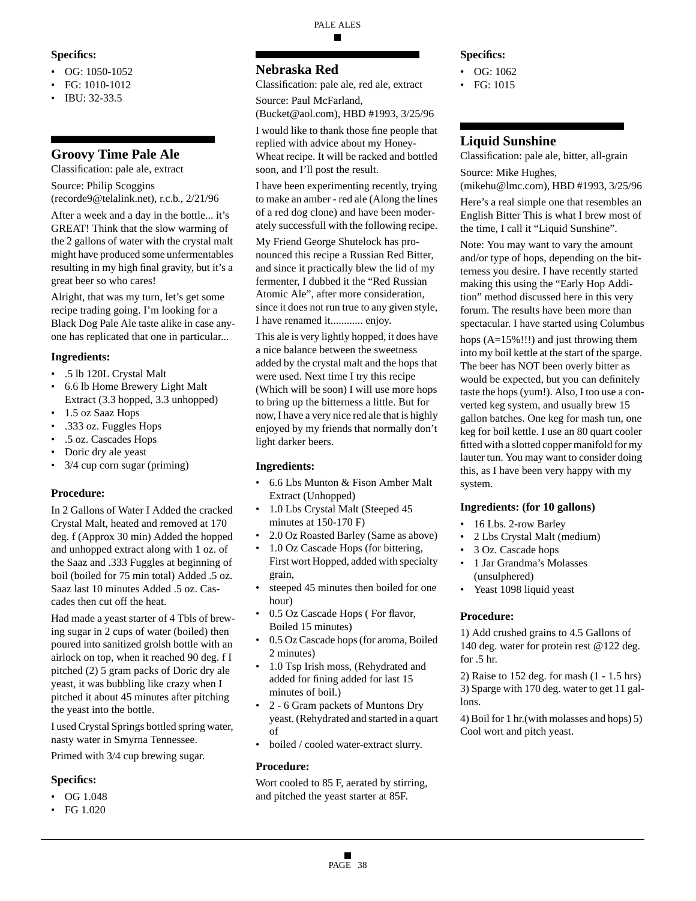#### **Specifics:**

- OG: 1050-1052
- FG: 1010-1012
- IBU: 32-33.5

# **Groovy Time Pale Ale**

Classification: pale ale, extract

Source: Philip Scoggins (recorde9@telalink.net), r.c.b., 2/21/96

After a week and a day in the bottle... it's GREAT! Think that the slow warming of the 2 gallons of water with the crystal malt might have produced some unfermentables resulting in my high final gravity, but it's a great beer so who cares!

Alright, that was my turn, let's get some recipe trading going. I'm looking for a Black Dog Pale Ale taste alike in case anyone has replicated that one in particular...

### **Ingredients:**

- .5 lb 120L Crystal Malt
- 6.6 lb Home Brewery Light Malt Extract (3.3 hopped, 3.3 unhopped)
- 1.5 oz Saaz Hops
- .333 oz. Fuggles Hops
- .5 oz. Cascades Hops
- Doric dry ale yeast
- 3/4 cup corn sugar (priming)

### **Procedure:**

In 2 Gallons of Water I Added the cracked Crystal Malt, heated and removed at 170 deg. f (Approx 30 min) Added the hopped and unhopped extract along with 1 oz. of the Saaz and .333 Fuggles at beginning of boil (boiled for 75 min total) Added .5 oz. Saaz last 10 minutes Added .5 oz. Cascades then cut off the heat.

Had made a yeast starter of 4 Tbls of brewing sugar in 2 cups of water (boiled) then poured into sanitized grolsh bottle with an airlock on top, when it reached 90 deg. f I pitched (2) 5 gram packs of Doric dry ale yeast, it was bubbling like crazy when I pitched it about 45 minutes after pitching the yeast into the bottle.

I used Crystal Springs bottled spring water, nasty water in Smyrna Tennessee.

Primed with 3/4 cup brewing sugar.

### **Specifics:**

- OG 1.048
- FG 1.020

#### PALE ALES ■

# **Nebraska Red**

Classification: pale ale, red ale, extract

Source: Paul McFarland,

(Bucket@aol.com), HBD #1993, 3/25/96

I would like to thank those fine people that replied with advice about my Honey-Wheat recipe. It will be racked and bottled soon, and I'll post the result.

I have been experimenting recently, trying to make an amber - red ale (Along the lines of a red dog clone) and have been moderately successfull with the following recipe.

My Friend George Shutelock has pronounced this recipe a Russian Red Bitter, and since it practically blew the lid of my fermenter, I dubbed it the "Red Russian Atomic Ale", after more consideration, since it does not run true to any given style, I have renamed it............ enjoy.

This ale is very lightly hopped, it does have a nice balance between the sweetness added by the crystal malt and the hops that were used. Next time I try this recipe (Which will be soon) I will use more hops to bring up the bitterness a little. But for now, I have a very nice red ale that is highly enjoyed by my friends that normally don't light darker beers.

# **Ingredients:**

- 6.6 Lbs Munton & Fison Amber Malt Extract (Unhopped)
- 1.0 Lbs Crystal Malt (Steeped 45 minutes at 150-170 F)
- 2.0 Oz Roasted Barley (Same as above)
- 1.0 Oz Cascade Hops (for bittering, First wort Hopped, added with specialty grain,
- steeped 45 minutes then boiled for one hour)
- 0.5 Oz Cascade Hops ( For flavor, Boiled 15 minutes)
- 0.5 Oz Cascade hops (for aroma, Boiled 2 minutes)
- 1.0 Tsp Irish moss, (Rehydrated and added for fining added for last 15 minutes of boil.)
- 2 6 Gram packets of Muntons Dry yeast. (Rehydrated and started in a quart of
- boiled / cooled water-extract slurry.

# **Procedure:**

Wort cooled to 85 F, aerated by stirring, and pitched the yeast starter at 85F.

### **Specifics:**

- OG: 1062
- FG: 1015

# **Liquid Sunshine**

Classification: pale ale, bitter, all-grain Source: Mike Hughes,

(mikehu@lmc.com), HBD #1993, 3/25/96

Here's a real simple one that resembles an English Bitter This is what I brew most of the time, I call it "Liquid Sunshine".

Note: You may want to vary the amount and/or type of hops, depending on the bitterness you desire. I have recently started making this using the "Early Hop Addition" method discussed here in this very forum. The results have been more than spectacular. I have started using Columbus

hops (A=15%!!!) and just throwing them into my boil kettle at the start of the sparge. The beer has NOT been overly bitter as would be expected, but you can definitely taste the hops (yum!). Also, I too use a converted keg system, and usually brew 15 gallon batches. One keg for mash tun, one keg for boil kettle. I use an 80 quart cooler fitted with a slotted copper manifold for my lauter tun. You may want to consider doing this, as I have been very happy with my system.

### **Ingredients: (for 10 gallons)**

- 16 Lbs. 2-row Barley
- 2 Lbs Crystal Malt (medium)
- 3 Oz. Cascade hops
- 1 Jar Grandma's Molasses (unsulphered)
- Yeast 1098 liquid yeast

### **Procedure:**

1) Add crushed grains to 4.5 Gallons of 140 deg. water for protein rest @122 deg. for .5 hr.

2) Raise to 152 deg. for mash (1 - 1.5 hrs) 3) Sparge with 170 deg. water to get 11 gallons.

4) Boil for 1 hr.(with molasses and hops) 5) Cool wort and pitch yeast.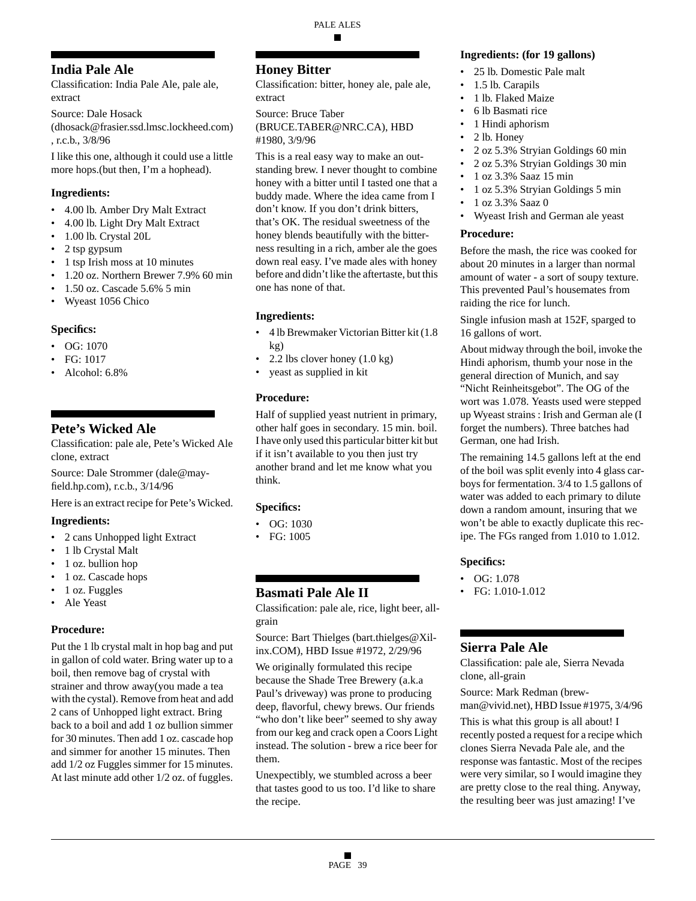# **India Pale Ale**

Classification: India Pale Ale, pale ale, extract

Source: Dale Hosack

(dhosack@frasier.ssd.lmsc.lockheed.com) , r.c.b., 3/8/96

I like this one, although it could use a little more hops.(but then, I'm a hophead).

### **Ingredients:**

- 4.00 lb. Amber Dry Malt Extract
- 4.00 lb. Light Dry Malt Extract
- 1.00 lb. Crystal 20L
- 2 tsp gypsum
- 1 tsp Irish moss at 10 minutes
- 1.20 oz. Northern Brewer 7.9% 60 min
- 1.50 oz. Cascade 5.6% 5 min
- Wyeast 1056 Chico

### **Specifics:**

- $\bullet$  OG: 1070
- FG: 1017
- Alcohol: 6.8%

# **Pete's Wicked Ale**

Classification: pale ale, Pete's Wicked Ale clone, extract

Source: Dale Strommer (dale@mayfield.hp.com), r.c.b., 3/14/96

Here is an extract recipe for Pete's Wicked.

### **Ingredients:**

- 2 cans Unhopped light Extract
- 1 lb Crystal Malt
- 1 oz. bullion hop
- 1 oz. Cascade hops
- 1 oz. Fuggles
- Ale Yeast

### **Procedure:**

Put the 1 lb crystal malt in hop bag and put in gallon of cold water. Bring water up to a boil, then remove bag of crystal with strainer and throw away(you made a tea with the cystal). Remove from heat and add 2 cans of Unhopped light extract. Bring back to a boil and add 1 oz bullion simmer for 30 minutes. Then add 1 oz. cascade hop and simmer for another 15 minutes. Then add 1/2 oz Fuggles simmer for 15 minutes. At last minute add other 1/2 oz. of fuggles.

# **Honey Bitter**

Classification: bitter, honey ale, pale ale, extract

Source: Bruce Taber (BRUCE.TABER@NRC.CA), HBD #1980, 3/9/96

This is a real easy way to make an outstanding brew. I never thought to combine honey with a bitter until I tasted one that a buddy made. Where the idea came from I don't know. If you don't drink bitters, that's OK. The residual sweetness of the honey blends beautifully with the bitterness resulting in a rich, amber ale the goes down real easy. I've made ales with honey before and didn't like the aftertaste, but this one has none of that.

# **Ingredients:**

- 4 lb Brewmaker Victorian Bitter kit (1.8 kg)
- 2.2 lbs clover honey  $(1.0 \text{ kg})$
- yeast as supplied in kit

# **Procedure:**

Half of supplied yeast nutrient in primary, other half goes in secondary. 15 min. boil. I have only used this particular bitter kit but if it isn't available to you then just try another brand and let me know what you think.

# **Specifics:**

- OG: 1030
- FG: 1005

# **Basmati Pale Ale II**

Classification: pale ale, rice, light beer, allgrain

Source: Bart Thielges (bart.thielges@Xilinx.COM), HBD Issue #1972, 2/29/96

We originally formulated this recipe because the Shade Tree Brewery (a.k.a Paul's driveway) was prone to producing deep, flavorful, chewy brews. Our friends "who don't like beer" seemed to shy away from our keg and crack open a Coors Light instead. The solution - brew a rice beer for them.

Unexpectibly, we stumbled across a beer that tastes good to us too. I'd like to share the recipe.

#### **Ingredients: (for 19 gallons)**

- 25 lb. Domestic Pale malt
- 1.5 lb. Carapils
- 1 lb. Flaked Maize
- 6 lb Basmati rice
- 1 Hindi aphorism
- 2 lb. Honey
- 2 oz 5.3% Stryian Goldings 60 min
- 2 oz 5.3% Stryian Goldings 30 min
- 1 oz 3.3% Saaz 15 min
- 1 oz 5.3% Stryian Goldings 5 min
- 1 oz 3.3% Saaz 0
- Wyeast Irish and German ale yeast

### **Procedure:**

Before the mash, the rice was cooked for about 20 minutes in a larger than normal amount of water - a sort of soupy texture. This prevented Paul's housemates from raiding the rice for lunch.

Single infusion mash at 152F, sparged to 16 gallons of wort.

About midway through the boil, invoke the Hindi aphorism, thumb your nose in the general direction of Munich, and say "Nicht Reinheitsgebot". The OG of the wort was 1.078. Yeasts used were stepped up Wyeast strains : Irish and German ale (I forget the numbers). Three batches had German, one had Irish.

The remaining 14.5 gallons left at the end of the boil was split evenly into 4 glass carboys for fermentation. 3/4 to 1.5 gallons of water was added to each primary to dilute down a random amount, insuring that we won't be able to exactly duplicate this recipe. The FGs ranged from 1.010 to 1.012.

### **Specifics:**

- OG: 1.078
- FG: 1.010-1.012

# **Sierra Pale Ale**

Classification: pale ale, Sierra Nevada clone, all-grain

Source: Mark Redman (brewman@vivid.net), HBD Issue #1975, 3/4/96

This is what this group is all about! I recently posted a request for a recipe which clones Sierra Nevada Pale ale, and the response was fantastic. Most of the recipes were very similar, so I would imagine they are pretty close to the real thing. Anyway, the resulting beer was just amazing! I've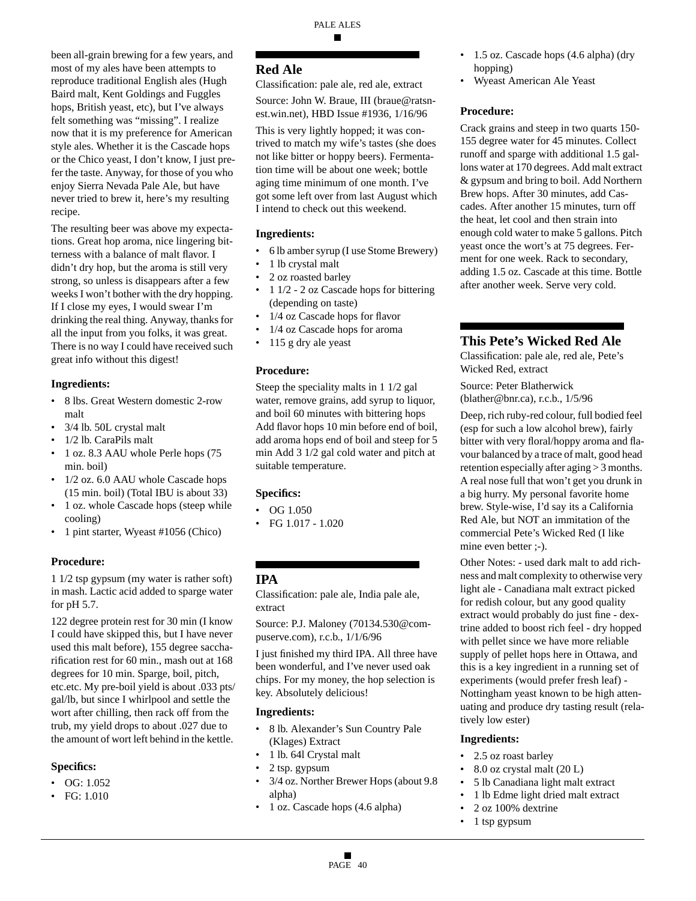been all-grain brewing for a few years, and most of my ales have been attempts to reproduce traditional English ales (Hugh Baird malt, Kent Goldings and Fuggles hops, British yeast, etc), but I've always felt something was "missing". I realize now that it is my preference for American style ales. Whether it is the Cascade hops or the Chico yeast, I don't know, I just prefer the taste. Anyway, for those of you who enjoy Sierra Nevada Pale Ale, but have never tried to brew it, here's my resulting recipe.

The resulting beer was above my expectations. Great hop aroma, nice lingering bitterness with a balance of malt flavor. I didn't dry hop, but the aroma is still very strong, so unless is disappears after a few weeks I won't bother with the dry hopping. If I close my eyes, I would swear I'm drinking the real thing. Anyway, thanks for all the input from you folks, it was great. There is no way I could have received such great info without this digest!

### **Ingredients:**

- 8 lbs. Great Western domestic 2-row malt
- 3/4 lb. 50L crystal malt
- 1/2 lb. CaraPils malt
- 1 oz. 8.3 AAU whole Perle hops (75 min. boil)
- 1/2 oz. 6.0 AAU whole Cascade hops (15 min. boil) (Total IBU is about 33)
- 1 oz. whole Cascade hops (steep while cooling)
- 1 pint starter, Wyeast #1056 (Chico)

# **Procedure:**

1 1/2 tsp gypsum (my water is rather soft) in mash. Lactic acid added to sparge water for pH 5.7.

122 degree protein rest for 30 min (I know I could have skipped this, but I have never used this malt before), 155 degree saccharification rest for 60 min., mash out at 168 degrees for 10 min. Sparge, boil, pitch, etc.etc. My pre-boil yield is about .033 pts/ gal/lb, but since I whirlpool and settle the wort after chilling, then rack off from the trub, my yield drops to about .027 due to the amount of wort left behind in the kettle.

### **Specifics:**

- OG: 1.052
- FG: 1.010

# **Red Ale**

Classification: pale ale, red ale, extract Source: John W. Braue, III (braue@ratsn-

est.win.net), HBD Issue #1936, 1/16/96 This is very lightly hopped; it was con-

trived to match my wife's tastes (she does not like bitter or hoppy beers). Fermentation time will be about one week; bottle aging time minimum of one month. I've got some left over from last August which I intend to check out this weekend.

# **Ingredients:**

- 6 lb amber syrup (I use Stome Brewery)
- 1 lb crystal malt
- 2 oz roasted barley
- 1 1/2 2 oz Cascade hops for bittering (depending on taste)
- 1/4 oz Cascade hops for flavor
- 1/4 oz Cascade hops for aroma
- 115 g dry ale yeast

### **Procedure:**

Steep the speciality malts in 1 1/2 gal water, remove grains, add syrup to liquor, and boil 60 minutes with bittering hops Add flavor hops 10 min before end of boil, add aroma hops end of boil and steep for 5 min Add 3 1/2 gal cold water and pitch at suitable temperature.

### **Specifics:**

- OG 1.050
- FG  $1.017 1.020$

# **IPA**

Classification: pale ale, India pale ale, extract

Source: P.J. Maloney (70134.530@compuserve.com), r.c.b., 1/1/6/96

I just finished my third IPA. All three have been wonderful, and I've never used oak chips. For my money, the hop selection is key. Absolutely delicious!

### **Ingredients:**

- 8 lb. Alexander's Sun Country Pale (Klages) Extract
- 1 lb. 64l Crystal malt
- 2 tsp. gypsum
- 3/4 oz. Norther Brewer Hops (about 9.8 alpha)
- 1 oz. Cascade hops (4.6 alpha)
- 1.5 oz. Cascade hops (4.6 alpha) (dry hopping)
- Wyeast American Ale Yeast

### **Procedure:**

Crack grains and steep in two quarts 150- 155 degree water for 45 minutes. Collect runoff and sparge with additional 1.5 gallons water at 170 degrees. Add malt extract & gypsum and bring to boil. Add Northern Brew hops. After 30 minutes, add Cascades. After another 15 minutes, turn off the heat, let cool and then strain into enough cold water to make 5 gallons. Pitch yeast once the wort's at 75 degrees. Ferment for one week. Rack to secondary, adding 1.5 oz. Cascade at this time. Bottle after another week. Serve very cold.

# **This Pete's Wicked Red Ale**

Classification: pale ale, red ale, Pete's Wicked Red, extract

Source: Peter Blatherwick (blather@bnr.ca), r.c.b., 1/5/96

Deep, rich ruby-red colour, full bodied feel (esp for such a low alcohol brew), fairly bitter with very floral/hoppy aroma and flavour balanced by a trace of malt, good head retention especially after aging > 3 months. A real nose full that won't get you drunk in a big hurry. My personal favorite home brew. Style-wise, I'd say its a California Red Ale, but NOT an immitation of the commercial Pete's Wicked Red (I like mine even better  $:-$ ).

Other Notes: - used dark malt to add richness and malt complexity to otherwise very light ale - Canadiana malt extract picked for redish colour, but any good quality extract would probably do just fine - dextrine added to boost rich feel - dry hopped with pellet since we have more reliable supply of pellet hops here in Ottawa, and this is a key ingredient in a running set of experiments (would prefer fresh leaf) - Nottingham yeast known to be high attenuating and produce dry tasting result (relatively low ester)

### **Ingredients:**

- 2.5 oz roast barley
- 8.0 oz crystal malt (20 L)
- 5 lb Canadiana light malt extract
- 1 lb Edme light dried malt extract
- 2 oz 100% dextrine
- 1 tsp gypsum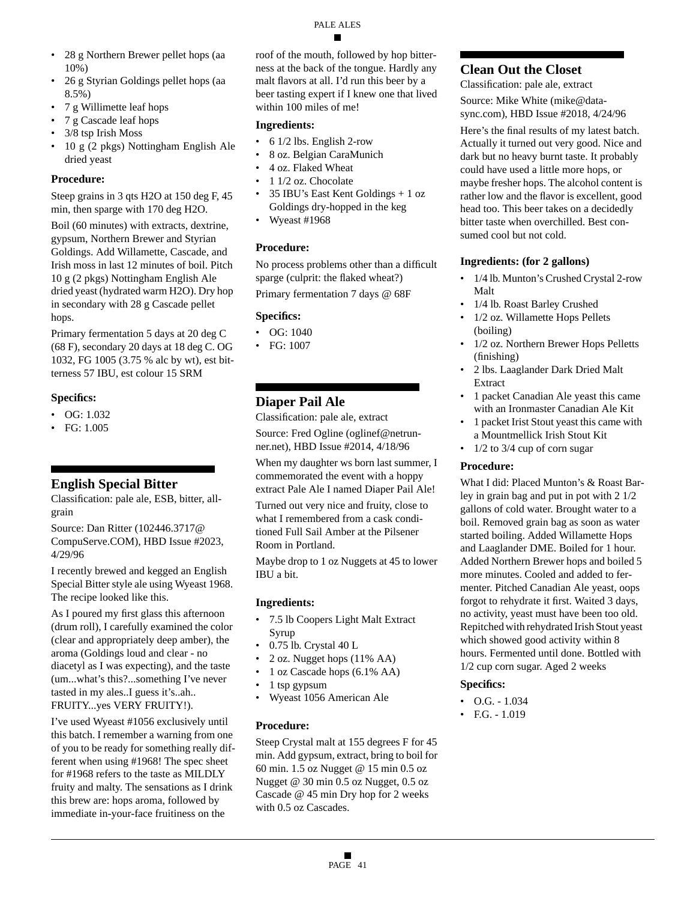# • 28 g Northern Brewer pellet hops (aa

- 10%) • 26 g Styrian Goldings pellet hops (aa 8.5%)
- 7 g Willimette leaf hops
- 7 g Cascade leaf hops
- 3/8 tsp Irish Moss
- 10 g (2 pkgs) Nottingham English Ale dried yeast

# **Procedure:**

Steep grains in 3 qts H2O at 150 deg F, 45 min, then sparge with 170 deg H2O.

Boil (60 minutes) with extracts, dextrine, gypsum, Northern Brewer and Styrian Goldings. Add Willamette, Cascade, and Irish moss in last 12 minutes of boil. Pitch 10 g (2 pkgs) Nottingham English Ale dried yeast (hydrated warm H2O). Dry hop in secondary with 28 g Cascade pellet hops.

Primary fermentation 5 days at 20 deg C (68 F), secondary 20 days at 18 deg C. OG 1032, FG 1005 (3.75 % alc by wt), est bitterness 57 IBU, est colour 15 SRM

# **Specifics:**

- OG: 1.032
- FG: 1.005

# **English Special Bitter**

Classification: pale ale, ESB, bitter, allgrain

Source: Dan Ritter (102446.3717@ CompuServe.COM), HBD Issue #2023, 4/29/96

I recently brewed and kegged an English Special Bitter style ale using Wyeast 1968. The recipe looked like this.

As I poured my first glass this afternoon (drum roll), I carefully examined the color (clear and appropriately deep amber), the aroma (Goldings loud and clear - no diacetyl as I was expecting), and the taste (um...what's this?...something I've never tasted in my ales..I guess it's..ah.. FRUITY...yes VERY FRUITY!).

I've used Wyeast #1056 exclusively until this batch. I remember a warning from one of you to be ready for something really different when using #1968! The spec sheet for #1968 refers to the taste as MILDLY fruity and malty. The sensations as I drink this brew are: hops aroma, followed by immediate in-your-face fruitiness on the

roof of the mouth, followed by hop bitterness at the back of the tongue. Hardly any malt flavors at all. I'd run this beer by a beer tasting expert if I knew one that lived within 100 miles of me!

# **Ingredients:**

- 6 1/2 lbs. English 2-row
- 8 oz. Belgian CaraMunich
- 4 oz. Flaked Wheat
- 1 1/2 oz. Chocolate
- 35 IBU's East Kent Goldings + 1 oz Goldings dry-hopped in the keg
- Wyeast #1968

# **Procedure:**

No process problems other than a difficult sparge (culprit: the flaked wheat?) Primary fermentation 7 days @ 68F

# **Specifics:**

- OG: 1040
- FG: 1007

# **Diaper Pail Ale**

Classification: pale ale, extract

Source: Fred Ogline (oglinef@netrunner.net), HBD Issue #2014, 4/18/96

When my daughter ws born last summer, I commemorated the event with a hoppy extract Pale Ale I named Diaper Pail Ale!

Turned out very nice and fruity, close to what I remembered from a cask conditioned Full Sail Amber at the Pilsener Room in Portland.

Maybe drop to 1 oz Nuggets at 45 to lower IBU a bit.

# **Ingredients:**

- 7.5 lb Coopers Light Malt Extract Syrup
- 0.75 lb. Crystal 40 L
- 2 oz. Nugget hops (11% AA)
- 1 oz Cascade hops (6.1% AA)
- 1 tsp gypsum
- Wyeast 1056 American Ale

# **Procedure:**

Steep Crystal malt at 155 degrees F for 45 min. Add gypsum, extract, bring to boil for 60 min. 1.5 oz Nugget @ 15 min 0.5 oz Nugget @ 30 min 0.5 oz Nugget, 0.5 oz Cascade @ 45 min Dry hop for 2 weeks with 0.5 oz Cascades.

# **Clean Out the Closet**

Classification: pale ale, extract

Source: Mike White (mike@datasync.com), HBD Issue #2018, 4/24/96

Here's the final results of my latest batch. Actually it turned out very good. Nice and dark but no heavy burnt taste. It probably could have used a little more hops, or maybe fresher hops. The alcohol content is rather low and the flavor is excellent, good head too. This beer takes on a decidedly bitter taste when overchilled. Best consumed cool but not cold.

# **Ingredients: (for 2 gallons)**

- 1/4 lb. Munton's Crushed Crystal 2-row Malt
- 1/4 lb. Roast Barley Crushed
- 1/2 oz. Willamette Hops Pellets (boiling)
- 1/2 oz. Northern Brewer Hops Pelletts (finishing)
- 2 lbs. Laaglander Dark Dried Malt Extract
- 1 packet Canadian Ale yeast this came with an Ironmaster Canadian Ale Kit
- 1 packet Irist Stout yeast this came with a Mountmellick Irish Stout Kit
- 1/2 to 3/4 cup of corn sugar

# **Procedure:**

What I did: Placed Munton's & Roast Barley in grain bag and put in pot with 2 1/2 gallons of cold water. Brought water to a boil. Removed grain bag as soon as water started boiling. Added Willamette Hops and Laaglander DME. Boiled for 1 hour. Added Northern Brewer hops and boiled 5 more minutes. Cooled and added to fermenter. Pitched Canadian Ale yeast, oops forgot to rehydrate it first. Waited 3 days, no activity, yeast must have been too old. Repitched with rehydrated Irish Stout yeast which showed good activity within 8 hours. Fermented until done. Bottled with 1/2 cup corn sugar. Aged 2 weeks

# **Specifics:**

- $\bullet$  O.G. 1.034
- F.G. 1.019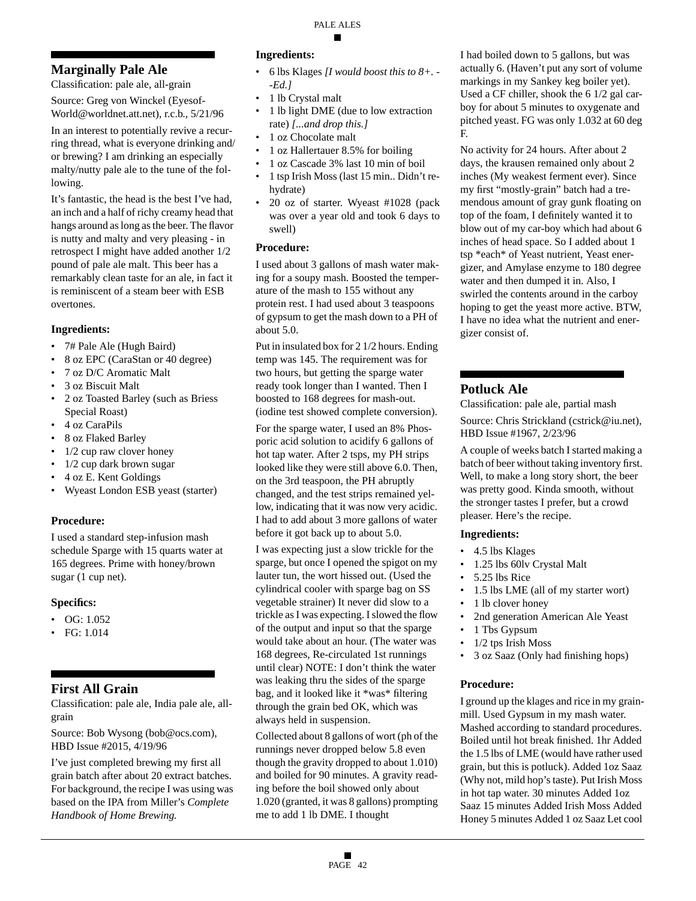# **Marginally Pale Ale**

Classification: pale ale, all-grain

Source: Greg von Winckel (Eyesof-World@worldnet.att.net), r.c.b., 5/21/96

In an interest to potentially revive a recurring thread, what is everyone drinking and/ or brewing? I am drinking an especially malty/nutty pale ale to the tune of the following.

It's fantastic, the head is the best I've had, an inch and a half of richy creamy head that hangs around as long as the beer. The flavor is nutty and malty and very pleasing - in retrospect I might have added another 1/2 pound of pale ale malt. This beer has a remarkably clean taste for an ale, in fact it is reminiscent of a steam beer with ESB overtones.

# **Ingredients:**

- 7# Pale Ale (Hugh Baird)
- 8 oz EPC (CaraStan or 40 degree)
- 7 oz D/C Aromatic Malt
- 3 oz Biscuit Malt
- 2 oz Toasted Barley (such as Briess Special Roast)
- 4 oz CaraPils
- 8 oz Flaked Barley
- 1/2 cup raw clover honey
- 1/2 cup dark brown sugar
- 4 oz E. Kent Goldings
- Wyeast London ESB yeast (starter)

# **Procedure:**

I used a standard step-infusion mash schedule Sparge with 15 quarts water at 165 degrees. Prime with honey/brown sugar (1 cup net).

# **Specifics:**

- $\bullet$  OG: 1.052
- FG: 1.014

# **First All Grain**

Classification: pale ale, India pale ale, allgrain

Source: Bob Wysong (bob@ocs.com), HBD Issue #2015, 4/19/96

I've just completed brewing my first all grain batch after about 20 extract batches. For background, the recipe I was using was based on the IPA from Miller's *Complete Handbook of Home Brewing.*

### **Ingredients:**

- 6 lbs Klages *[I would boost this to 8+. - -Ed.]*
- 1 lb Crystal malt
- 1 lb light DME (due to low extraction rate) *[...and drop this.]*
- 1 oz Chocolate malt
- 1 oz Hallertauer 8.5% for boiling
- 1 oz Cascade 3% last 10 min of boil
- 1 tsp Irish Moss (last 15 min.. Didn't rehydrate)
- 20 oz of starter. Wyeast #1028 (pack was over a year old and took 6 days to swell)

# **Procedure:**

I used about 3 gallons of mash water making for a soupy mash. Boosted the temperature of the mash to 155 without any protein rest. I had used about 3 teaspoons of gypsum to get the mash down to a PH of about 5.0.

Put in insulated box for 2 1/2 hours. Ending temp was 145. The requirement was for two hours, but getting the sparge water ready took longer than I wanted. Then I boosted to 168 degrees for mash-out. (iodine test showed complete conversion).

For the sparge water, I used an 8% Phosporic acid solution to acidify 6 gallons of hot tap water. After 2 tsps, my PH strips looked like they were still above 6.0. Then, on the 3rd teaspoon, the PH abruptly changed, and the test strips remained yellow, indicating that it was now very acidic. I had to add about 3 more gallons of water before it got back up to about 5.0.

I was expecting just a slow trickle for the sparge, but once I opened the spigot on my lauter tun, the wort hissed out. (Used the cylindrical cooler with sparge bag on SS vegetable strainer) It never did slow to a trickle as I was expecting. I slowed the flow of the output and input so that the sparge would take about an hour. (The water was 168 degrees, Re-circulated 1st runnings until clear) NOTE: I don't think the water was leaking thru the sides of the sparge bag, and it looked like it \*was\* filtering through the grain bed OK, which was always held in suspension.

Collected about 8 gallons of wort (ph of the runnings never dropped below 5.8 even though the gravity dropped to about 1.010) and boiled for 90 minutes. A gravity reading before the boil showed only about 1.020 (granted, it was 8 gallons) prompting me to add 1 lb DME. I thought

I had boiled down to 5 gallons, but was actually 6. (Haven't put any sort of volume markings in my Sankey keg boiler yet). Used a CF chiller, shook the 6 1/2 gal carboy for about 5 minutes to oxygenate and pitched yeast. FG was only 1.032 at 60 deg F.

No activity for 24 hours. After about 2 days, the krausen remained only about 2 inches (My weakest ferment ever). Since my first "mostly-grain" batch had a tremendous amount of gray gunk floating on top of the foam, I definitely wanted it to blow out of my car-boy which had about 6 inches of head space. So I added about 1 tsp \*each\* of Yeast nutrient, Yeast energizer, and Amylase enzyme to 180 degree water and then dumped it in. Also, I swirled the contents around in the carboy hoping to get the yeast more active. BTW, I have no idea what the nutrient and energizer consist of.

# **Potluck Ale**

Classification: pale ale, partial mash

Source: Chris Strickland (cstrick@iu.net), HBD Issue #1967, 2/23/96

A couple of weeks batch I started making a batch of beer without taking inventory first. Well, to make a long story short, the beer was pretty good. Kinda smooth, without the stronger tastes I prefer, but a crowd pleaser. Here's the recipe.

# **Ingredients:**

- 4.5 lbs Klages
- 1.25 lbs 60lv Crystal Malt
- 5.25 lbs Rice
- 1.5 lbs LME (all of my starter wort)
- 1 lb clover honey
- 2nd generation American Ale Yeast
- 1 Tbs Gypsum
- 1/2 tps Irish Moss
- 3 oz Saaz (Only had finishing hops)

# **Procedure:**

I ground up the klages and rice in my grainmill. Used Gypsum in my mash water. Mashed according to standard procedures. Boiled until hot break finished. 1hr Added the 1.5 lbs of LME (would have rather used grain, but this is potluck). Added 1oz Saaz (Why not, mild hop's taste). Put Irish Moss in hot tap water. 30 minutes Added 1oz Saaz 15 minutes Added Irish Moss Added Honey 5 minutes Added 1 oz Saaz Let cool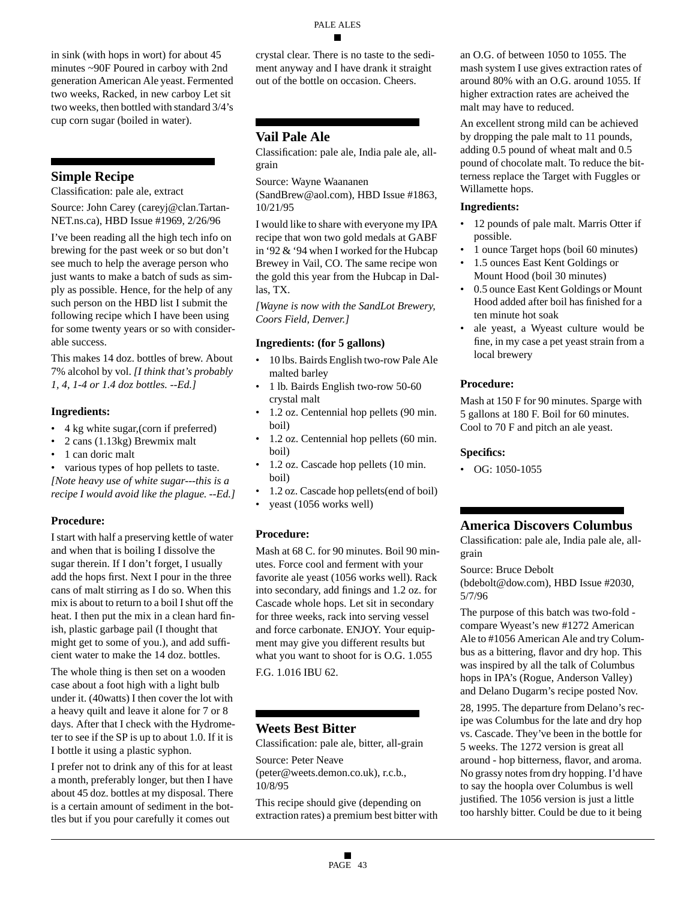in sink (with hops in wort) for about 45 minutes ~90F Poured in carboy with 2nd generation American Ale yeast. Fermented two weeks, Racked, in new carboy Let sit two weeks, then bottled with standard 3/4's cup corn sugar (boiled in water).

# **Simple Recipe**

Classification: pale ale, extract

Source: John Carey (careyj@clan.Tartan-NET.ns.ca), HBD Issue #1969, 2/26/96

I've been reading all the high tech info on brewing for the past week or so but don't see much to help the average person who just wants to make a batch of suds as simply as possible. Hence, for the help of any such person on the HBD list I submit the following recipe which I have been using for some twenty years or so with considerable success.

This makes 14 doz. bottles of brew. About 7% alcohol by vol. *[I think that's probably 1, 4, 1-4 or 1.4 doz bottles. --Ed.]*

### **Ingredients:**

- 4 kg white sugar,(corn if preferred)
- 2 cans (1.13kg) Brewmix malt
- 1 can doric malt

various types of hop pellets to taste. *[Note heavy use of white sugar---this is a recipe I would avoid like the plague. --Ed.]*

# **Procedure:**

I start with half a preserving kettle of water and when that is boiling I dissolve the sugar therein. If I don't forget, I usually add the hops first. Next I pour in the three cans of malt stirring as I do so. When this mix is about to return to a boil I shut off the heat. I then put the mix in a clean hard finish, plastic garbage pail (I thought that might get to some of you.), and add sufficient water to make the 14 doz. bottles.

The whole thing is then set on a wooden case about a foot high with a light bulb under it. (40watts) I then cover the lot with a heavy quilt and leave it alone for 7 or 8 days. After that I check with the Hydrometer to see if the SP is up to about 1.0. If it is I bottle it using a plastic syphon.

I prefer not to drink any of this for at least a month, preferably longer, but then I have about 45 doz. bottles at my disposal. There is a certain amount of sediment in the bottles but if you pour carefully it comes out

crystal clear. There is no taste to the sediment anyway and I have drank it straight out of the bottle on occasion. Cheers.

# **Vail Pale Ale**

Classification: pale ale, India pale ale, allgrain

Source: Wayne Waananen

(SandBrew@aol.com), HBD Issue #1863, 10/21/95

I would like to share with everyone my IPA recipe that won two gold medals at GABF in '92 & '94 when I worked for the Hubcap Brewey in Vail, CO. The same recipe won the gold this year from the Hubcap in Dallas, TX.

*[Wayne is now with the SandLot Brewery, Coors Field, Denver.]*

### **Ingredients: (for 5 gallons)**

- 10 lbs. Bairds English two-row Pale Ale malted barley
- 1 lb. Bairds English two-row 50-60 crystal malt
- 1.2 oz. Centennial hop pellets (90 min. boil)
- 1.2 oz. Centennial hop pellets (60 min. boil)
- 1.2 oz. Cascade hop pellets (10 min.) boil)
- 1.2 oz. Cascade hop pellets(end of boil)
- yeast (1056 works well)

# **Procedure:**

Mash at 68 C. for 90 minutes. Boil 90 minutes. Force cool and ferment with your favorite ale yeast (1056 works well). Rack into secondary, add finings and 1.2 oz. for Cascade whole hops. Let sit in secondary for three weeks, rack into serving vessel and force carbonate. ENJOY. Your equipment may give you different results but what you want to shoot for is O.G. 1.055 F.G. 1.016 IBU 62.

# **Weets Best Bitter**

Classification: pale ale, bitter, all-grain

Source: Peter Neave

(peter@weets.demon.co.uk), r.c.b., 10/8/95

This recipe should give (depending on extraction rates) a premium best bitter with an O.G. of between 1050 to 1055. The mash system I use gives extraction rates of around 80% with an O.G. around 1055. If higher extraction rates are acheived the malt may have to reduced.

An excellent strong mild can be achieved by dropping the pale malt to 11 pounds, adding 0.5 pound of wheat malt and 0.5 pound of chocolate malt. To reduce the bitterness replace the Target with Fuggles or Willamette hops.

### **Ingredients:**

- 12 pounds of pale malt. Marris Otter if possible.
- 1 ounce Target hops (boil 60 minutes)
- 1.5 ounces East Kent Goldings or Mount Hood (boil 30 minutes)
- 0.5 ounce East Kent Goldings or Mount Hood added after boil has finished for a ten minute hot soak
- ale yeast, a Wyeast culture would be fine, in my case a pet yeast strain from a local brewery

# **Procedure:**

Mash at 150 F for 90 minutes. Sparge with 5 gallons at 180 F. Boil for 60 minutes. Cool to 70 F and pitch an ale yeast.

### **Specifics:**

• OG: 1050-1055

# **America Discovers Columbus**

Classification: pale ale, India pale ale, allgrain

### Source: Bruce Debolt

(bdebolt@dow.com), HBD Issue #2030, 5/7/96

The purpose of this batch was two-fold compare Wyeast's new #1272 American Ale to #1056 American Ale and try Columbus as a bittering, flavor and dry hop. This was inspired by all the talk of Columbus hops in IPA's (Rogue, Anderson Valley) and Delano Dugarm's recipe posted Nov.

28, 1995. The departure from Delano's recipe was Columbus for the late and dry hop vs. Cascade. They've been in the bottle for 5 weeks. The 1272 version is great all around - hop bitterness, flavor, and aroma. No grassy notes from dry hopping. I'd have to say the hoopla over Columbus is well justified. The 1056 version is just a little too harshly bitter. Could be due to it being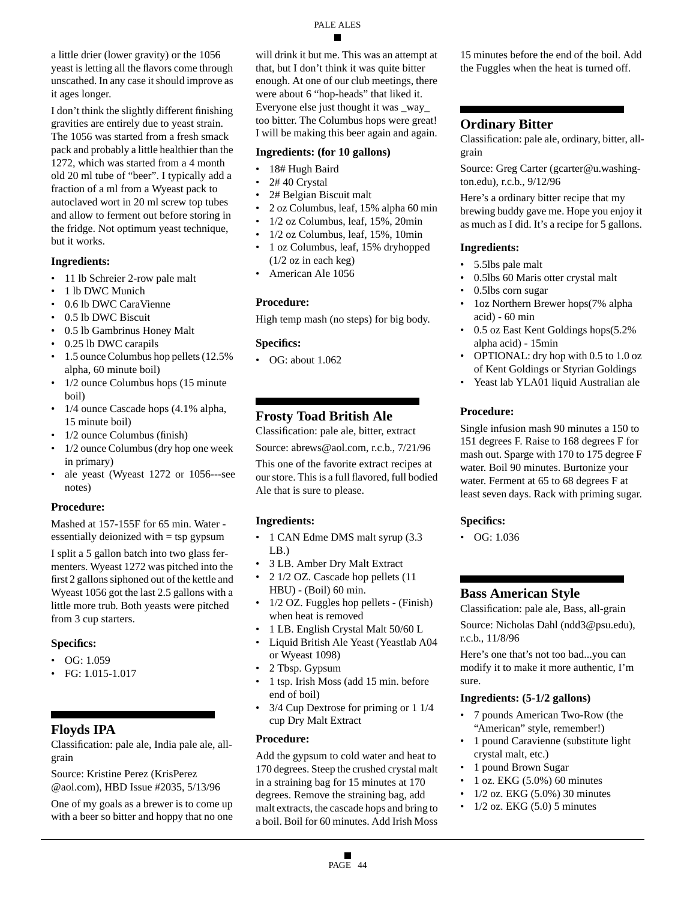a little drier (lower gravity) or the 1056 yeast is letting all the flavors come through unscathed. In any case it should improve as it ages longer.

I don't think the slightly different finishing gravities are entirely due to yeast strain. The 1056 was started from a fresh smack pack and probably a little healthier than the 1272, which was started from a 4 month old 20 ml tube of "beer". I typically add a fraction of a ml from a Wyeast pack to autoclaved wort in 20 ml screw top tubes and allow to ferment out before storing in the fridge. Not optimum yeast technique, but it works.

#### **Ingredients:**

- 11 lb Schreier 2-row pale malt
- 1 lb DWC Munich
- 0.6 lb DWC CaraVienne
- 0.5 lb DWC Biscuit
- 0.5 lb Gambrinus Honey Malt
- 0.25 lb DWC carapils
- 1.5 ounce Columbus hop pellets (12.5%) alpha, 60 minute boil)
- 1/2 ounce Columbus hops (15 minute) boil)
- 1/4 ounce Cascade hops (4.1% alpha, 15 minute boil)
- 1/2 ounce Columbus (finish)
- 1/2 ounce Columbus (dry hop one week in primary)
- ale yeast (Wyeast 1272 or 1056---see notes)

### **Procedure:**

Mashed at 157-155F for 65 min. Water essentially deionized with = tsp gypsum

I split a 5 gallon batch into two glass fermenters. Wyeast 1272 was pitched into the first 2 gallons siphoned out of the kettle and Wyeast 1056 got the last 2.5 gallons with a little more trub. Both yeasts were pitched from 3 cup starters.

### **Specifics:**

- $\bullet$  OG: 1.059
- FG: 1.015-1.017

# **Floyds IPA**

Classification: pale ale, India pale ale, allgrain

Source: Kristine Perez (KrisPerez @aol.com), HBD Issue #2035, 5/13/96

One of my goals as a brewer is to come up with a beer so bitter and hoppy that no one will drink it but me. This was an attempt at that, but I don't think it was quite bitter enough. At one of our club meetings, there were about 6 "hop-heads" that liked it. Everyone else just thought it was \_way\_ too bitter. The Columbus hops were great! I will be making this beer again and again.

### **Ingredients: (for 10 gallons)**

- 18# Hugh Baird
- 2# 40 Crystal
- 2# Belgian Biscuit malt
- 2 oz Columbus, leaf, 15% alpha 60 min
- 1/2 oz Columbus, leaf, 15%, 20min
- 1/2 oz Columbus, leaf, 15%, 10min
- 1 oz Columbus, leaf, 15% dryhopped (1/2 oz in each keg)
- American Ale 1056

### **Procedure:**

High temp mash (no steps) for big body.

### **Specifics:**

• OG: about 1.062

# **Frosty Toad British Ale**

Classification: pale ale, bitter, extract

Source: abrews@aol.com, r.c.b., 7/21/96

This one of the favorite extract recipes at our store. This is a full flavored, full bodied Ale that is sure to please.

### **Ingredients:**

- 1 CAN Edme DMS malt syrup (3.3) LB.)
- 3 LB. Amber Dry Malt Extract
- 2 1/2 OZ. Cascade hop pellets (11 HBU) - (Boil) 60 min.
- 1/2 OZ. Fuggles hop pellets (Finish) when heat is removed
- 1 LB. English Crystal Malt 50/60 L
- Liquid British Ale Yeast (Yeastlab A04 or Wyeast 1098)
- 2 Tbsp. Gypsum
- 1 tsp. Irish Moss (add 15 min. before end of boil)
- 3/4 Cup Dextrose for priming or 1 1/4 cup Dry Malt Extract

### **Procedure:**

Add the gypsum to cold water and heat to 170 degrees. Steep the crushed crystal malt in a straining bag for 15 minutes at 170 degrees. Remove the straining bag, add malt extracts, the cascade hops and bring to a boil. Boil for 60 minutes. Add Irish Moss

15 minutes before the end of the boil. Add the Fuggles when the heat is turned off.

# **Ordinary Bitter**

Classification: pale ale, ordinary, bitter, allgrain

Source: Greg Carter (gcarter@u.washington.edu), r.c.b., 9/12/96

Here's a ordinary bitter recipe that my brewing buddy gave me. Hope you enjoy it as much as I did. It's a recipe for 5 gallons.

#### **Ingredients:**

- 5.5lbs pale malt
- 0.5lbs 60 Maris otter crystal malt
- 0.5lbs corn sugar
- 1oz Northern Brewer hops(7% alpha acid) - 60 min
- 0.5 oz East Kent Goldings hops(5.2% alpha acid) - 15min
- OPTIONAL: dry hop with 0.5 to 1.0 oz of Kent Goldings or Styrian Goldings
- Yeast lab YLA01 liquid Australian ale

### **Procedure:**

Single infusion mash 90 minutes a 150 to 151 degrees F. Raise to 168 degrees F for mash out. Sparge with 170 to 175 degree F water. Boil 90 minutes. Burtonize your water. Ferment at 65 to 68 degrees F at least seven days. Rack with priming sugar.

### **Specifics:**

• OG: 1.036

# **Bass American Style**

Classification: pale ale, Bass, all-grain Source: Nicholas Dahl (ndd3@psu.edu), r.c.b., 11/8/96

Here's one that's not too bad...you can modify it to make it more authentic, I'm sure.

### **Ingredients: (5-1/2 gallons)**

- 7 pounds American Two-Row (the "American" style, remember!)
- 1 pound Caravienne (substitute light crystal malt, etc.)
- 1 pound Brown Sugar
- 1 oz. EKG (5.0%) 60 minutes
- 1/2 oz. EKG (5.0%) 30 minutes
- $\cdot$  1/2 oz. EKG (5.0) 5 minutes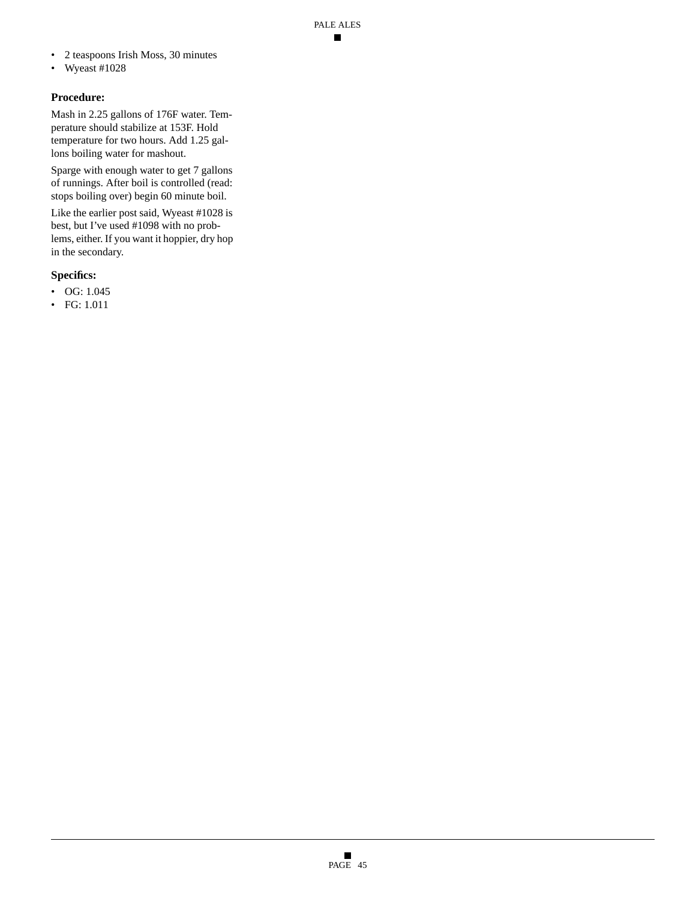- 2 teaspoons Irish Moss, 30 minutes
- Wyeast #1028

### **Procedure:**

Mash in 2.25 gallons of 176F water. Temperature should stabilize at 153F. Hold temperature for two hours. Add 1.25 gallons boiling water for mashout.

Sparge with enough water to get 7 gallons of runnings. After boil is controlled (read: stops boiling over) begin 60 minute boil.

Like the earlier post said, Wyeast #1028 is best, but I've used #1098 with no problems, either. If you want it hoppier, dry hop in the secondary.

# **Specifics:**

- OG: 1.045
- FG: 1.011